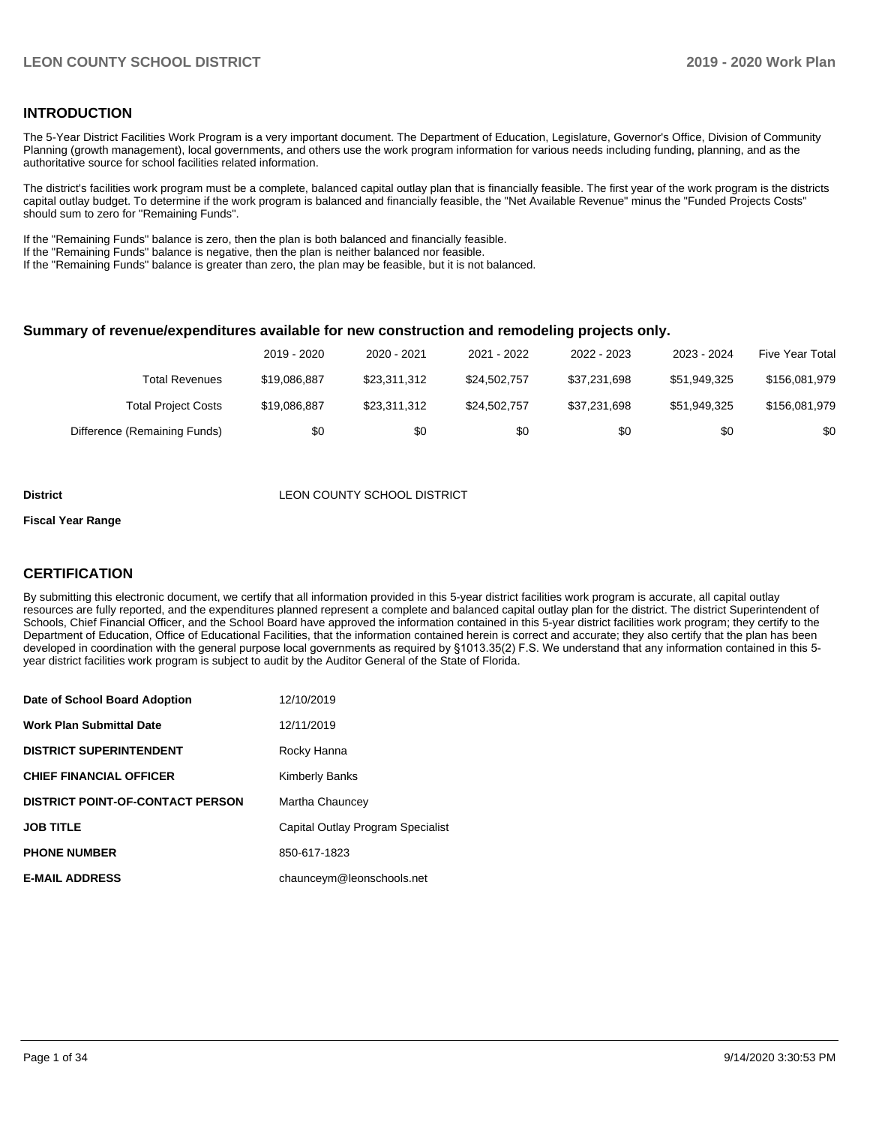#### **INTRODUCTION**

The 5-Year District Facilities Work Program is a very important document. The Department of Education, Legislature, Governor's Office, Division of Community Planning (growth management), local governments, and others use the work program information for various needs including funding, planning, and as the authoritative source for school facilities related information.

The district's facilities work program must be a complete, balanced capital outlay plan that is financially feasible. The first year of the work program is the districts capital outlay budget. To determine if the work program is balanced and financially feasible, the "Net Available Revenue" minus the "Funded Projects Costs" should sum to zero for "Remaining Funds".

If the "Remaining Funds" balance is zero, then the plan is both balanced and financially feasible.

If the "Remaining Funds" balance is negative, then the plan is neither balanced nor feasible.

If the "Remaining Funds" balance is greater than zero, the plan may be feasible, but it is not balanced.

#### **Summary of revenue/expenditures available for new construction and remodeling projects only.**

|                              | 2019 - 2020  | 2020 - 2021  | 2021 - 2022  | 2022 - 2023  | 2023 - 2024  | <b>Five Year Total</b> |
|------------------------------|--------------|--------------|--------------|--------------|--------------|------------------------|
| Total Revenues               | \$19,086,887 | \$23.311.312 | \$24,502,757 | \$37.231.698 | \$51.949.325 | \$156,081,979          |
| <b>Total Project Costs</b>   | \$19,086,887 | \$23.311.312 | \$24,502,757 | \$37.231.698 | \$51.949.325 | \$156,081,979          |
| Difference (Remaining Funds) | \$0          | \$0          | \$0          | \$0          | \$0          | \$0                    |

#### **District District LEON COUNTY SCHOOL DISTRICT**

#### **Fiscal Year Range**

#### **CERTIFICATION**

By submitting this electronic document, we certify that all information provided in this 5-year district facilities work program is accurate, all capital outlay resources are fully reported, and the expenditures planned represent a complete and balanced capital outlay plan for the district. The district Superintendent of Schools, Chief Financial Officer, and the School Board have approved the information contained in this 5-year district facilities work program; they certify to the Department of Education, Office of Educational Facilities, that the information contained herein is correct and accurate; they also certify that the plan has been developed in coordination with the general purpose local governments as required by §1013.35(2) F.S. We understand that any information contained in this 5 year district facilities work program is subject to audit by the Auditor General of the State of Florida.

| Date of School Board Adoption           | 12/10/2019                        |
|-----------------------------------------|-----------------------------------|
| Work Plan Submittal Date                | 12/11/2019                        |
| <b>DISTRICT SUPERINTENDENT</b>          | Rocky Hanna                       |
| <b>CHIEF FINANCIAL OFFICER</b>          | <b>Kimberly Banks</b>             |
| <b>DISTRICT POINT-OF-CONTACT PERSON</b> | Martha Chauncey                   |
| JOB TITLE                               | Capital Outlay Program Specialist |
| <b>PHONE NUMBER</b>                     | 850-617-1823                      |
| <b>E-MAIL ADDRESS</b>                   | chaunceym@leonschools.net         |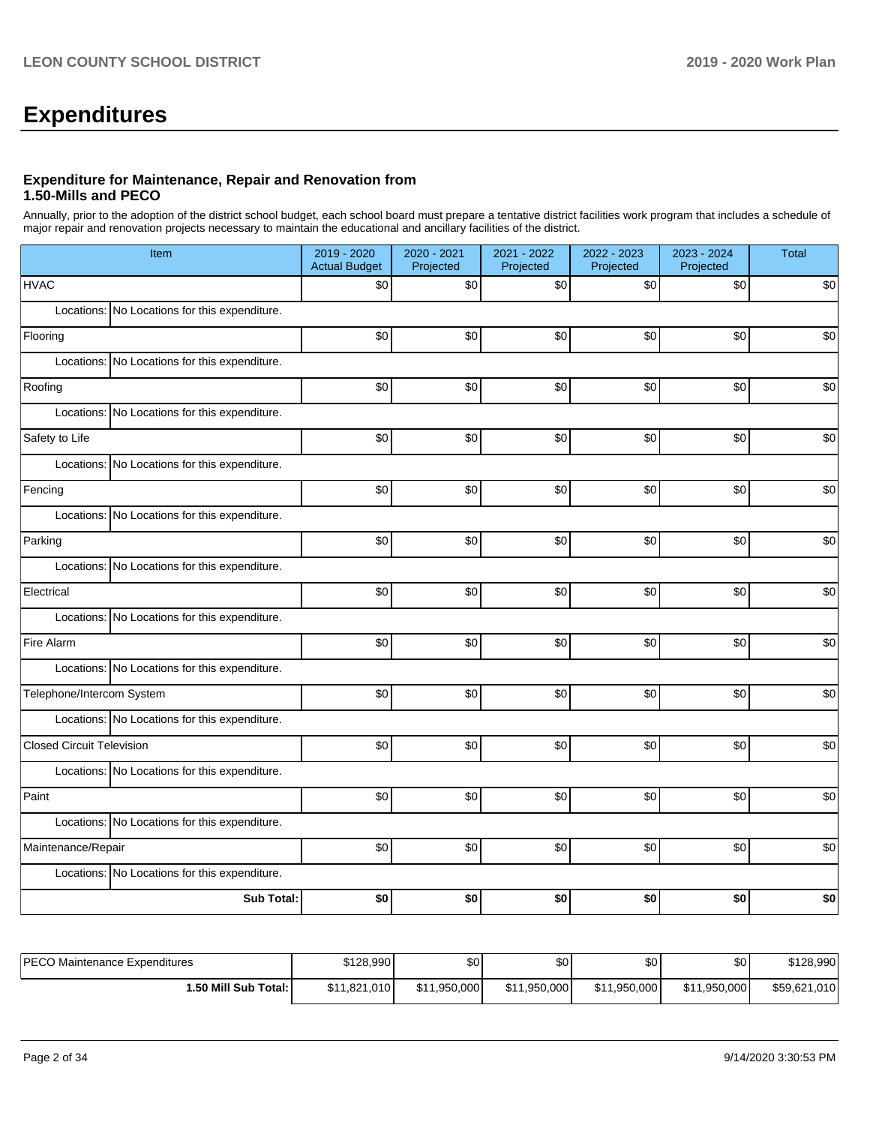# **Expenditures**

#### **Expenditure for Maintenance, Repair and Renovation from 1.50-Mills and PECO**

Annually, prior to the adoption of the district school budget, each school board must prepare a tentative district facilities work program that includes a schedule of major repair and renovation projects necessary to maintain the educational and ancillary facilities of the district.

| Item                                          | 2019 - 2020<br><b>Actual Budget</b> | 2020 - 2021<br>Projected | 2021 - 2022<br>Projected | 2022 - 2023<br>Projected | 2023 - 2024<br>Projected | <b>Total</b> |  |  |  |
|-----------------------------------------------|-------------------------------------|--------------------------|--------------------------|--------------------------|--------------------------|--------------|--|--|--|
| <b>HVAC</b>                                   | \$0                                 | \$0                      | \$0                      | \$0                      | \$0                      | \$0          |  |  |  |
| Locations: No Locations for this expenditure. |                                     |                          |                          |                          |                          |              |  |  |  |
| Flooring                                      | \$0                                 | \$0                      | \$0                      | \$0                      | \$0                      | \$0          |  |  |  |
| Locations: No Locations for this expenditure. |                                     |                          |                          |                          |                          |              |  |  |  |
| Roofing                                       | \$0                                 | \$0                      | \$0                      | \$0                      | \$0                      | \$0          |  |  |  |
| Locations: No Locations for this expenditure. |                                     |                          |                          |                          |                          |              |  |  |  |
| Safety to Life                                | \$0                                 | \$0                      | \$0                      | \$0                      | \$0                      | \$0          |  |  |  |
| Locations: No Locations for this expenditure. |                                     |                          |                          |                          |                          |              |  |  |  |
| Fencing                                       | \$0                                 | \$0                      | \$0                      | \$0                      | \$0                      | \$0          |  |  |  |
| Locations: No Locations for this expenditure. |                                     |                          |                          |                          |                          |              |  |  |  |
| Parking                                       | \$0                                 | \$0                      | \$0                      | \$0                      | \$0                      | \$0          |  |  |  |
| Locations: No Locations for this expenditure. |                                     |                          |                          |                          |                          |              |  |  |  |
| Electrical                                    | \$0                                 | \$0                      | \$0                      | \$0                      | \$0                      | \$0          |  |  |  |
| Locations: No Locations for this expenditure. |                                     |                          |                          |                          |                          |              |  |  |  |
| Fire Alarm                                    | \$0                                 | \$0                      | \$0                      | \$0                      | \$0                      | \$0          |  |  |  |
| Locations: No Locations for this expenditure. |                                     |                          |                          |                          |                          |              |  |  |  |
| Telephone/Intercom System                     | \$0                                 | \$0                      | \$0                      | \$0                      | \$0                      | \$0          |  |  |  |
| Locations: No Locations for this expenditure. |                                     |                          |                          |                          |                          |              |  |  |  |
| <b>Closed Circuit Television</b>              | \$0                                 | \$0                      | \$0                      | \$0                      | \$0                      | \$0          |  |  |  |
| Locations: No Locations for this expenditure. |                                     |                          |                          |                          |                          |              |  |  |  |
| Paint                                         | \$0                                 | \$0                      | \$0                      | \$0                      | \$0                      | \$0          |  |  |  |
| Locations: No Locations for this expenditure. |                                     |                          |                          |                          |                          |              |  |  |  |
| Maintenance/Repair                            | \$0                                 | \$0                      | \$0                      | \$0                      | \$0                      | \$0          |  |  |  |
| Locations: No Locations for this expenditure. |                                     |                          |                          |                          |                          |              |  |  |  |
| Sub Total:                                    | \$0                                 | \$0                      | \$0                      | \$0                      | \$0                      | \$0          |  |  |  |

| <b>IPECO Maintenance Expenditures</b> | \$128.990    | ሶሳ<br>æυ     | \$0 <sub>1</sub> | ¢Λ<br>υU     | \$0          | \$128,990    |
|---------------------------------------|--------------|--------------|------------------|--------------|--------------|--------------|
| <b>1.50 Mill Sub Total: I</b>         | \$11.821.010 | \$11.950.000 | \$11,950,000     | \$11,950,000 | \$11,950,000 | \$59,621,010 |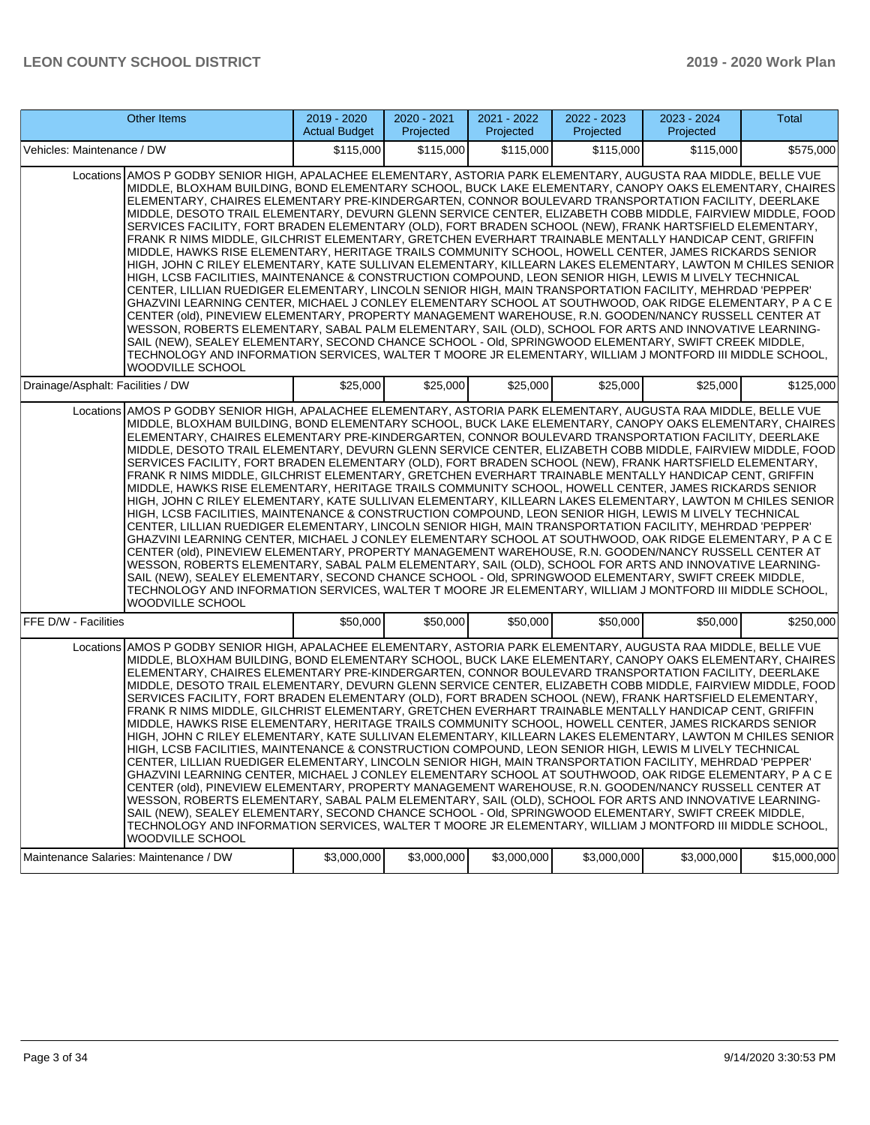| Other Items                                                                                                                                                                                                                                                                                                                                                                                                                                                                                                                                                                                                                                                                                                                                                                                                                                                                                                                                                                                                                                                                                                                                                                                                                                                                                                                                                                                                                                                                                                                                                                                                                                                                                        | 2019 - 2020<br><b>Actual Budget</b> | 2020 - 2021<br>Projected | 2021 - 2022<br>Projected | 2022 - 2023<br>Projected | 2023 - 2024<br>Projected | Total        |  |
|----------------------------------------------------------------------------------------------------------------------------------------------------------------------------------------------------------------------------------------------------------------------------------------------------------------------------------------------------------------------------------------------------------------------------------------------------------------------------------------------------------------------------------------------------------------------------------------------------------------------------------------------------------------------------------------------------------------------------------------------------------------------------------------------------------------------------------------------------------------------------------------------------------------------------------------------------------------------------------------------------------------------------------------------------------------------------------------------------------------------------------------------------------------------------------------------------------------------------------------------------------------------------------------------------------------------------------------------------------------------------------------------------------------------------------------------------------------------------------------------------------------------------------------------------------------------------------------------------------------------------------------------------------------------------------------------------|-------------------------------------|--------------------------|--------------------------|--------------------------|--------------------------|--------------|--|
| Vehicles: Maintenance / DW                                                                                                                                                                                                                                                                                                                                                                                                                                                                                                                                                                                                                                                                                                                                                                                                                                                                                                                                                                                                                                                                                                                                                                                                                                                                                                                                                                                                                                                                                                                                                                                                                                                                         | \$115,000                           | \$115,000                | \$115,000                | \$115,000                | \$115,000                | \$575,000    |  |
| Locations AMOS P GODBY SENIOR HIGH, APALACHEE ELEMENTARY, ASTORIA PARK ELEMENTARY, AUGUSTA RAA MIDDLE, BELLE VUE<br>MIDDLE, BLOXHAM BUILDING, BOND ELEMENTARY SCHOOL, BUCK LAKE ELEMENTARY, CANOPY OAKS ELEMENTARY, CHAIRES<br>ELEMENTARY, CHAIRES ELEMENTARY PRE-KINDERGARTEN, CONNOR BOULEVARD TRANSPORTATION FACILITY, DEERLAKE<br>MIDDLE, DESOTO TRAIL ELEMENTARY, DEVURN GLENN SERVICE CENTER, ELIZABETH COBB MIDDLE, FAIRVIEW MIDDLE, FOOD<br>SERVICES FACILITY, FORT BRADEN ELEMENTARY (OLD), FORT BRADEN SCHOOL (NEW), FRANK HARTSFIELD ELEMENTARY,<br>FRANK R NIMS MIDDLE, GILCHRIST ELEMENTARY, GRETCHEN EVERHART TRAINABLE MENTALLY HANDICAP CENT, GRIFFIN<br>MIDDLE, HAWKS RISE ELEMENTARY, HERITAGE TRAILS COMMUNITY SCHOOL, HOWELL CENTER, JAMES RICKARDS SENIOR<br>HIGH, JOHN C RILEY ELEMENTARY, KATE SULLIVAN ELEMENTARY, KILLEARN LAKES ELEMENTARY, LAWTON M CHILES SENIOR<br>HIGH, LCSB FACILITIES, MAINTENANCE & CONSTRUCTION COMPOUND, LEON SENIOR HIGH, LEWIS M LIVELY TECHNICAL<br>CENTER, LILLIAN RUEDIGER ELEMENTARY, LINCOLN SENIOR HIGH, MAIN TRANSPORTATION FACILITY, MEHRDAD 'PEPPER'<br>GHAZVINI LEARNING CENTER, MICHAEL J CONLEY ELEMENTARY SCHOOL AT SOUTHWOOD, OAK RIDGE ELEMENTARY, P A C E<br>CENTER (old), PINEVIEW ELEMENTARY, PROPERTY MANAGEMENT WAREHOUSE, R.N. GOODEN/NANCY RUSSELL CENTER AT<br>WESSON, ROBERTS ELEMENTARY, SABAL PALM ELEMENTARY, SAIL (OLD), SCHOOL FOR ARTS AND INNOVATIVE LEARNING-<br>SAIL (NEW), SEALEY ELEMENTARY, SECOND CHANCE SCHOOL - Old, SPRINGWOOD ELEMENTARY, SWIFT CREEK MIDDLE,<br>TECHNOLOGY AND INFORMATION SERVICES, WALTER T MOORE JR ELEMENTARY, WILLIAM J MONTFORD III MIDDLE SCHOOL,<br>WOODVILLE SCHOOL        |                                     |                          |                          |                          |                          |              |  |
| Drainage/Asphalt: Facilities / DW                                                                                                                                                                                                                                                                                                                                                                                                                                                                                                                                                                                                                                                                                                                                                                                                                                                                                                                                                                                                                                                                                                                                                                                                                                                                                                                                                                                                                                                                                                                                                                                                                                                                  | \$25,000                            | \$25,000                 | \$25,000                 | \$25,000                 | \$25,000                 | \$125,000    |  |
| Locations AMOS P GODBY SENIOR HIGH, APALACHEE ELEMENTARY, ASTORIA PARK ELEMENTARY, AUGUSTA RAA MIDDLE, BELLE VUE<br>MIDDLE, BLOXHAM BUILDING, BOND ELEMENTARY SCHOOL, BUCK LAKE ELEMENTARY, CANOPY OAKS ELEMENTARY, CHAIRES<br>ELEMENTARY, CHAIRES ELEMENTARY PRE-KINDERGARTEN, CONNOR BOULEVARD TRANSPORTATION FACILITY, DEERLAKE<br>MIDDLE, DESOTO TRAIL ELEMENTARY, DEVURN GLENN SERVICE CENTER, ELIZABETH COBB MIDDLE, FAIRVIEW MIDDLE, FOOD<br>SERVICES FACILITY, FORT BRADEN ELEMENTARY (OLD), FORT BRADEN SCHOOL (NEW), FRANK HARTSFIELD ELEMENTARY,<br>FRANK R NIMS MIDDLE, GILCHRIST ELEMENTARY, GRETCHEN EVERHART TRAINABLE MENTALLY HANDICAP CENT, GRIFFIN<br>MIDDLE, HAWKS RISE ELEMENTARY, HERITAGE TRAILS COMMUNITY SCHOOL, HOWELL CENTER, JAMES RICKARDS SENIOR<br>HIGH, JOHN C RILEY ELEMENTARY, KATE SULLIVAN ELEMENTARY, KILLEARN LAKES ELEMENTARY, LAWTON M CHILES SENIOR<br>HIGH, LCSB FACILITIES, MAINTENANCE & CONSTRUCTION COMPOUND, LEON SENIOR HIGH, LEWIS M LIVELY TECHNICAL<br>CENTER, LILLIAN RUEDIGER ELEMENTARY, LINCOLN SENIOR HIGH, MAIN TRANSPORTATION FACILITY, MEHRDAD 'PEPPER'<br>GHAZVINI LEARNING CENTER, MICHAEL J CONLEY ELEMENTARY SCHOOL AT SOUTHWOOD, OAK RIDGE ELEMENTARY, P A C E<br>CENTER (old), PINEVIEW ELEMENTARY, PROPERTY MANAGEMENT WAREHOUSE, R.N. GOODEN/NANCY RUSSELL CENTER AT<br>WESSON, ROBERTS ELEMENTARY, SABAL PALM ELEMENTARY, SAIL (OLD), SCHOOL FOR ARTS AND INNOVATIVE LEARNING-<br>SAIL (NEW), SEALEY ELEMENTARY, SECOND CHANCE SCHOOL - Old, SPRINGWOOD ELEMENTARY, SWIFT CREEK MIDDLE,<br>TECHNOLOGY AND INFORMATION SERVICES, WALTER T MOORE JR ELEMENTARY, WILLIAM J MONTFORD III MIDDLE SCHOOL,<br><b>WOODVILLE SCHOOL</b> |                                     |                          |                          |                          |                          |              |  |
| FFE D/W - Facilities                                                                                                                                                                                                                                                                                                                                                                                                                                                                                                                                                                                                                                                                                                                                                                                                                                                                                                                                                                                                                                                                                                                                                                                                                                                                                                                                                                                                                                                                                                                                                                                                                                                                               | \$50,000                            | \$50,000                 | \$50,000                 | \$50,000                 | \$50,000                 | \$250,000    |  |
| Locations AMOS P GODBY SENIOR HIGH, APALACHEE ELEMENTARY, ASTORIA PARK ELEMENTARY, AUGUSTA RAA MIDDLE, BELLE VUE<br>MIDDLE, BLOXHAM BUILDING, BOND ELEMENTARY SCHOOL, BUCK LAKE ELEMENTARY, CANOPY OAKS ELEMENTARY, CHAIRES<br>ELEMENTARY, CHAIRES ELEMENTARY PRE-KINDERGARTEN, CONNOR BOULEVARD TRANSPORTATION FACILITY, DEERLAKE<br>MIDDLE, DESOTO TRAIL ELEMENTARY, DEVURN GLENN SERVICE CENTER, ELIZABETH COBB MIDDLE, FAIRVIEW MIDDLE, FOOD<br>SERVICES FACILITY, FORT BRADEN ELEMENTARY (OLD), FORT BRADEN SCHOOL (NEW), FRANK HARTSFIELD ELEMENTARY,<br>FRANK R NIMS MIDDLE, GILCHRIST ELEMENTARY, GRETCHEN EVERHART TRAINABLE MENTALLY HANDICAP CENT, GRIFFIN<br>MIDDLE, HAWKS RISE ELEMENTARY, HERITAGE TRAILS COMMUNITY SCHOOL, HOWELL CENTER, JAMES RICKARDS SENIOR<br>HIGH. JOHN C RILEY ELEMENTARY. KATE SULLIVAN ELEMENTARY. KILLEARN LAKES ELEMENTARY. LAWTON M CHILES SENIOR<br>HIGH, LCSB FACILITIES, MAINTENANCE & CONSTRUCTION COMPOUND, LEON SENIOR HIGH, LEWIS M LIVELY TECHNICAL<br>CENTER, LILLIAN RUEDIGER ELEMENTARY, LINCOLN SENIOR HIGH, MAIN TRANSPORTATION FACILITY, MEHRDAD 'PEPPER'<br>GHAZVINI LEARNING CENTER, MICHAEL J CONLEY ELEMENTARY SCHOOL AT SOUTHWOOD, OAK RIDGE ELEMENTARY, P A C E<br>CENTER (old), PINEVIEW ELEMENTARY, PROPERTY MANAGEMENT WAREHOUSE, R.N. GOODEN/NANCY RUSSELL CENTER AT<br>WESSON, ROBERTS ELEMENTARY, SABAL PALM ELEMENTARY, SAIL (OLD), SCHOOL FOR ARTS AND INNOVATIVE LEARNING-<br>SAIL (NEW), SEALEY ELEMENTARY, SECOND CHANCE SCHOOL - OId, SPRINGWOOD ELEMENTARY, SWIFT CREEK MIDDLE.<br>TECHNOLOGY AND INFORMATION SERVICES, WALTER T MOORE JR ELEMENTARY, WILLIAM J MONTFORD III MIDDLE SCHOOL,<br>WOODVILLE SCHOOL        |                                     |                          |                          |                          |                          |              |  |
| Maintenance Salaries: Maintenance / DW                                                                                                                                                                                                                                                                                                                                                                                                                                                                                                                                                                                                                                                                                                                                                                                                                                                                                                                                                                                                                                                                                                                                                                                                                                                                                                                                                                                                                                                                                                                                                                                                                                                             | \$3,000,000                         | \$3,000,000              | \$3,000,000              | \$3,000,000              | \$3,000,000              | \$15,000,000 |  |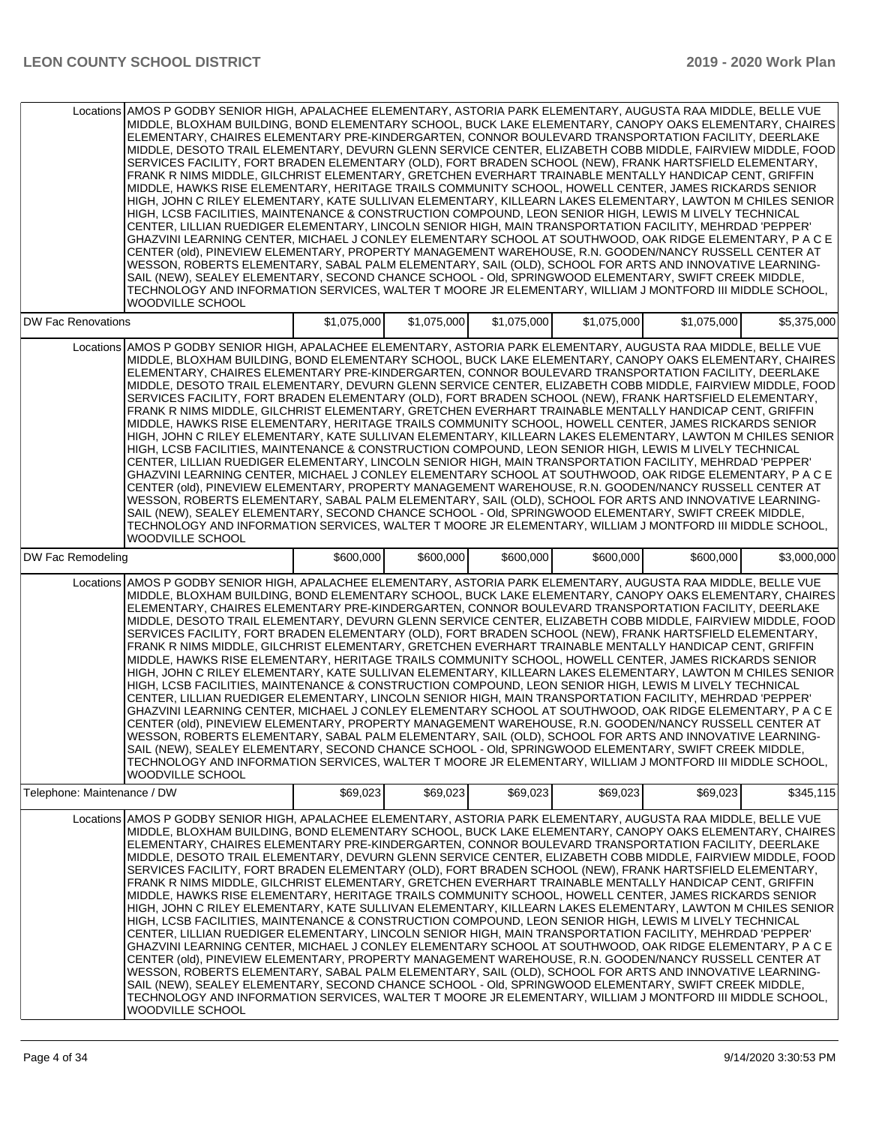|                             | Locations AMOS P GODBY SENIOR HIGH, APALACHEE ELEMENTARY, ASTORIA PARK ELEMENTARY, AUGUSTA RAA MIDDLE, BELLE VUE<br>MIDDLE, BLOXHAM BUILDING, BOND ELEMENTARY SCHOOL, BUCK LAKE ELEMENTARY, CANOPY OAKS ELEMENTARY, CHAIRES<br>ELEMENTARY, CHAIRES ELEMENTARY PRE-KINDERGARTEN, CONNOR BOULEVARD TRANSPORTATION FACILITY, DEERLAKE<br>MIDDLE, DESOTO TRAIL ELEMENTARY, DEVURN GLENN SERVICE CENTER, ELIZABETH COBB MIDDLE, FAIRVIEW MIDDLE, FOOD<br>SERVICES FACILITY, FORT BRADEN ELEMENTARY (OLD), FORT BRADEN SCHOOL (NEW), FRANK HARTSFIELD ELEMENTARY,<br>FRANK R NIMS MIDDLE, GILCHRIST ELEMENTARY, GRETCHEN EVERHART TRAINABLE MENTALLY HANDICAP CENT, GRIFFIN<br>MIDDLE, HAWKS RISE ELEMENTARY, HERITAGE TRAILS COMMUNITY SCHOOL, HOWELL CENTER, JAMES RICKARDS SENIOR<br>HIGH, JOHN C RILEY ELEMENTARY, KATE SULLIVAN ELEMENTARY, KILLEARN LAKES ELEMENTARY, LAWTON M CHILES SENIOR<br>HIGH, LCSB FACILITIES, MAINTENANCE & CONSTRUCTION COMPOUND, LEON SENIOR HIGH, LEWIS M LIVELY TECHNICAL<br>CENTER, LILLIAN RUEDIGER ELEMENTARY, LINCOLN SENIOR HIGH, MAIN TRANSPORTATION FACILITY, MEHRDAD 'PEPPER'<br>GHAZVINI LEARNING CENTER, MICHAEL J CONLEY ELEMENTARY SCHOOL AT SOUTHWOOD, OAK RIDGE ELEMENTARY, P A C E<br>CENTER (old), PINEVIEW ELEMENTARY, PROPERTY MANAGEMENT WAREHOUSE, R.N. GOODEN/NANCY RUSSELL CENTER AT<br>WESSON, ROBERTS ELEMENTARY, SABAL PALM ELEMENTARY, SAIL (OLD), SCHOOL FOR ARTS AND INNOVATIVE LEARNING-<br>SAIL (NEW), SEALEY ELEMENTARY, SECOND CHANCE SCHOOL - Old, SPRINGWOOD ELEMENTARY, SWIFT CREEK MIDDLE,<br>TECHNOLOGY AND INFORMATION SERVICES, WALTER T MOORE JR ELEMENTARY, WILLIAM J MONTFORD III MIDDLE SCHOOL,<br>WOODVILLE SCHOOL        |             |             |             |             |             |             |
|-----------------------------|----------------------------------------------------------------------------------------------------------------------------------------------------------------------------------------------------------------------------------------------------------------------------------------------------------------------------------------------------------------------------------------------------------------------------------------------------------------------------------------------------------------------------------------------------------------------------------------------------------------------------------------------------------------------------------------------------------------------------------------------------------------------------------------------------------------------------------------------------------------------------------------------------------------------------------------------------------------------------------------------------------------------------------------------------------------------------------------------------------------------------------------------------------------------------------------------------------------------------------------------------------------------------------------------------------------------------------------------------------------------------------------------------------------------------------------------------------------------------------------------------------------------------------------------------------------------------------------------------------------------------------------------------------------------------------------------------|-------------|-------------|-------------|-------------|-------------|-------------|
| <b>DW Fac Renovations</b>   |                                                                                                                                                                                                                                                                                                                                                                                                                                                                                                                                                                                                                                                                                                                                                                                                                                                                                                                                                                                                                                                                                                                                                                                                                                                                                                                                                                                                                                                                                                                                                                                                                                                                                                    | \$1,075,000 | \$1,075,000 | \$1,075,000 | \$1,075,000 | \$1,075,000 | \$5,375,000 |
|                             | Locations AMOS P GODBY SENIOR HIGH, APALACHEE ELEMENTARY, ASTORIA PARK ELEMENTARY, AUGUSTA RAA MIDDLE, BELLE VUE<br>MIDDLE, BLOXHAM BUILDING, BOND ELEMENTARY SCHOOL, BUCK LAKE ELEMENTARY, CANOPY OAKS ELEMENTARY, CHAIRES<br>ELEMENTARY, CHAIRES ELEMENTARY PRE-KINDERGARTEN, CONNOR BOULEVARD TRANSPORTATION FACILITY, DEERLAKE<br>MIDDLE, DESOTO TRAIL ELEMENTARY, DEVURN GLENN SERVICE CENTER, ELIZABETH COBB MIDDLE, FAIRVIEW MIDDLE, FOOD<br>SERVICES FACILITY, FORT BRADEN ELEMENTARY (OLD), FORT BRADEN SCHOOL (NEW), FRANK HARTSFIELD ELEMENTARY,<br>FRANK R NIMS MIDDLE, GILCHRIST ELEMENTARY, GRETCHEN EVERHART TRAINABLE MENTALLY HANDICAP CENT, GRIFFIN<br>MIDDLE, HAWKS RISE ELEMENTARY, HERITAGE TRAILS COMMUNITY SCHOOL, HOWELL CENTER, JAMES RICKARDS SENIOR<br>HIGH, JOHN C RILEY ELEMENTARY, KATE SULLIVAN ELEMENTARY, KILLEARN LAKES ELEMENTARY, LAWTON M CHILES SENIOR<br>HIGH, LCSB FACILITIES, MAINTENANCE & CONSTRUCTION COMPOUND, LEON SENIOR HIGH, LEWIS M LIVELY TECHNICAL<br>CENTER. LILLIAN RUEDIGER ELEMENTARY. LINCOLN SENIOR HIGH. MAIN TRANSPORTATION FACILITY. MEHRDAD 'PEPPER'<br>GHAZVINI LEARNING CENTER, MICHAEL J CONLEY ELEMENTARY SCHOOL AT SOUTHWOOD, OAK RIDGE ELEMENTARY, P A C E<br>CENTER (old), PINEVIEW ELEMENTARY, PROPERTY MANAGEMENT WAREHOUSE, R.N. GOODEN/NANCY RUSSELL CENTER AT<br>WESSON, ROBERTS ELEMENTARY, SABAL PALM ELEMENTARY, SAIL (OLD), SCHOOL FOR ARTS AND INNOVATIVE LEARNING-<br>SAIL (NEW), SEALEY ELEMENTARY, SECOND CHANCE SCHOOL - OId, SPRINGWOOD ELEMENTARY, SWIFT CREEK MIDDLE,<br>TECHNOLOGY AND INFORMATION SERVICES, WALTER T MOORE JR ELEMENTARY, WILLIAM J MONTFORD III MIDDLE SCHOOL,<br><b>WOODVILLE SCHOOL</b> |             |             |             |             |             |             |
| DW Fac Remodeling           |                                                                                                                                                                                                                                                                                                                                                                                                                                                                                                                                                                                                                                                                                                                                                                                                                                                                                                                                                                                                                                                                                                                                                                                                                                                                                                                                                                                                                                                                                                                                                                                                                                                                                                    | \$600,000   | \$600,000   | \$600,000   | \$600,000   | \$600,000   | \$3,000,000 |
|                             | Locations AMOS P GODBY SENIOR HIGH, APALACHEE ELEMENTARY, ASTORIA PARK ELEMENTARY, AUGUSTA RAA MIDDLE, BELLE VUE<br>MIDDLE, BLOXHAM BUILDING, BOND ELEMENTARY SCHOOL, BUCK LAKE ELEMENTARY, CANOPY OAKS ELEMENTARY, CHAIRES<br>ELEMENTARY, CHAIRES ELEMENTARY PRE-KINDERGARTEN, CONNOR BOULEVARD TRANSPORTATION FACILITY, DEERLAKE<br>MIDDLE, DESOTO TRAIL ELEMENTARY, DEVURN GLENN SERVICE CENTER, ELIZABETH COBB MIDDLE, FAIRVIEW MIDDLE, FOOD<br>SERVICES FACILITY, FORT BRADEN ELEMENTARY (OLD), FORT BRADEN SCHOOL (NEW), FRANK HARTSFIELD ELEMENTARY,<br>FRANK R NIMS MIDDLE, GILCHRIST ELEMENTARY, GRETCHEN EVERHART TRAINABLE MENTALLY HANDICAP CENT, GRIFFIN<br>MIDDLE, HAWKS RISE ELEMENTARY, HERITAGE TRAILS COMMUNITY SCHOOL, HOWELL CENTER, JAMES RICKARDS SENIOR<br>HIGH, JOHN C RILEY ELEMENTARY, KATE SULLIVAN ELEMENTARY, KILLEARN LAKES ELEMENTARY, LAWTON M CHILES SENIOR<br>HIGH, LCSB FACILITIES, MAINTENANCE & CONSTRUCTION COMPOUND, LEON SENIOR HIGH, LEWIS M LIVELY TECHNICAL<br>CENTER, LILLIAN RUEDIGER ELEMENTARY, LINCOLN SENIOR HIGH, MAIN TRANSPORTATION FACILITY, MEHRDAD 'PEPPER'<br>GHAZVINI LEARNING CENTER, MICHAEL J CONLEY ELEMENTARY SCHOOL AT SOUTHWOOD, OAK RIDGE ELEMENTARY, P A C E<br>CENTER (old), PINEVIEW ELEMENTARY, PROPERTY MANAGEMENT WAREHOUSE, R.N. GOODEN/NANCY RUSSELL CENTER AT<br>WESSON, ROBERTS ELEMENTARY, SABAL PALM ELEMENTARY, SAIL (OLD), SCHOOL FOR ARTS AND INNOVATIVE LEARNING-<br>SAIL (NEW), SEALEY ELEMENTARY, SECOND CHANCE SCHOOL - Old, SPRINGWOOD ELEMENTARY, SWIFT CREEK MIDDLE,<br>TECHNOLOGY AND INFORMATION SERVICES, WALTER T MOORE JR ELEMENTARY, WILLIAM J MONTFORD III MIDDLE SCHOOL,<br>WOODVILLE SCHOOL        |             |             |             |             |             |             |
| Telephone: Maintenance / DW |                                                                                                                                                                                                                                                                                                                                                                                                                                                                                                                                                                                                                                                                                                                                                                                                                                                                                                                                                                                                                                                                                                                                                                                                                                                                                                                                                                                                                                                                                                                                                                                                                                                                                                    | \$69,023    | \$69,023    | \$69,023    | \$69,023    | \$69,023    | \$345,115   |
|                             | Locations AMOS P GODBY SENIOR HIGH, APALACHEE ELEMENTARY, ASTORIA PARK ELEMENTARY, AUGUSTA RAA MIDDLE, BELLE VUE<br>MIDDLE, BLOXHAM BUILDING, BOND ELEMENTARY SCHOOL, BUCK LAKE ELEMENTARY, CANOPY OAKS ELEMENTARY, CHAIRES<br>ELEMENTARY. CHAIRES ELEMENTARY PRE-KINDERGARTEN. CONNOR BOULEVARD TRANSPORTATION FACILITY. DEERLAKE<br>MIDDLE, DESOTO TRAIL ELEMENTARY, DEVURN GLENN SERVICE CENTER, ELIZABETH COBB MIDDLE, FAIRVIEW MIDDLE, FOOD<br>SERVICES FACILITY, FORT BRADEN ELEMENTARY (OLD), FORT BRADEN SCHOOL (NEW), FRANK HARTSFIELD ELEMENTARY,<br>FRANK R NIMS MIDDLE, GILCHRIST ELEMENTARY, GRETCHEN EVERHART TRAINABLE MENTALLY HANDICAP CENT, GRIFFIN<br>MIDDLE, HAWKS RISE ELEMENTARY, HERITAGE TRAILS COMMUNITY SCHOOL, HOWELL CENTER, JAMES RICKARDS SENIOR<br>HIGH, JOHN C RILEY ELEMENTARY, KATE SULLIVAN ELEMENTARY, KILLEARN LAKES ELEMENTARY, LAWTON M CHILES SENIOR<br>HIGH, LCSB FACILITIES, MAINTENANCE & CONSTRUCTION COMPOUND, LEON SENIOR HIGH, LEWIS M LIVELY TECHNICAL<br>CENTER, LILLIAN RUEDIGER ELEMENTARY, LINCOLN SENIOR HIGH, MAIN TRANSPORTATION FACILITY, MEHRDAD 'PEPPER'<br>GHAZVINI LEARNING CENTER, MICHAEL J CONLEY ELEMENTARY SCHOOL AT SOUTHWOOD, OAK RIDGE ELEMENTARY, P A C E<br>CENTER (old), PINEVIEW ELEMENTARY, PROPERTY MANAGEMENT WAREHOUSE, R.N. GOODEN/NANCY RUSSELL CENTER AT<br>WESSON, ROBERTS ELEMENTARY, SABAL PALM ELEMENTARY, SAIL (OLD), SCHOOL FOR ARTS AND INNOVATIVE LEARNING-<br>SAIL (NEW), SEALEY ELEMENTARY, SECOND CHANCE SCHOOL - Old, SPRINGWOOD ELEMENTARY, SWIFT CREEK MIDDLE,<br>TECHNOLOGY AND INFORMATION SERVICES, WALTER T MOORE JR ELEMENTARY, WILLIAM J MONTFORD III MIDDLE SCHOOL,<br>WOODVILLE SCHOOL        |             |             |             |             |             |             |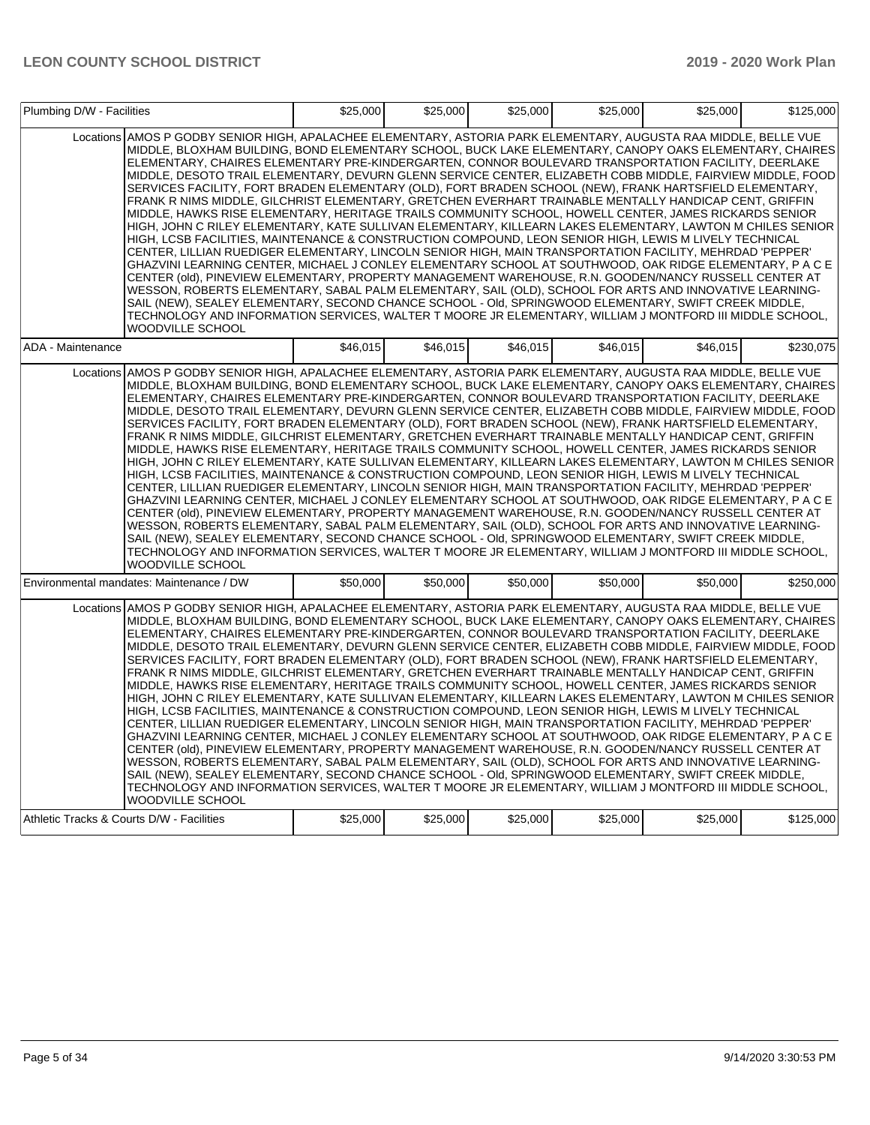| Plumbing D/W - Facilities                 |                                                                                                                                                                                                                                                                                                                                                                                                                                                                                                                                                                                                                                                                                                                                                                                                                                                                                                                                                                                                                                                                                                                                                                                                                                                                                                                                                                                                                                                                                                                                                                                                                                                                                                    | \$25,000 | \$25,000 | \$25,000 | \$25,000 | \$25,000 | \$125,000 |
|-------------------------------------------|----------------------------------------------------------------------------------------------------------------------------------------------------------------------------------------------------------------------------------------------------------------------------------------------------------------------------------------------------------------------------------------------------------------------------------------------------------------------------------------------------------------------------------------------------------------------------------------------------------------------------------------------------------------------------------------------------------------------------------------------------------------------------------------------------------------------------------------------------------------------------------------------------------------------------------------------------------------------------------------------------------------------------------------------------------------------------------------------------------------------------------------------------------------------------------------------------------------------------------------------------------------------------------------------------------------------------------------------------------------------------------------------------------------------------------------------------------------------------------------------------------------------------------------------------------------------------------------------------------------------------------------------------------------------------------------------------|----------|----------|----------|----------|----------|-----------|
|                                           | Locations AMOS P GODBY SENIOR HIGH. APALACHEE ELEMENTARY. ASTORIA PARK ELEMENTARY. AUGUSTA RAA MIDDLE. BELLE VUE<br>MIDDLE, BLOXHAM BUILDING, BOND ELEMENTARY SCHOOL, BUCK LAKE ELEMENTARY, CANOPY OAKS ELEMENTARY, CHAIRES<br>ELEMENTARY, CHAIRES ELEMENTARY PRE-KINDERGARTEN, CONNOR BOULEVARD TRANSPORTATION FACILITY, DEERLAKE<br>MIDDLE, DESOTO TRAIL ELEMENTARY, DEVURN GLENN SERVICE CENTER, ELIZABETH COBB MIDDLE, FAIRVIEW MIDDLE, FOOD<br>SERVICES FACILITY, FORT BRADEN ELEMENTARY (OLD), FORT BRADEN SCHOOL (NEW), FRANK HARTSFIELD ELEMENTARY,<br>FRANK R NIMS MIDDLE, GILCHRIST ELEMENTARY, GRETCHEN EVERHART TRAINABLE MENTALLY HANDICAP CENT, GRIFFIN<br>MIDDLE, HAWKS RISE ELEMENTARY, HERITAGE TRAILS COMMUNITY SCHOOL, HOWELL CENTER, JAMES RICKARDS SENIOR<br>HIGH, JOHN C RILEY ELEMENTARY, KATE SULLIVAN ELEMENTARY, KILLEARN LAKES ELEMENTARY, LAWTON M CHILES SENIOR<br>HIGH, LCSB FACILITIES, MAINTENANCE & CONSTRUCTION COMPOUND, LEON SENIOR HIGH, LEWIS M LIVELY TECHNICAL<br>CENTER, LILLIAN RUEDIGER ELEMENTARY, LINCOLN SENIOR HIGH, MAIN TRANSPORTATION FACILITY, MEHRDAD 'PEPPER'<br>GHAZVINI LEARNING CENTER, MICHAEL J CONLEY ELEMENTARY SCHOOL AT SOUTHWOOD, OAK RIDGE ELEMENTARY, P A C E<br>CENTER (old), PINEVIEW ELEMENTARY, PROPERTY MANAGEMENT WAREHOUSE, R.N. GOODEN/NANCY RUSSELL CENTER AT<br>WESSON, ROBERTS ELEMENTARY, SABAL PALM ELEMENTARY, SAIL (OLD), SCHOOL FOR ARTS AND INNOVATIVE LEARNING-<br>SAIL (NEW), SEALEY ELEMENTARY, SECOND CHANCE SCHOOL - OId, SPRINGWOOD ELEMENTARY, SWIFT CREEK MIDDLE,<br>TECHNOLOGY AND INFORMATION SERVICES, WALTER T MOORE JR ELEMENTARY, WILLIAM J MONTFORD III MIDDLE SCHOOL,<br>WOODVILLE SCHOOL        |          |          |          |          |          |           |
| ADA - Maintenance                         |                                                                                                                                                                                                                                                                                                                                                                                                                                                                                                                                                                                                                                                                                                                                                                                                                                                                                                                                                                                                                                                                                                                                                                                                                                                                                                                                                                                                                                                                                                                                                                                                                                                                                                    | \$46.015 | \$46.015 | \$46,015 | \$46.015 | \$46.015 | \$230,075 |
|                                           | Locations AMOS P GODBY SENIOR HIGH, APALACHEE ELEMENTARY, ASTORIA PARK ELEMENTARY, AUGUSTA RAA MIDDLE, BELLE VUE<br>MIDDLE, BLOXHAM BUILDING, BOND ELEMENTARY SCHOOL, BUCK LAKE ELEMENTARY, CANOPY OAKS ELEMENTARY, CHAIRES<br>ELEMENTARY, CHAIRES ELEMENTARY PRE-KINDERGARTEN, CONNOR BOULEVARD TRANSPORTATION FACILITY, DEERLAKE<br>MIDDLE, DESOTO TRAIL ELEMENTARY, DEVURN GLENN SERVICE CENTER, ELIZABETH COBB MIDDLE, FAIRVIEW MIDDLE, FOOD<br>SERVICES FACILITY, FORT BRADEN ELEMENTARY (OLD), FORT BRADEN SCHOOL (NEW), FRANK HARTSFIELD ELEMENTARY,<br>FRANK R NIMS MIDDLE, GILCHRIST ELEMENTARY, GRETCHEN EVERHART TRAINABLE MENTALLY HANDICAP CENT, GRIFFIN<br>MIDDLE, HAWKS RISE ELEMENTARY, HERITAGE TRAILS COMMUNITY SCHOOL, HOWELL CENTER, JAMES RICKARDS SENIOR<br>HIGH, JOHN C RILEY ELEMENTARY, KATE SULLIVAN ELEMENTARY, KILLEARN LAKES ELEMENTARY, LAWTON M CHILES SENIOR<br>HIGH, LCSB FACILITIES, MAINTENANCE & CONSTRUCTION COMPOUND, LEON SENIOR HIGH, LEWIS M LIVELY TECHNICAL<br>CENTER, LILLIAN RUEDIGER ELEMENTARY, LINCOLN SENIOR HIGH, MAIN TRANSPORTATION FACILITY, MEHRDAD 'PEPPER'<br>GHAZVINI LEARNING CENTER, MICHAEL J CONLEY ELEMENTARY SCHOOL AT SOUTHWOOD, OAK RIDGE ELEMENTARY, P A C E<br>CENTER (old), PINEVIEW ELEMENTARY, PROPERTY MANAGEMENT WAREHOUSE, R.N. GOODEN/NANCY RUSSELL CENTER AT<br>WESSON, ROBERTS ELEMENTARY, SABAL PALM ELEMENTARY, SAIL (OLD), SCHOOL FOR ARTS AND INNOVATIVE LEARNING-<br>SAIL (NEW), SEALEY ELEMENTARY, SECOND CHANCE SCHOOL - OId, SPRINGWOOD ELEMENTARY, SWIFT CREEK MIDDLE,<br>TECHNOLOGY AND INFORMATION SERVICES, WALTER T MOORE JR ELEMENTARY, WILLIAM J MONTFORD III MIDDLE SCHOOL,<br><b>WOODVILLE SCHOOL</b> |          |          |          |          |          |           |
|                                           | Environmental mandates: Maintenance / DW                                                                                                                                                                                                                                                                                                                                                                                                                                                                                                                                                                                                                                                                                                                                                                                                                                                                                                                                                                                                                                                                                                                                                                                                                                                                                                                                                                                                                                                                                                                                                                                                                                                           | \$50,000 | \$50,000 | \$50,000 | \$50,000 | \$50,000 | \$250,000 |
|                                           | Locations AMOS P GODBY SENIOR HIGH, APALACHEE ELEMENTARY, ASTORIA PARK ELEMENTARY, AUGUSTA RAA MIDDLE, BELLE VUE<br>MIDDLE, BLOXHAM BUILDING, BOND ELEMENTARY SCHOOL, BUCK LAKE ELEMENTARY, CANOPY OAKS ELEMENTARY, CHAIRES<br>ELEMENTARY, CHAIRES ELEMENTARY PRE-KINDERGARTEN, CONNOR BOULEVARD TRANSPORTATION FACILITY, DEERLAKE<br>MIDDLE, DESOTO TRAIL ELEMENTARY, DEVURN GLENN SERVICE CENTER, ELIZABETH COBB MIDDLE, FAIRVIEW MIDDLE, FOOD<br>SERVICES FACILITY, FORT BRADEN ELEMENTARY (OLD), FORT BRADEN SCHOOL (NEW), FRANK HARTSFIELD ELEMENTARY,<br>FRANK R NIMS MIDDLE, GILCHRIST ELEMENTARY, GRETCHEN EVERHART TRAINABLE MENTALLY HANDICAP CENT, GRIFFIN<br>MIDDLE, HAWKS RISE ELEMENTARY, HERITAGE TRAILS COMMUNITY SCHOOL, HOWELL CENTER, JAMES RICKARDS SENIOR<br>HIGH, JOHN C RILEY ELEMENTARY, KATE SULLIVAN ELEMENTARY, KILLEARN LAKES ELEMENTARY, LAWTON M CHILES SENIOR<br>HIGH, LCSB FACILITIES, MAINTENANCE & CONSTRUCTION COMPOUND, LEON SENIOR HIGH, LEWIS M LIVELY TECHNICAL<br>CENTER, LILLIAN RUEDIGER ELEMENTARY, LINCOLN SENIOR HIGH, MAIN TRANSPORTATION FACILITY, MEHRDAD 'PEPPER'<br>GHAZVINI LEARNING CENTER, MICHAEL J CONLEY ELEMENTARY SCHOOL AT SOUTHWOOD, OAK RIDGE ELEMENTARY, P A C E<br>CENTER (old), PINEVIEW ELEMENTARY, PROPERTY MANAGEMENT WAREHOUSE, R.N. GOODEN/NANCY RUSSELL CENTER AT<br>WESSON, ROBERTS ELEMENTARY, SABAL PALM ELEMENTARY, SAIL (OLD), SCHOOL FOR ARTS AND INNOVATIVE LEARNING-<br>SAIL (NEW), SEALEY ELEMENTARY, SECOND CHANCE SCHOOL - OId, SPRINGWOOD ELEMENTARY, SWIFT CREEK MIDDLE,<br>TECHNOLOGY AND INFORMATION SERVICES, WALTER T MOORE JR ELEMENTARY, WILLIAM J MONTFORD III MIDDLE SCHOOL,<br><b>WOODVILLE SCHOOL</b> |          |          |          |          |          |           |
| Athletic Tracks & Courts D/W - Facilities |                                                                                                                                                                                                                                                                                                                                                                                                                                                                                                                                                                                                                                                                                                                                                                                                                                                                                                                                                                                                                                                                                                                                                                                                                                                                                                                                                                                                                                                                                                                                                                                                                                                                                                    | \$25,000 | \$25,000 | \$25,000 | \$25,000 | \$25,000 | \$125,000 |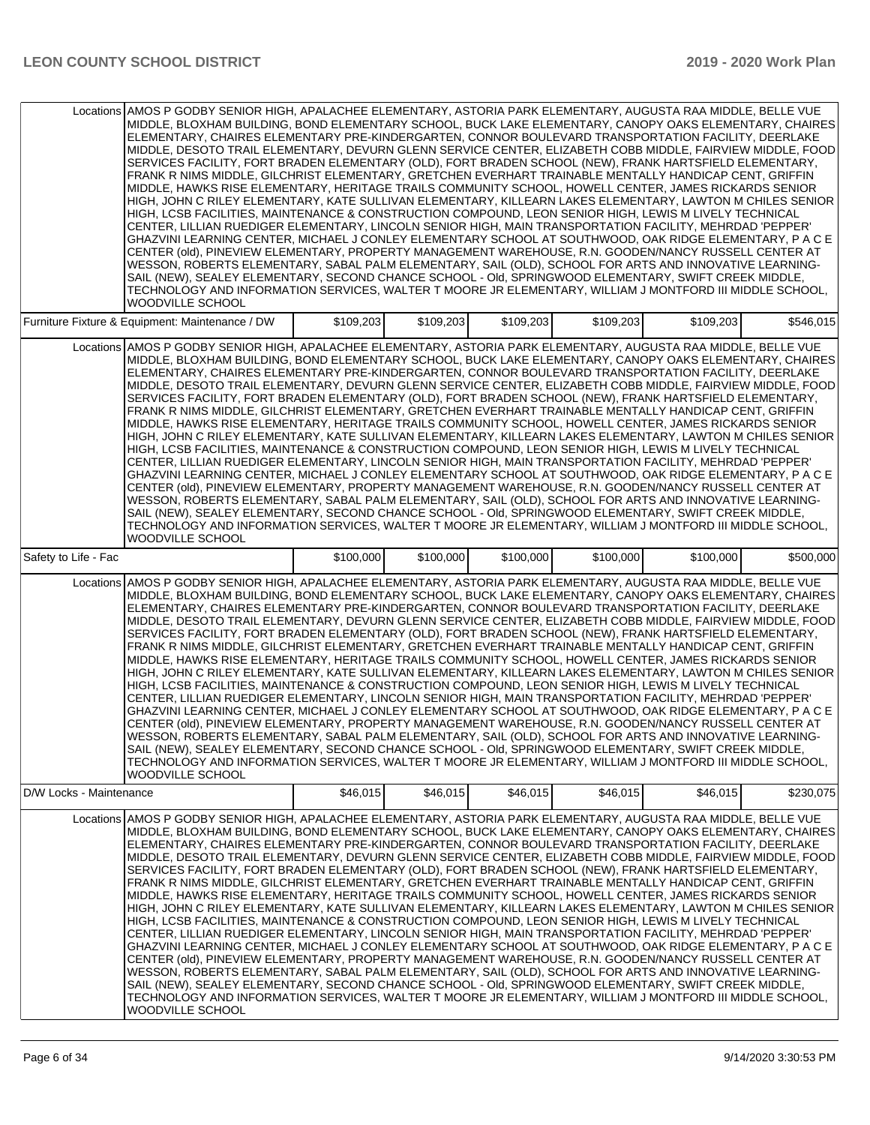| Locations AMOS P GODBY SENIOR HIGH, APALACHEE ELEMENTARY, ASTORIA PARK ELEMENTARY, AUGUSTA RAA MIDDLE, BELLE VUE<br>MIDDLE, BLOXHAM BUILDING, BOND ELEMENTARY SCHOOL, BUCK LAKE ELEMENTARY, CANOPY OAKS ELEMENTARY, CHAIRES<br>ELEMENTARY, CHAIRES ELEMENTARY PRE-KINDERGARTEN, CONNOR BOULEVARD TRANSPORTATION FACILITY, DEERLAKE<br>MIDDLE, DESOTO TRAIL ELEMENTARY, DEVURN GLENN SERVICE CENTER, ELIZABETH COBB MIDDLE, FAIRVIEW MIDDLE, FOOD<br>SERVICES FACILITY, FORT BRADEN ELEMENTARY (OLD), FORT BRADEN SCHOOL (NEW), FRANK HARTSFIELD ELEMENTARY,<br>FRANK R NIMS MIDDLE, GILCHRIST ELEMENTARY, GRETCHEN EVERHART TRAINABLE MENTALLY HANDICAP CENT, GRIFFIN<br>MIDDLE. HAWKS RISE ELEMENTARY. HERITAGE TRAILS COMMUNITY SCHOOL. HOWELL CENTER. JAMES RICKARDS SENIOR<br>HIGH, JOHN C RILEY ELEMENTARY, KATE SULLIVAN ELEMENTARY, KILLEARN LAKES ELEMENTARY, LAWTON M CHILES SENIOR<br>HIGH, LCSB FACILITIES, MAINTENANCE & CONSTRUCTION COMPOUND, LEON SENIOR HIGH, LEWIS M LIVELY TECHNICAL<br>CENTER, LILLIAN RUEDIGER ELEMENTARY, LINCOLN SENIOR HIGH, MAIN TRANSPORTATION FACILITY, MEHRDAD 'PEPPER'<br>GHAZVINI LEARNING CENTER, MICHAEL J CONLEY ELEMENTARY SCHOOL AT SOUTHWOOD, OAK RIDGE ELEMENTARY, P A C E<br>CENTER (old), PINEVIEW ELEMENTARY, PROPERTY MANAGEMENT WAREHOUSE, R.N. GOODEN/NANCY RUSSELL CENTER AT<br>WESSON, ROBERTS ELEMENTARY, SABAL PALM ELEMENTARY, SAIL (OLD), SCHOOL FOR ARTS AND INNOVATIVE LEARNING-<br>SAIL (NEW), SEALEY ELEMENTARY, SECOND CHANCE SCHOOL - OId, SPRINGWOOD ELEMENTARY, SWIFT CREEK MIDDLE,<br>TECHNOLOGY AND INFORMATION SERVICES, WALTER T MOORE JR ELEMENTARY, WILLIAM J MONTFORD III MIDDLE SCHOOL,<br><b>WOODVILLE SCHOOL</b> |           |           |           |           |           |           |
|----------------------------------------------------------------------------------------------------------------------------------------------------------------------------------------------------------------------------------------------------------------------------------------------------------------------------------------------------------------------------------------------------------------------------------------------------------------------------------------------------------------------------------------------------------------------------------------------------------------------------------------------------------------------------------------------------------------------------------------------------------------------------------------------------------------------------------------------------------------------------------------------------------------------------------------------------------------------------------------------------------------------------------------------------------------------------------------------------------------------------------------------------------------------------------------------------------------------------------------------------------------------------------------------------------------------------------------------------------------------------------------------------------------------------------------------------------------------------------------------------------------------------------------------------------------------------------------------------------------------------------------------------------------------------------------------------|-----------|-----------|-----------|-----------|-----------|-----------|
| Furniture Fixture & Equipment: Maintenance / DW                                                                                                                                                                                                                                                                                                                                                                                                                                                                                                                                                                                                                                                                                                                                                                                                                                                                                                                                                                                                                                                                                                                                                                                                                                                                                                                                                                                                                                                                                                                                                                                                                                                    | \$109,203 | \$109,203 | \$109,203 | \$109,203 | \$109,203 | \$546,015 |
| Locations AMOS P GODBY SENIOR HIGH, APALACHEE ELEMENTARY, ASTORIA PARK ELEMENTARY, AUGUSTA RAA MIDDLE, BELLE VUE<br>MIDDLE, BLOXHAM BUILDING, BOND ELEMENTARY SCHOOL, BUCK LAKE ELEMENTARY, CANOPY OAKS ELEMENTARY, CHAIRES<br>ELEMENTARY, CHAIRES ELEMENTARY PRE-KINDERGARTEN, CONNOR BOULEVARD TRANSPORTATION FACILITY, DEERLAKE<br>MIDDLE, DESOTO TRAIL ELEMENTARY, DEVURN GLENN SERVICE CENTER, ELIZABETH COBB MIDDLE, FAIRVIEW MIDDLE, FOOD<br>SERVICES FACILITY, FORT BRADEN ELEMENTARY (OLD), FORT BRADEN SCHOOL (NEW), FRANK HARTSFIELD ELEMENTARY,<br>FRANK R NIMS MIDDLE, GILCHRIST ELEMENTARY, GRETCHEN EVERHART TRAINABLE MENTALLY HANDICAP CENT, GRIFFIN<br>MIDDLE, HAWKS RISE ELEMENTARY, HERITAGE TRAILS COMMUNITY SCHOOL, HOWELL CENTER, JAMES RICKARDS SENIOR<br>HIGH, JOHN C RILEY ELEMENTARY, KATE SULLIVAN ELEMENTARY, KILLEARN LAKES ELEMENTARY, LAWTON M CHILES SENIOR<br>HIGH, LCSB FACILITIES, MAINTENANCE & CONSTRUCTION COMPOUND, LEON SENIOR HIGH, LEWIS M LIVELY TECHNICAL<br>CENTER, LILLIAN RUEDIGER ELEMENTARY, LINCOLN SENIOR HIGH, MAIN TRANSPORTATION FACILITY, MEHRDAD 'PEPPER'<br>GHAZVINI LEARNING CENTER, MICHAEL J CONLEY ELEMENTARY SCHOOL AT SOUTHWOOD, OAK RIDGE ELEMENTARY, P A C E<br>CENTER (old), PINEVIEW ELEMENTARY, PROPERTY MANAGEMENT WAREHOUSE, R.N. GOODEN/NANCY RUSSELL CENTER AT<br>WESSON, ROBERTS ELEMENTARY, SABAL PALM ELEMENTARY, SAIL (OLD), SCHOOL FOR ARTS AND INNOVATIVE LEARNING-<br>SAIL (NEW), SEALEY ELEMENTARY, SECOND CHANCE SCHOOL - OId, SPRINGWOOD ELEMENTARY, SWIFT CREEK MIDDLE,<br>TECHNOLOGY AND INFORMATION SERVICES, WALTER T MOORE JR ELEMENTARY, WILLIAM J MONTFORD III MIDDLE SCHOOL,<br><b>WOODVILLE SCHOOL</b> |           |           |           |           |           |           |
| Safety to Life - Fac                                                                                                                                                                                                                                                                                                                                                                                                                                                                                                                                                                                                                                                                                                                                                                                                                                                                                                                                                                                                                                                                                                                                                                                                                                                                                                                                                                                                                                                                                                                                                                                                                                                                               | \$100,000 | \$100,000 | \$100,000 | \$100,000 | \$100,000 | \$500,000 |
| AMOS P GODBY SENIOR HIGH, APALACHEE ELEMENTARY, ASTORIA PARK ELEMENTARY, AUGUSTA RAA MIDDLE, BELLE VUE<br>Locations<br>MIDDLE, BLOXHAM BUILDING, BOND ELEMENTARY SCHOOL, BUCK LAKE ELEMENTARY, CANOPY OAKS ELEMENTARY, CHAIRES<br>ELEMENTARY, CHAIRES ELEMENTARY PRE-KINDERGARTEN, CONNOR BOULEVARD TRANSPORTATION FACILITY, DEERLAKE<br>MIDDLE, DESOTO TRAIL ELEMENTARY, DEVURN GLENN SERVICE CENTER, ELIZABETH COBB MIDDLE, FAIRVIEW MIDDLE, FOOD<br>SERVICES FACILITY, FORT BRADEN ELEMENTARY (OLD), FORT BRADEN SCHOOL (NEW), FRANK HARTSFIELD ELEMENTARY,<br>FRANK R NIMS MIDDLE, GILCHRIST ELEMENTARY, GRETCHEN EVERHART TRAINABLE MENTALLY HANDICAP CENT, GRIFFIN<br>MIDDLE, HAWKS RISE ELEMENTARY, HERITAGE TRAILS COMMUNITY SCHOOL, HOWELL CENTER, JAMES RICKARDS SENIOR<br>HIGH. JOHN C RILEY ELEMENTARY. KATE SULLIVAN ELEMENTARY. KILLEARN LAKES ELEMENTARY. LAWTON M CHILES SENIOR<br>HIGH, LCSB FACILITIES, MAINTENANCE & CONSTRUCTION COMPOUND, LEON SENIOR HIGH, LEWIS M LIVELY TECHNICAL<br>CENTER, LILLIAN RUEDIGER ELEMENTARY, LINCOLN SENIOR HIGH, MAIN TRANSPORTATION FACILITY, MEHRDAD 'PEPPER'<br>GHAZVINI LEARNING CENTER, MICHAEL J CONLEY ELEMENTARY SCHOOL AT SOUTHWOOD, OAK RIDGE ELEMENTARY, P A C E<br>CENTER (old), PINEVIEW ELEMENTARY, PROPERTY MANAGEMENT WAREHOUSE, R.N. GOODEN/NANCY RUSSELL CENTER AT<br>WESSON, ROBERTS ELEMENTARY, SABAL PALM ELEMENTARY, SAIL (OLD), SCHOOL FOR ARTS AND INNOVATIVE LEARNING<br>SAIL (NEW), SEALEY ELEMENTARY, SECOND CHANCE SCHOOL - Old, SPRINGWOOD ELEMENTARY, SWIFT CREEK MIDDLE,<br>TECHNOLOGY AND INFORMATION SERVICES, WALTER T MOORE JR ELEMENTARY, WILLIAM J MONTFORD III MIDDLE SCHOOL,<br>WOODVILLE SCHOOL      |           |           |           |           |           |           |
| D/W Locks - Maintenance                                                                                                                                                                                                                                                                                                                                                                                                                                                                                                                                                                                                                                                                                                                                                                                                                                                                                                                                                                                                                                                                                                                                                                                                                                                                                                                                                                                                                                                                                                                                                                                                                                                                            | \$46,015  | \$46,015  | \$46,015  | \$46,015  | \$46,015  | \$230,075 |
| Locations AMOS P GODBY SENIOR HIGH, APALACHEE ELEMENTARY, ASTORIA PARK ELEMENTARY, AUGUSTA RAA MIDDLE, BELLE VUE<br>MIDDLE, BLOXHAM BUILDING, BOND ELEMENTARY SCHOOL, BUCK LAKE ELEMENTARY, CANOPY OAKS ELEMENTARY, CHAIRES<br>ELEMENTARY, CHAIRES ELEMENTARY PRE-KINDERGARTEN, CONNOR BOULEVARD TRANSPORTATION FACILITY, DEERLAKE <br>MIDDLE, DESOTO TRAIL ELEMENTARY, DEVURN GLENN SERVICE CENTER, ELIZABETH COBB MIDDLE, FAIRVIEW MIDDLE, FOOD<br>SERVICES FACILITY, FORT BRADEN ELEMENTARY (OLD), FORT BRADEN SCHOOL (NEW), FRANK HARTSFIELD ELEMENTARY,<br>FRANK R NIMS MIDDLE, GILCHRIST ELEMENTARY, GRETCHEN EVERHART TRAINABLE MENTALLY HANDICAP CENT, GRIFFIN<br>MIDDLE, HAWKS RISE ELEMENTARY, HERITAGE TRAILS COMMUNITY SCHOOL, HOWELL CENTER, JAMES RICKARDS SENIOR<br>HIGH, JOHN C RILEY ELEMENTARY, KATE SULLIVAN ELEMENTARY, KILLEARN LAKES ELEMENTARY, LAWTON M CHILES SENIOR<br>HIGH, LCSB FACILITIES, MAINTENANCE & CONSTRUCTION COMPOUND, LEON SENIOR HIGH, LEWIS M LIVELY TECHNICAL<br>CENTER, LILLIAN RUEDIGER ELEMENTARY, LINCOLN SENIOR HIGH, MAIN TRANSPORTATION FACILITY, MEHRDAD 'PEPPER'<br>GHAZVINI LEARNING CENTER, MICHAEL J CONLEY ELEMENTARY SCHOOL AT SOUTHWOOD, OAK RIDGE ELEMENTARY, P A C E<br>CENTER (old), PINEVIEW ELEMENTARY, PROPERTY MANAGEMENT WAREHOUSE, R.N. GOODEN/NANCY RUSSELL CENTER AT<br>WESSON, ROBERTS ELEMENTARY, SABAL PALM ELEMENTARY, SAIL (OLD), SCHOOL FOR ARTS AND INNOVATIVE LEARNING-<br>SAIL (NEW), SEALEY ELEMENTARY, SECOND CHANCE SCHOOL - OId, SPRINGWOOD ELEMENTARY, SWIFT CREEK MIDDLE,<br>TECHNOLOGY AND INFORMATION SERVICES, WALTER T MOORE JR ELEMENTARY, WILLIAM J MONTFORD III MIDDLE SCHOOL,<br>WOODVILLE SCHOOL       |           |           |           |           |           |           |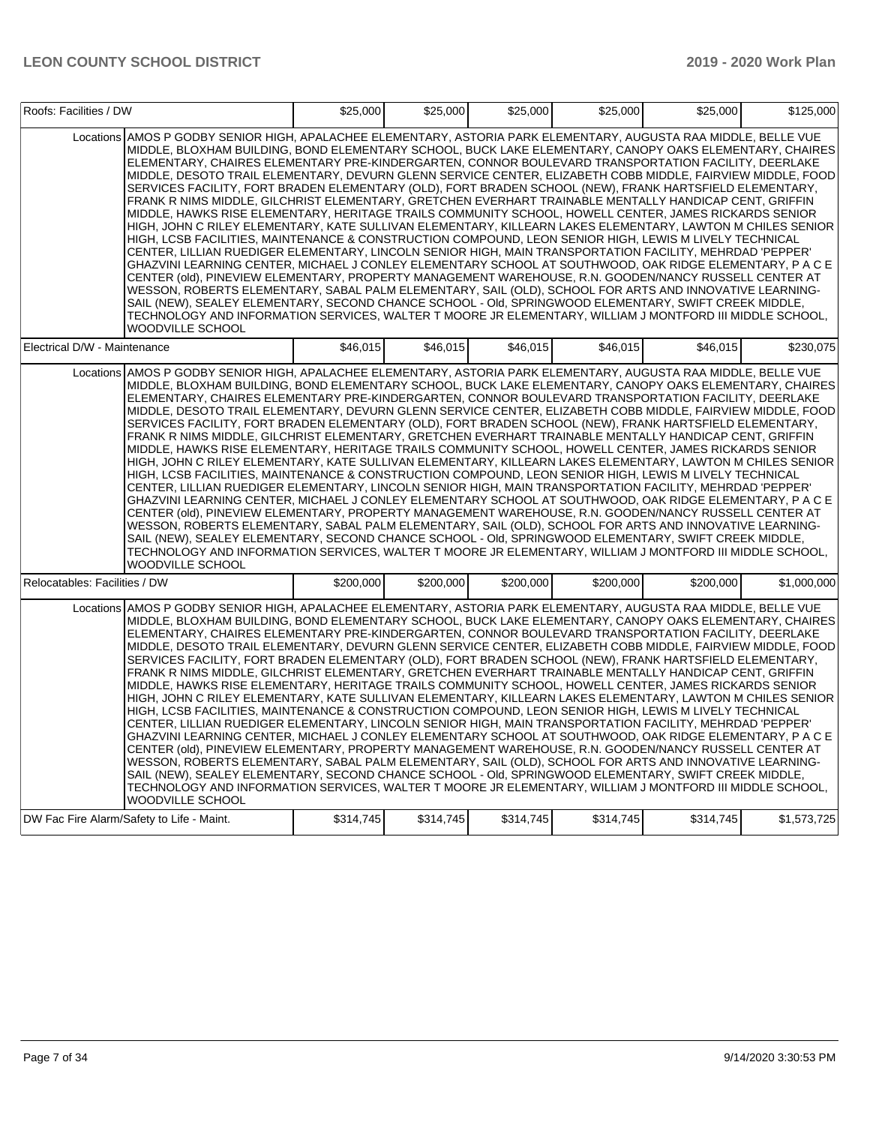| Roofs: Facilities / DW        |                                                                                                                                                                                                                                                                                                                                                                                                                                                                                                                                                                                                                                                                                                                                                                                                                                                                                                                                                                                                                                                                                                                                                                                                                                                                                                                                                                                                                                                                                                                                                                                                                                                                                                    | \$25,000  | \$25,000  | \$25,000  | \$25,000  | \$25,000  | \$125,000   |
|-------------------------------|----------------------------------------------------------------------------------------------------------------------------------------------------------------------------------------------------------------------------------------------------------------------------------------------------------------------------------------------------------------------------------------------------------------------------------------------------------------------------------------------------------------------------------------------------------------------------------------------------------------------------------------------------------------------------------------------------------------------------------------------------------------------------------------------------------------------------------------------------------------------------------------------------------------------------------------------------------------------------------------------------------------------------------------------------------------------------------------------------------------------------------------------------------------------------------------------------------------------------------------------------------------------------------------------------------------------------------------------------------------------------------------------------------------------------------------------------------------------------------------------------------------------------------------------------------------------------------------------------------------------------------------------------------------------------------------------------|-----------|-----------|-----------|-----------|-----------|-------------|
|                               | Locations AMOS P GODBY SENIOR HIGH. APALACHEE ELEMENTARY. ASTORIA PARK ELEMENTARY. AUGUSTA RAA MIDDLE. BELLE VUE<br>MIDDLE, BLOXHAM BUILDING, BOND ELEMENTARY SCHOOL, BUCK LAKE ELEMENTARY, CANOPY OAKS ELEMENTARY, CHAIRES<br>ELEMENTARY, CHAIRES ELEMENTARY PRE-KINDERGARTEN, CONNOR BOULEVARD TRANSPORTATION FACILITY, DEERLAKE<br>MIDDLE, DESOTO TRAIL ELEMENTARY, DEVURN GLENN SERVICE CENTER, ELIZABETH COBB MIDDLE, FAIRVIEW MIDDLE, FOOD<br>SERVICES FACILITY, FORT BRADEN ELEMENTARY (OLD), FORT BRADEN SCHOOL (NEW), FRANK HARTSFIELD ELEMENTARY,<br>FRANK R NIMS MIDDLE, GILCHRIST ELEMENTARY, GRETCHEN EVERHART TRAINABLE MENTALLY HANDICAP CENT, GRIFFIN<br>MIDDLE, HAWKS RISE ELEMENTARY, HERITAGE TRAILS COMMUNITY SCHOOL, HOWELL CENTER, JAMES RICKARDS SENIOR<br>HIGH, JOHN C RILEY ELEMENTARY, KATE SULLIVAN ELEMENTARY, KILLEARN LAKES ELEMENTARY, LAWTON M CHILES SENIOR<br>HIGH, LCSB FACILITIES, MAINTENANCE & CONSTRUCTION COMPOUND, LEON SENIOR HIGH, LEWIS M LIVELY TECHNICAL<br>CENTER, LILLIAN RUEDIGER ELEMENTARY, LINCOLN SENIOR HIGH, MAIN TRANSPORTATION FACILITY, MEHRDAD 'PEPPER'<br>GHAZVINI LEARNING CENTER, MICHAEL J CONLEY ELEMENTARY SCHOOL AT SOUTHWOOD, OAK RIDGE ELEMENTARY, P A C E<br>CENTER (old), PINEVIEW ELEMENTARY, PROPERTY MANAGEMENT WAREHOUSE, R.N. GOODEN/NANCY RUSSELL CENTER AT<br>WESSON, ROBERTS ELEMENTARY, SABAL PALM ELEMENTARY, SAIL (OLD), SCHOOL FOR ARTS AND INNOVATIVE LEARNING-<br>SAIL (NEW), SEALEY ELEMENTARY, SECOND CHANCE SCHOOL - OId, SPRINGWOOD ELEMENTARY, SWIFT CREEK MIDDLE,<br>TECHNOLOGY AND INFORMATION SERVICES, WALTER T MOORE JR ELEMENTARY, WILLIAM J MONTFORD III MIDDLE SCHOOL,<br><b>WOODVILLE SCHOOL</b> |           |           |           |           |           |             |
| Electrical D/W - Maintenance  |                                                                                                                                                                                                                                                                                                                                                                                                                                                                                                                                                                                                                                                                                                                                                                                                                                                                                                                                                                                                                                                                                                                                                                                                                                                                                                                                                                                                                                                                                                                                                                                                                                                                                                    | \$46.015  | \$46.015  | \$46,015  | \$46.015  | \$46.015  | \$230,075   |
|                               | Locations AMOS P GODBY SENIOR HIGH, APALACHEE ELEMENTARY, ASTORIA PARK ELEMENTARY, AUGUSTA RAA MIDDLE, BELLE VUE<br>MIDDLE, BLOXHAM BUILDING, BOND ELEMENTARY SCHOOL, BUCK LAKE ELEMENTARY, CANOPY OAKS ELEMENTARY, CHAIRES<br>ELEMENTARY, CHAIRES ELEMENTARY PRE-KINDERGARTEN, CONNOR BOULEVARD TRANSPORTATION FACILITY, DEERLAKE<br>MIDDLE, DESOTO TRAIL ELEMENTARY, DEVURN GLENN SERVICE CENTER, ELIZABETH COBB MIDDLE, FAIRVIEW MIDDLE, FOOD<br>SERVICES FACILITY, FORT BRADEN ELEMENTARY (OLD), FORT BRADEN SCHOOL (NEW), FRANK HARTSFIELD ELEMENTARY,<br>FRANK R NIMS MIDDLE, GILCHRIST ELEMENTARY, GRETCHEN EVERHART TRAINABLE MENTALLY HANDICAP CENT, GRIFFIN<br>MIDDLE, HAWKS RISE ELEMENTARY, HERITAGE TRAILS COMMUNITY SCHOOL, HOWELL CENTER, JAMES RICKARDS SENIOR<br>HIGH, JOHN C RILEY ELEMENTARY, KATE SULLIVAN ELEMENTARY, KILLEARN LAKES ELEMENTARY, LAWTON M CHILES SENIOR<br>HIGH, LCSB FACILITIES, MAINTENANCE & CONSTRUCTION COMPOUND, LEON SENIOR HIGH, LEWIS M LIVELY TECHNICAL<br>CENTER, LILLIAN RUEDIGER ELEMENTARY, LINCOLN SENIOR HIGH, MAIN TRANSPORTATION FACILITY, MEHRDAD 'PEPPER'<br>GHAZVINI LEARNING CENTER, MICHAEL J CONLEY ELEMENTARY SCHOOL AT SOUTHWOOD, OAK RIDGE ELEMENTARY, P A C E<br>CENTER (old), PINEVIEW ELEMENTARY, PROPERTY MANAGEMENT WAREHOUSE, R.N. GOODEN/NANCY RUSSELL CENTER AT<br>WESSON, ROBERTS ELEMENTARY, SABAL PALM ELEMENTARY, SAIL (OLD), SCHOOL FOR ARTS AND INNOVATIVE LEARNING-<br>SAIL (NEW), SEALEY ELEMENTARY, SECOND CHANCE SCHOOL - OId, SPRINGWOOD ELEMENTARY, SWIFT CREEK MIDDLE,<br>TECHNOLOGY AND INFORMATION SERVICES, WALTER T MOORE JR ELEMENTARY, WILLIAM J MONTFORD III MIDDLE SCHOOL,<br><b>WOODVILLE SCHOOL</b> |           |           |           |           |           |             |
| Relocatables: Facilities / DW |                                                                                                                                                                                                                                                                                                                                                                                                                                                                                                                                                                                                                                                                                                                                                                                                                                                                                                                                                                                                                                                                                                                                                                                                                                                                                                                                                                                                                                                                                                                                                                                                                                                                                                    | \$200,000 | \$200,000 | \$200,000 | \$200,000 | \$200,000 | \$1.000.000 |
|                               | Locations AMOS P GODBY SENIOR HIGH, APALACHEE ELEMENTARY, ASTORIA PARK ELEMENTARY, AUGUSTA RAA MIDDLE, BELLE VUE<br>MIDDLE, BLOXHAM BUILDING, BOND ELEMENTARY SCHOOL, BUCK LAKE ELEMENTARY, CANOPY OAKS ELEMENTARY, CHAIRES<br>ELEMENTARY, CHAIRES ELEMENTARY PRE-KINDERGARTEN, CONNOR BOULEVARD TRANSPORTATION FACILITY, DEERLAKE<br>MIDDLE, DESOTO TRAIL ELEMENTARY, DEVURN GLENN SERVICE CENTER, ELIZABETH COBB MIDDLE, FAIRVIEW MIDDLE, FOOD<br>SERVICES FACILITY, FORT BRADEN ELEMENTARY (OLD), FORT BRADEN SCHOOL (NEW), FRANK HARTSFIELD ELEMENTARY,<br>FRANK R NIMS MIDDLE, GILCHRIST ELEMENTARY, GRETCHEN EVERHART TRAINABLE MENTALLY HANDICAP CENT, GRIFFIN<br>MIDDLE, HAWKS RISE ELEMENTARY, HERITAGE TRAILS COMMUNITY SCHOOL, HOWELL CENTER, JAMES RICKARDS SENIOR<br>HIGH, JOHN C RILEY ELEMENTARY, KATE SULLIVAN ELEMENTARY, KILLEARN LAKES ELEMENTARY, LAWTON M CHILES SENIOR<br>HIGH, LCSB FACILITIES, MAINTENANCE & CONSTRUCTION COMPOUND, LEON SENIOR HIGH, LEWIS M LIVELY TECHNICAL<br>CENTER, LILLIAN RUEDIGER ELEMENTARY, LINCOLN SENIOR HIGH, MAIN TRANSPORTATION FACILITY, MEHRDAD 'PEPPER'<br>GHAZVINI LEARNING CENTER, MICHAEL J CONLEY ELEMENTARY SCHOOL AT SOUTHWOOD, OAK RIDGE ELEMENTARY, P A C E<br>CENTER (old), PINEVIEW ELEMENTARY, PROPERTY MANAGEMENT WAREHOUSE, R.N. GOODEN/NANCY RUSSELL CENTER AT<br>WESSON, ROBERTS ELEMENTARY, SABAL PALM ELEMENTARY, SAIL (OLD), SCHOOL FOR ARTS AND INNOVATIVE LEARNING-<br>SAIL (NEW), SEALEY ELEMENTARY, SECOND CHANCE SCHOOL - OId, SPRINGWOOD ELEMENTARY, SWIFT CREEK MIDDLE,<br>TECHNOLOGY AND INFORMATION SERVICES, WALTER T MOORE JR ELEMENTARY, WILLIAM J MONTFORD III MIDDLE SCHOOL,<br><b>WOODVILLE SCHOOL</b> |           |           |           |           |           |             |
|                               | DW Fac Fire Alarm/Safety to Life - Maint.                                                                                                                                                                                                                                                                                                                                                                                                                                                                                                                                                                                                                                                                                                                                                                                                                                                                                                                                                                                                                                                                                                                                                                                                                                                                                                                                                                                                                                                                                                                                                                                                                                                          | \$314,745 | \$314,745 | \$314,745 | \$314,745 | \$314,745 | \$1,573,725 |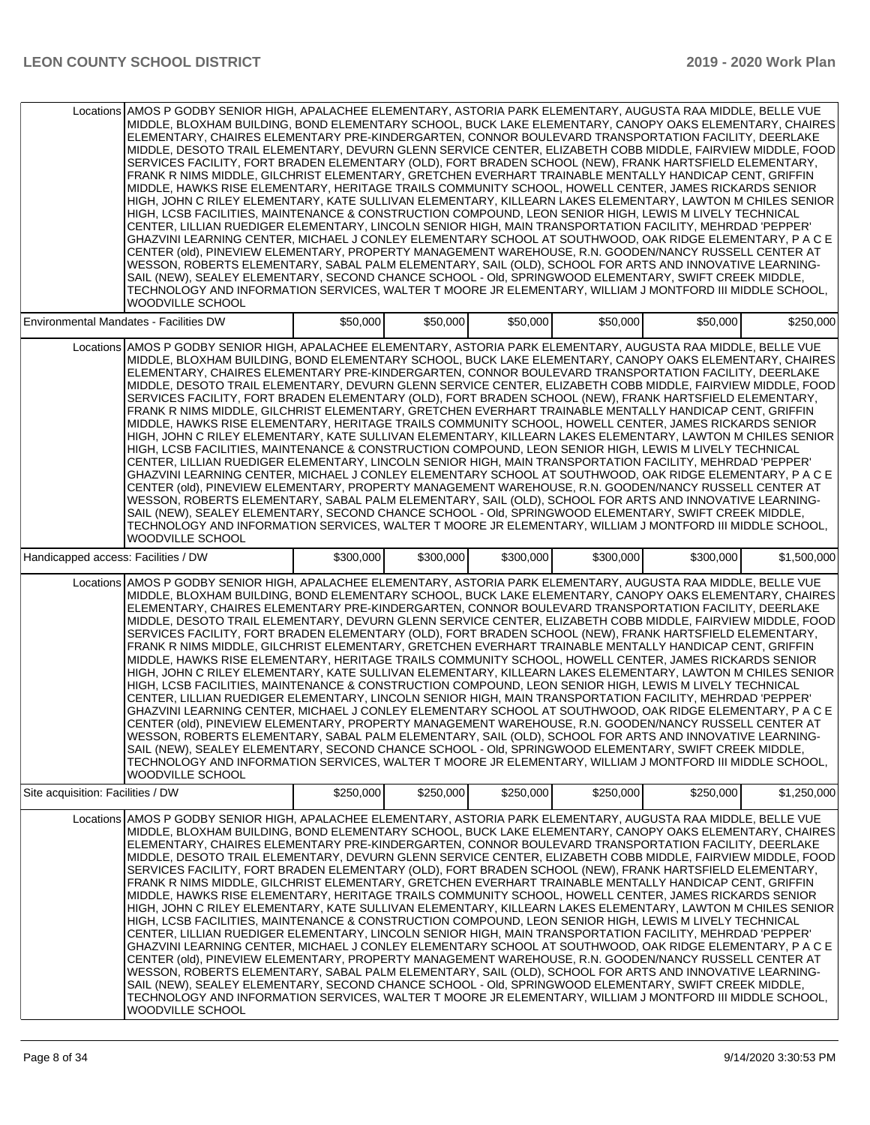|                                     | Locations AMOS P GODBY SENIOR HIGH, APALACHEE ELEMENTARY, ASTORIA PARK ELEMENTARY, AUGUSTA RAA MIDDLE, BELLE VUE<br>MIDDLE, BLOXHAM BUILDING, BOND ELEMENTARY SCHOOL, BUCK LAKE ELEMENTARY, CANOPY OAKS ELEMENTARY, CHAIRES<br>ELEMENTARY, CHAIRES ELEMENTARY PRE-KINDERGARTEN, CONNOR BOULEVARD TRANSPORTATION FACILITY, DEERLAKE<br>MIDDLE, DESOTO TRAIL ELEMENTARY, DEVURN GLENN SERVICE CENTER, ELIZABETH COBB MIDDLE, FAIRVIEW MIDDLE, FOOD<br>SERVICES FACILITY, FORT BRADEN ELEMENTARY (OLD), FORT BRADEN SCHOOL (NEW), FRANK HARTSFIELD ELEMENTARY,<br>FRANK R NIMS MIDDLE, GILCHRIST ELEMENTARY, GRETCHEN EVERHART TRAINABLE MENTALLY HANDICAP CENT, GRIFFIN<br>MIDDLE, HAWKS RISE ELEMENTARY, HERITAGE TRAILS COMMUNITY SCHOOL, HOWELL CENTER, JAMES RICKARDS SENIOR<br>HIGH, JOHN C RILEY ELEMENTARY, KATE SULLIVAN ELEMENTARY, KILLEARN LAKES ELEMENTARY, LAWTON M CHILES SENIOR<br>HIGH, LCSB FACILITIES, MAINTENANCE & CONSTRUCTION COMPOUND, LEON SENIOR HIGH, LEWIS M LIVELY TECHNICAL<br>CENTER, LILLIAN RUEDIGER ELEMENTARY, LINCOLN SENIOR HIGH, MAIN TRANSPORTATION FACILITY, MEHRDAD 'PEPPER'<br>GHAZVINI LEARNING CENTER, MICHAEL J CONLEY ELEMENTARY SCHOOL AT SOUTHWOOD, OAK RIDGE ELEMENTARY, P A C E<br>CENTER (old), PINEVIEW ELEMENTARY, PROPERTY MANAGEMENT WAREHOUSE, R.N. GOODEN/NANCY RUSSELL CENTER AT<br>WESSON, ROBERTS ELEMENTARY, SABAL PALM ELEMENTARY, SAIL (OLD), SCHOOL FOR ARTS AND INNOVATIVE LEARNING-<br>SAIL (NEW), SEALEY ELEMENTARY, SECOND CHANCE SCHOOL - OId, SPRINGWOOD ELEMENTARY, SWIFT CREEK MIDDLE,<br>TECHNOLOGY AND INFORMATION SERVICES, WALTER T MOORE JR ELEMENTARY, WILLIAM J MONTFORD III MIDDLE SCHOOL,<br>WOODVILLE SCHOOL |           |           |           |           |           |             |
|-------------------------------------|---------------------------------------------------------------------------------------------------------------------------------------------------------------------------------------------------------------------------------------------------------------------------------------------------------------------------------------------------------------------------------------------------------------------------------------------------------------------------------------------------------------------------------------------------------------------------------------------------------------------------------------------------------------------------------------------------------------------------------------------------------------------------------------------------------------------------------------------------------------------------------------------------------------------------------------------------------------------------------------------------------------------------------------------------------------------------------------------------------------------------------------------------------------------------------------------------------------------------------------------------------------------------------------------------------------------------------------------------------------------------------------------------------------------------------------------------------------------------------------------------------------------------------------------------------------------------------------------------------------------------------------------------------------------------------------------|-----------|-----------|-----------|-----------|-----------|-------------|
|                                     | Environmental Mandates - Facilities DW                                                                                                                                                                                                                                                                                                                                                                                                                                                                                                                                                                                                                                                                                                                                                                                                                                                                                                                                                                                                                                                                                                                                                                                                                                                                                                                                                                                                                                                                                                                                                                                                                                                      | \$50,000  | \$50,000  | \$50,000  | \$50,000  | \$50,000  | \$250,000   |
|                                     | Locations AMOS P GODBY SENIOR HIGH, APALACHEE ELEMENTARY, ASTORIA PARK ELEMENTARY, AUGUSTA RAA MIDDLE, BELLE VUE<br>MIDDLE, BLOXHAM BUILDING, BOND ELEMENTARY SCHOOL, BUCK LAKE ELEMENTARY, CANOPY OAKS ELEMENTARY, CHAIRES<br>ELEMENTARY, CHAIRES ELEMENTARY PRE-KINDERGARTEN, CONNOR BOULEVARD TRANSPORTATION FACILITY, DEERLAKE<br>MIDDLE, DESOTO TRAIL ELEMENTARY, DEVURN GLENN SERVICE CENTER, ELIZABETH COBB MIDDLE, FAIRVIEW MIDDLE, FOOD<br>SERVICES FACILITY, FORT BRADEN ELEMENTARY (OLD), FORT BRADEN SCHOOL (NEW), FRANK HARTSFIELD ELEMENTARY,<br>FRANK R NIMS MIDDLE, GILCHRIST ELEMENTARY, GRETCHEN EVERHART TRAINABLE MENTALLY HANDICAP CENT, GRIFFIN<br>MIDDLE, HAWKS RISE ELEMENTARY, HERITAGE TRAILS COMMUNITY SCHOOL, HOWELL CENTER, JAMES RICKARDS SENIOR<br>HIGH, JOHN C RILEY ELEMENTARY, KATE SULLIVAN ELEMENTARY, KILLEARN LAKES ELEMENTARY, LAWTON M CHILES SENIOR<br>HIGH, LCSB FACILITIES, MAINTENANCE & CONSTRUCTION COMPOUND, LEON SENIOR HIGH, LEWIS M LIVELY TECHNICAL<br>CENTER, LILLIAN RUEDIGER ELEMENTARY, LINCOLN SENIOR HIGH, MAIN TRANSPORTATION FACILITY, MEHRDAD 'PEPPER'<br>GHAZVINI LEARNING CENTER, MICHAEL J CONLEY ELEMENTARY SCHOOL AT SOUTHWOOD, OAK RIDGE ELEMENTARY, P A C E<br>CENTER (old), PINEVIEW ELEMENTARY, PROPERTY MANAGEMENT WAREHOUSE, R.N. GOODEN/NANCY RUSSELL CENTER AT<br>WESSON, ROBERTS ELEMENTARY, SABAL PALM ELEMENTARY, SAIL (OLD), SCHOOL FOR ARTS AND INNOVATIVE LEARNING-<br>SAIL (NEW), SEALEY ELEMENTARY, SECOND CHANCE SCHOOL - Old, SPRINGWOOD ELEMENTARY, SWIFT CREEK MIDDLE,<br>TECHNOLOGY AND INFORMATION SERVICES, WALTER T MOORE JR ELEMENTARY, WILLIAM J MONTFORD III MIDDLE SCHOOL,<br>WOODVILLE SCHOOL |           |           |           |           |           |             |
| Handicapped access: Facilities / DW |                                                                                                                                                                                                                                                                                                                                                                                                                                                                                                                                                                                                                                                                                                                                                                                                                                                                                                                                                                                                                                                                                                                                                                                                                                                                                                                                                                                                                                                                                                                                                                                                                                                                                             | \$300,000 | \$300,000 | \$300,000 | \$300,000 | \$300,000 | \$1,500,000 |
|                                     | Locations AMOS P GODBY SENIOR HIGH, APALACHEE ELEMENTARY, ASTORIA PARK ELEMENTARY, AUGUSTA RAA MIDDLE, BELLE VUE<br>MIDDLE, BLOXHAM BUILDING, BOND ELEMENTARY SCHOOL, BUCK LAKE ELEMENTARY, CANOPY OAKS ELEMENTARY, CHAIRES<br>ELEMENTARY, CHAIRES ELEMENTARY PRE-KINDERGARTEN, CONNOR BOULEVARD TRANSPORTATION FACILITY, DEERLAKE<br>MIDDLE, DESOTO TRAIL ELEMENTARY, DEVURN GLENN SERVICE CENTER, ELIZABETH COBB MIDDLE, FAIRVIEW MIDDLE, FOOD<br>SERVICES FACILITY, FORT BRADEN ELEMENTARY (OLD), FORT BRADEN SCHOOL (NEW), FRANK HARTSFIELD ELEMENTARY,<br>FRANK R NIMS MIDDLE, GILCHRIST ELEMENTARY, GRETCHEN EVERHART TRAINABLE MENTALLY HANDICAP CENT, GRIFFIN<br>MIDDLE, HAWKS RISE ELEMENTARY, HERITAGE TRAILS COMMUNITY SCHOOL, HOWELL CENTER, JAMES RICKARDS SENIOR<br>HIGH, JOHN C RILEY ELEMENTARY, KATE SULLIVAN ELEMENTARY, KILLEARN LAKES ELEMENTARY, LAWTON M CHILES SENIOR<br>HIGH, LCSB FACILITIES, MAINTENANCE & CONSTRUCTION COMPOUND, LEON SENIOR HIGH, LEWIS M LIVELY TECHNICAL<br>CENTER, LILLIAN RUEDIGER ELEMENTARY, LINCOLN SENIOR HIGH, MAIN TRANSPORTATION FACILITY, MEHRDAD 'PEPPER'<br>GHAZVINI LEARNING CENTER, MICHAEL J CONLEY ELEMENTARY SCHOOL AT SOUTHWOOD, OAK RIDGE ELEMENTARY, P A C E<br>CENTER (old), PINEVIEW ELEMENTARY, PROPERTY MANAGEMENT WAREHOUSE, R.N. GOODEN/NANCY RUSSELL CENTER AT<br>WESSON, ROBERTS ELEMENTARY, SABAL PALM ELEMENTARY, SAIL (OLD), SCHOOL FOR ARTS AND INNOVATIVE LEARNING-<br>SAIL (NEW), SEALEY ELEMENTARY, SECOND CHANCE SCHOOL - Old, SPRINGWOOD ELEMENTARY, SWIFT CREEK MIDDLE.<br>TECHNOLOGY AND INFORMATION SERVICES, WALTER T MOORE JR ELEMENTARY, WILLIAM J MONTFORD III MIDDLE SCHOOL,<br>WOODVILLE SCHOOL |           |           |           |           |           |             |
| Site acquisition: Facilities / DW   |                                                                                                                                                                                                                                                                                                                                                                                                                                                                                                                                                                                                                                                                                                                                                                                                                                                                                                                                                                                                                                                                                                                                                                                                                                                                                                                                                                                                                                                                                                                                                                                                                                                                                             | \$250,000 | \$250,000 | \$250,000 | \$250,000 | \$250.000 | \$1,250,000 |
| Locations                           | AMOS P GODBY SENIOR HIGH, APALACHEE ELEMENTARY, ASTORIA PARK ELEMENTARY, AUGUSTA RAA MIDDLE, BELLE VUE<br>MIDDLE, BLOXHAM BUILDING, BOND ELEMENTARY SCHOOL, BUCK LAKE ELEMENTARY, CANOPY OAKS ELEMENTARY, CHAIRES<br>ELEMENTARY, CHAIRES ELEMENTARY PRE-KINDERGARTEN, CONNOR BOULEVARD TRANSPORTATION FACILITY, DEERLAKE<br>MIDDLE, DESOTO TRAIL ELEMENTARY, DEVURN GLENN SERVICE CENTER, ELIZABETH COBB MIDDLE, FAIRVIEW MIDDLE, FOOD<br>SERVICES FACILITY, FORT BRADEN ELEMENTARY (OLD), FORT BRADEN SCHOOL (NEW), FRANK HARTSFIELD ELEMENTARY,<br>FRANK R NIMS MIDDLE, GILCHRIST ELEMENTARY, GRETCHEN EVERHART TRAINABLE MENTALLY HANDICAP CENT, GRIFFIN<br>MIDDLE, HAWKS RISE ELEMENTARY, HERITAGE TRAILS COMMUNITY SCHOOL, HOWELL CENTER, JAMES RICKARDS SENIOR<br>HIGH. JOHN C RILEY ELEMENTARY. KATE SULLIVAN ELEMENTARY. KILLEARN LAKES ELEMENTARY. LAWTON M CHILES SENIOR<br>HIGH, LCSB FACILITIES, MAINTENANCE & CONSTRUCTION COMPOUND, LEON SENIOR HIGH, LEWIS M LIVELY TECHNICAL<br>CENTER, LILLIAN RUEDIGER ELEMENTARY, LINCOLN SENIOR HIGH, MAIN TRANSPORTATION FACILITY, MEHRDAD 'PEPPER'<br>GHAZVINI LEARNING CENTER, MICHAEL J CONLEY ELEMENTARY SCHOOL AT SOUTHWOOD, OAK RIDGE ELEMENTARY, P A C E<br>CENTER (old), PINEVIEW ELEMENTARY, PROPERTY MANAGEMENT WAREHOUSE, R.N. GOODEN/NANCY RUSSELL CENTER AT<br>WESSON, ROBERTS ELEMENTARY, SABAL PALM ELEMENTARY, SAIL (OLD), SCHOOL FOR ARTS AND INNOVATIVE LEARNING-<br>SAIL (NEW), SEALEY ELEMENTARY, SECOND CHANCE SCHOOL - Old, SPRINGWOOD ELEMENTARY, SWIFT CREEK MIDDLE,<br>TECHNOLOGY AND INFORMATION SERVICES, WALTER T MOORE JR ELEMENTARY, WILLIAM J MONTFORD III MIDDLE SCHOOL,<br>WOODVILLE SCHOOL           |           |           |           |           |           |             |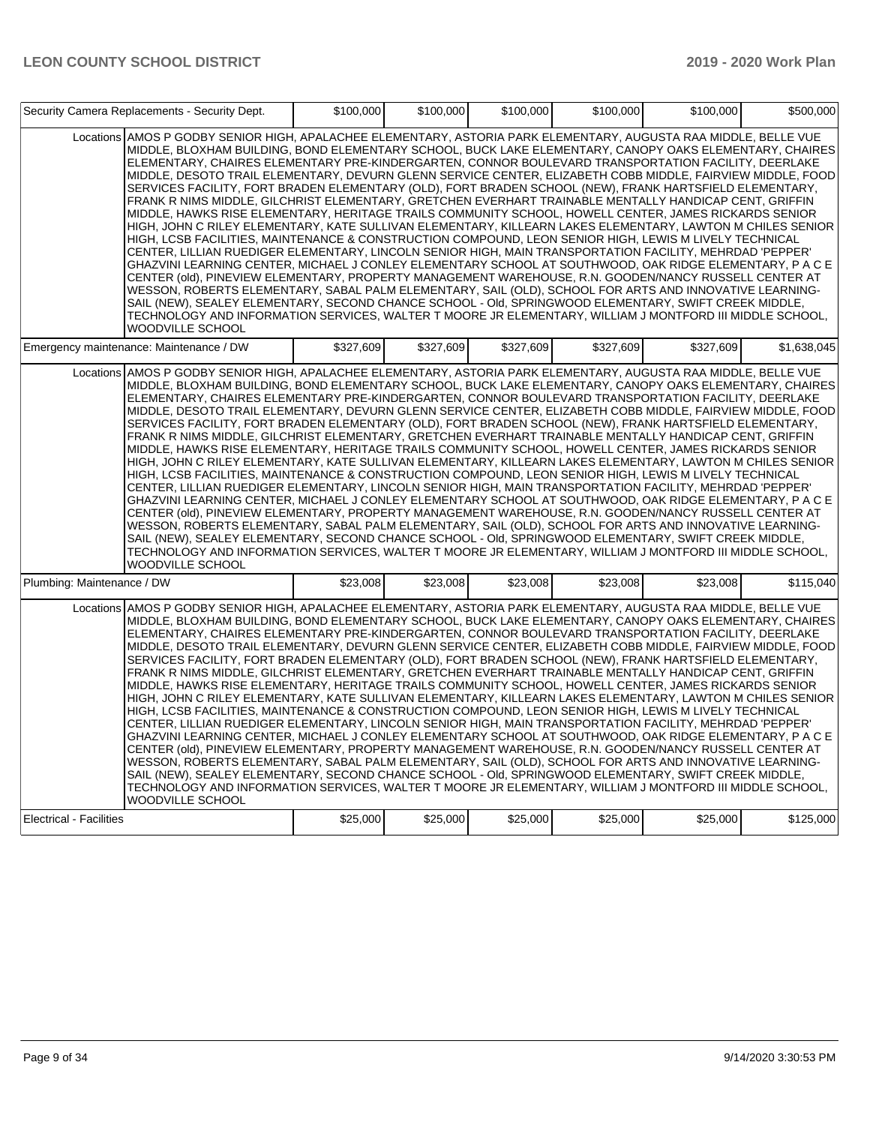|                                | Security Camera Replacements - Security Dept.                                                                                                                                                                                                                                                                                                                                                                                                                                                                                                                                                                                                                                                                                                                                                                                                                                                                                                                                                                                                                                                                                                                                                                                                                                                                                                                                                                                                                                                                                                                                                                                                                                               | \$100,000 | \$100,000 | \$100,000 | \$100,000 | \$100,000 | \$500,000   |
|--------------------------------|---------------------------------------------------------------------------------------------------------------------------------------------------------------------------------------------------------------------------------------------------------------------------------------------------------------------------------------------------------------------------------------------------------------------------------------------------------------------------------------------------------------------------------------------------------------------------------------------------------------------------------------------------------------------------------------------------------------------------------------------------------------------------------------------------------------------------------------------------------------------------------------------------------------------------------------------------------------------------------------------------------------------------------------------------------------------------------------------------------------------------------------------------------------------------------------------------------------------------------------------------------------------------------------------------------------------------------------------------------------------------------------------------------------------------------------------------------------------------------------------------------------------------------------------------------------------------------------------------------------------------------------------------------------------------------------------|-----------|-----------|-----------|-----------|-----------|-------------|
|                                | Locations AMOS P GODBY SENIOR HIGH, APALACHEE ELEMENTARY, ASTORIA PARK ELEMENTARY, AUGUSTA RAA MIDDLE, BELLE VUE<br>MIDDLE, BLOXHAM BUILDING, BOND ELEMENTARY SCHOOL, BUCK LAKE ELEMENTARY, CANOPY OAKS ELEMENTARY, CHAIRES<br>ELEMENTARY, CHAIRES ELEMENTARY PRE-KINDERGARTEN, CONNOR BOULEVARD TRANSPORTATION FACILITY, DEERLAKE<br>MIDDLE, DESOTO TRAIL ELEMENTARY, DEVURN GLENN SERVICE CENTER, ELIZABETH COBB MIDDLE, FAIRVIEW MIDDLE, FOOD<br>SERVICES FACILITY, FORT BRADEN ELEMENTARY (OLD), FORT BRADEN SCHOOL (NEW), FRANK HARTSFIELD ELEMENTARY,<br>FRANK R NIMS MIDDLE, GILCHRIST ELEMENTARY, GRETCHEN EVERHART TRAINABLE MENTALLY HANDICAP CENT, GRIFFIN<br>MIDDLE, HAWKS RISE ELEMENTARY, HERITAGE TRAILS COMMUNITY SCHOOL, HOWELL CENTER, JAMES RICKARDS SENIOR<br>HIGH, JOHN C RILEY ELEMENTARY, KATE SULLIVAN ELEMENTARY, KILLEARN LAKES ELEMENTARY, LAWTON M CHILES SENIOR<br>HIGH, LCSB FACILITIES, MAINTENANCE & CONSTRUCTION COMPOUND, LEON SENIOR HIGH, LEWIS M LIVELY TECHNICAL<br>CENTER, LILLIAN RUEDIGER ELEMENTARY, LINCOLN SENIOR HIGH, MAIN TRANSPORTATION FACILITY, MEHRDAD 'PEPPER'<br>GHAZVINI LEARNING CENTER, MICHAEL J CONLEY ELEMENTARY SCHOOL AT SOUTHWOOD, OAK RIDGE ELEMENTARY, P A C E<br>CENTER (old), PINEVIEW ELEMENTARY, PROPERTY MANAGEMENT WAREHOUSE, R.N. GOODEN/NANCY RUSSELL CENTER AT<br>WESSON, RÓBERTS ELEMENTARY, SABAL PALM ELEMENTARY, SAIL (OLD), SCHOOL FOR ARTS AND INNOVATIVE LEARNING-<br>SAIL (NEW), SEALEY ELEMENTARY, SECOND CHANCE SCHOOL - Old, SPRINGWOOD ELEMENTARY, SWIFT CREEK MIDDLE,<br>TECHNOLOGY AND INFORMATION SERVICES, WALTER T MOORE JR ELEMENTARY, WILLIAM J MONTFORD III MIDDLE SCHOOL,<br>WOODVILLE SCHOOL |           |           |           |           |           |             |
|                                | Emergency maintenance: Maintenance / DW                                                                                                                                                                                                                                                                                                                                                                                                                                                                                                                                                                                                                                                                                                                                                                                                                                                                                                                                                                                                                                                                                                                                                                                                                                                                                                                                                                                                                                                                                                                                                                                                                                                     | \$327,609 | \$327.609 | \$327,609 | \$327,609 | \$327,609 | \$1,638,045 |
|                                | Locations AMOS P GODBY SENIOR HIGH, APALACHEE ELEMENTARY, ASTORIA PARK ELEMENTARY, AUGUSTA RAA MIDDLE, BELLE VUE<br>MIDDLE, BLOXHAM BUILDING, BOND ELEMENTARY SCHOOL, BUCK LAKE ELEMENTARY, CANOPY OAKS ELEMENTARY, CHAIRES<br>ELEMENTARY, CHAIRES ELEMENTARY PRE-KINDERGARTEN, CONNOR BOULEVARD TRANSPORTATION FACILITY, DEERLAKE<br>MIDDLE, DESOTO TRAIL ELEMENTARY, DEVURN GLENN SERVICE CENTER, ELIZABETH COBB MIDDLE, FAIRVIEW MIDDLE, FOOD<br>SERVICES FACILITY, FORT BRADEN ELEMENTARY (OLD), FORT BRADEN SCHOOL (NEW), FRANK HARTSFIELD ELEMENTARY,<br>FRANK R NIMS MIDDLE, GILCHRIST ELEMENTARY, GRETCHEN EVERHART TRAINABLE MENTALLY HANDICAP CENT, GRIFFIN<br>MIDDLE, HAWKS RISE ELEMENTARY, HERITAGE TRAILS COMMUNITY SCHOOL, HOWELL CENTER, JAMES RICKARDS SENIOR<br>HIGH, JOHN C RILEY ELEMENTARY, KATE SULLIVAN ELEMENTARY, KILLEARN LAKES ELEMENTARY, LAWTON M CHILES SENIOR<br>HIGH, LCSB FACILITIES, MAINTENANCE & CONSTRUCTION COMPOUND, LEON SENIOR HIGH, LEWIS M LIVELY TECHNICAL<br>CENTER, LILLIAN RUEDIGER ELEMENTARY, LINCOLN SENIOR HIGH, MAIN TRANSPORTATION FACILITY, MEHRDAD 'PEPPER'<br>GHAZVINI LEARNING CENTER, MICHAEL J CONLEY ELEMENTARY SCHOOL AT SOUTHWOOD, OAK RIDGE ELEMENTARY, P A C E<br>CENTER (old), PINEVIEW ELEMENTARY, PROPERTY MANAGEMENT WAREHOUSE, R.N. GOODEN/NANCY RUSSELL CENTER AT<br>WESSON, ROBERTS ELEMENTARY, SABAL PALM ELEMENTARY, SAIL (OLD), SCHOOL FOR ARTS AND INNOVATIVE LEARNING-<br>SAIL (NEW), SEALEY ELEMENTARY, SECOND CHANCE SCHOOL - Old, SPRINGWOOD ELEMENTARY, SWIFT CREEK MIDDLE,<br>TECHNOLOGY AND INFORMATION SERVICES, WALTER T MOORE JR ELEMENTARY, WILLIAM J MONTFORD III MIDDLE SCHOOL,<br>WOODVILLE SCHOOL |           |           |           |           |           |             |
| Plumbing: Maintenance / DW     |                                                                                                                                                                                                                                                                                                                                                                                                                                                                                                                                                                                                                                                                                                                                                                                                                                                                                                                                                                                                                                                                                                                                                                                                                                                                                                                                                                                                                                                                                                                                                                                                                                                                                             | \$23.008  | \$23,008  | \$23,008  | \$23,008  | \$23.008  | \$115.040   |
|                                | Locations AMOS P GODBY SENIOR HIGH, APALACHEE ELEMENTARY, ASTORIA PARK ELEMENTARY, AUGUSTA RAA MIDDLE, BELLE VUE<br>MIDDLE, BLOXHAM BUILDING, BOND ELEMENTARY SCHOOL, BUCK LAKE ELEMENTARY, CANOPY OAKS ELEMENTARY, CHAIRES<br>ELEMENTARY, CHAIRES ELEMENTARY PRE-KINDERGARTEN, CONNOR BOULEVARD TRANSPORTATION FACILITY, DEERLAKE<br>MIDDLE, DESOTO TRAIL ELEMENTARY, DEVURN GLENN SERVICE CENTER, ELIZABETH COBB MIDDLE, FAIRVIEW MIDDLE, FOOD<br>SERVICES FACILITY, FORT BRADEN ELEMENTARY (OLD), FORT BRADEN SCHOOL (NEW), FRANK HARTSFIELD ELEMENTARY,<br>FRANK R NIMS MIDDLE, GILCHRIST ELEMENTARY, GRETCHEN EVERHART TRAINABLE MENTALLY HANDICAP CENT, GRIFFIN<br>MIDDLE, HAWKS RISE ELEMENTARY, HERITAGE TRAILS COMMUNITY SCHOOL, HOWELL CENTER, JAMES RICKARDS SENIOR<br>HIGH, JOHN C RILEY ELEMENTARY, KATE SULLIVAN ELEMENTARY, KILLEARN LAKES ELEMENTARY, LAWTON M CHILES SENIOR<br>HIGH, LCSB FACILITIES, MAINTENANCE & CONSTRUCTION COMPOUND, LEON SENIOR HIGH, LEWIS M LIVELY TECHNICAL<br>CENTER, LILLIAN RUEDIGER ELEMENTARY, LINCOLN SENIOR HIGH, MAIN TRANSPORTATION FACILITY, MEHRDAD 'PEPPER'<br>GHAZVINI LEARNING CENTER, MICHAEL J CONLEY ELEMENTARY SCHOOL AT SOUTHWOOD, OAK RIDGE ELEMENTARY, P A C E<br>CENTER (old), PINEVIEW ELEMENTARY, PROPERTY MANAGEMENT WAREHOUSE, R.N. GOODEN/NANCY RUSSELL CENTER AT<br>WESSON, ROBERTS ELEMENTARY, SABAL PALM ELEMENTARY, SAIL (OLD), SCHOOL FOR ARTS AND INNOVATIVE LEARNING-<br>SAIL (NEW), SEALEY ELEMENTARY, SECOND CHANCE SCHOOL - Old, SPRINGWOOD ELEMENTARY, SWIFT CREEK MIDDLE,<br>TECHNOLOGY AND INFORMATION SERVICES, WALTER T MOORE JR ELEMENTARY, WILLIAM J MONTFORD III MIDDLE SCHOOL,<br>WOODVILLE SCHOOL |           |           |           |           |           |             |
| <b>Electrical - Facilities</b> |                                                                                                                                                                                                                                                                                                                                                                                                                                                                                                                                                                                                                                                                                                                                                                                                                                                                                                                                                                                                                                                                                                                                                                                                                                                                                                                                                                                                                                                                                                                                                                                                                                                                                             | \$25,000  | \$25,000  | \$25,000  | \$25,000  | \$25,000  | \$125,000   |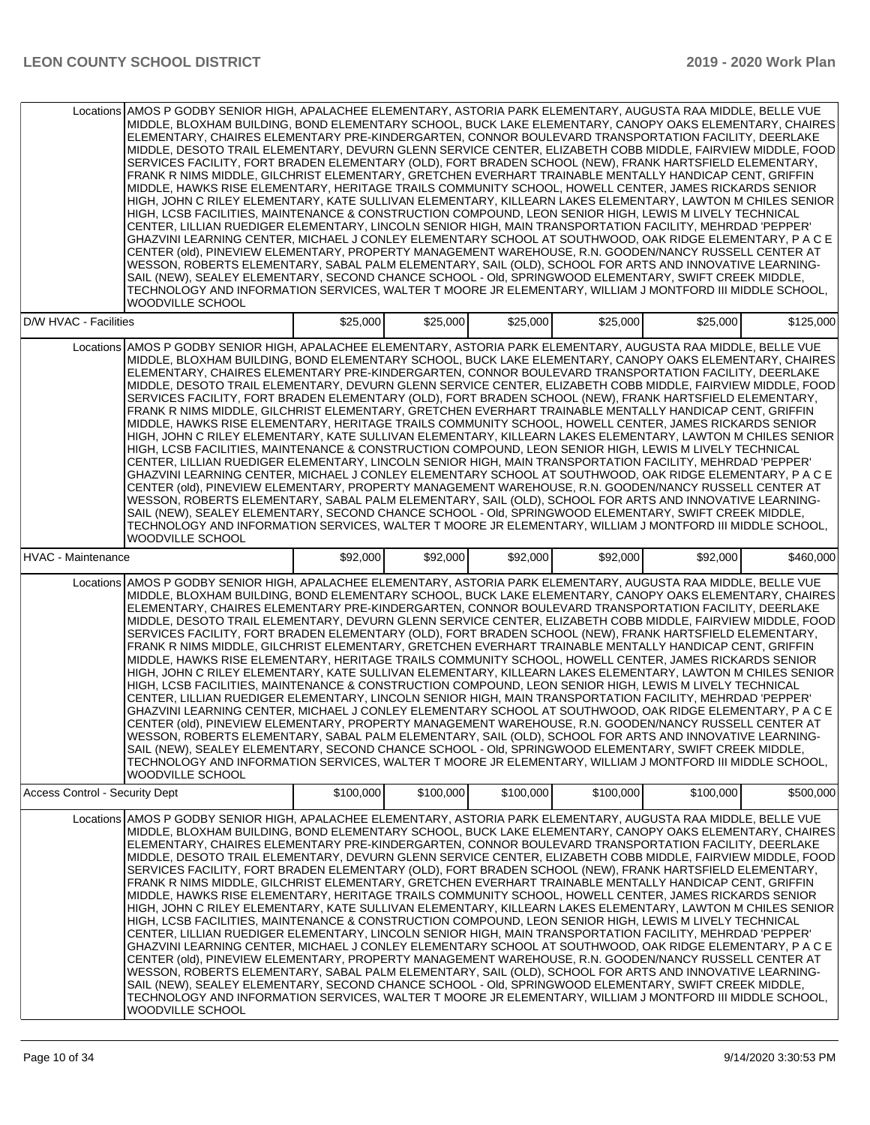|                                | Locations AMOS P GODBY SENIOR HIGH, APALACHEE ELEMENTARY, ASTORIA PARK ELEMENTARY, AUGUSTA RAA MIDDLE, BELLE VUE<br>MIDDLE, BLOXHAM BUILDING, BOND ELEMENTARY SCHOOL, BUCK LAKE ELEMENTARY, CANOPY OAKS ELEMENTARY, CHAIRES<br>ELEMENTARY, CHAIRES ELEMENTARY PRE-KINDERGARTEN, CONNOR BOULEVARD TRANSPORTATION FACILITY, DEERLAKE<br>MIDDLE, DESOTO TRAIL ELEMENTARY, DEVURN GLENN SERVICE CENTER, ELIZABETH COBB MIDDLE, FAIRVIEW MIDDLE, FOOD<br>SERVICES FACILITY, FORT BRADEN ELEMENTARY (OLD), FORT BRADEN SCHOOL (NEW), FRANK HARTSFIELD ELEMENTARY.<br>FRANK R NIMS MIDDLE, GILCHRIST ELEMENTARY, GRETCHEN EVERHART TRAINABLE MENTALLY HANDICAP CENT, GRIFFIN<br>MIDDLE, HAWKS RISE ELEMENTARY, HERITAGE TRAILS COMMUNITY SCHOOL, HOWELL CENTER, JAMES RICKARDS SENIOR<br>HIGH, JOHN C RILEY ELEMENTARY, KATE SULLIVAN ELEMENTARY, KILLEARN LAKES ELEMENTARY, LAWTON M CHILES SENIOR<br>HIGH, LCSB FACILITIES, MAINTENANCE & CONSTRUCTION COMPOUND, LEON SENIOR HIGH, LEWIS M LIVELY TECHNICAL<br>CENTER, LILLIAN RUEDIGER ELEMENTARY, LINCOLN SENIOR HIGH, MAIN TRANSPORTATION FACILITY, MEHRDAD 'PEPPER'<br>GHAZVINI LEARNING CENTER, MICHAEL J CONLEY ELEMENTARY SCHOOL AT SOUTHWOOD, OAK RIDGE ELEMENTARY, P A C E<br>CENTER (old), PINEVIEW ELEMENTARY, PROPERTY MANAGEMENT WAREHOUSE, R.N. GOODEN/NANCY RUSSELL CENTER AT<br>WESSON, ROBERTS ELEMENTARY, SABAL PALM ELEMENTARY, SAIL (OLD), SCHOOL FOR ARTS AND INNOVATIVE LEARNING-<br>SAIL (NEW), SEALEY ELEMENTARY, SECOND CHANCE SCHOOL - OId, SPRINGWOOD ELEMENTARY, SWIFT CREEK MIDDLE,<br>TECHNOLOGY AND INFORMATION SERVICES, WALTER T MOORE JR ELEMENTARY, WILLIAM J MONTFORD III MIDDLE SCHOOL,<br>WOODVILLE SCHOOL |           |           |           |           |           |           |
|--------------------------------|---------------------------------------------------------------------------------------------------------------------------------------------------------------------------------------------------------------------------------------------------------------------------------------------------------------------------------------------------------------------------------------------------------------------------------------------------------------------------------------------------------------------------------------------------------------------------------------------------------------------------------------------------------------------------------------------------------------------------------------------------------------------------------------------------------------------------------------------------------------------------------------------------------------------------------------------------------------------------------------------------------------------------------------------------------------------------------------------------------------------------------------------------------------------------------------------------------------------------------------------------------------------------------------------------------------------------------------------------------------------------------------------------------------------------------------------------------------------------------------------------------------------------------------------------------------------------------------------------------------------------------------------------------------------------------------------|-----------|-----------|-----------|-----------|-----------|-----------|
| D/W HVAC - Facilities          |                                                                                                                                                                                                                                                                                                                                                                                                                                                                                                                                                                                                                                                                                                                                                                                                                                                                                                                                                                                                                                                                                                                                                                                                                                                                                                                                                                                                                                                                                                                                                                                                                                                                                             | \$25,000  | \$25,000  | \$25,000  | \$25,000  | \$25,000  | \$125,000 |
|                                | Locations AMOS P GODBY SENIOR HIGH, APALACHEE ELEMENTARY, ASTORIA PARK ELEMENTARY, AUGUSTA RAA MIDDLE, BELLE VUE<br>MIDDLE, BLOXHAM BUILDING, BOND ELEMENTARY SCHOOL, BUCK LAKE ELEMENTARY, CANOPY OAKS ELEMENTARY, CHAIRES<br>ELEMENTARY, CHAIRES ELEMENTARY PRE-KINDERGARTEN, CONNOR BOULEVARD TRANSPORTATION FACILITY, DEERLAKE<br>MIDDLE, DESOTO TRAIL ELEMENTARY, DEVURN GLENN SERVICE CENTER, ELIZABETH COBB MIDDLE, FAIRVIEW MIDDLE, FOOD<br>SERVICES FACILITY, FORT BRADEN ELEMENTARY (OLD), FORT BRADEN SCHOOL (NEW), FRANK HARTSFIELD ELEMENTARY,<br>FRANK R NIMS MIDDLE, GILCHRIST ELEMENTARY, GRETCHEN EVERHART TRAINABLE MENTALLY HANDICAP CENT, GRIFFIN<br>MIDDLE, HAWKS RISE ELEMENTARY, HERITAGE TRAILS COMMUNITY SCHOOL, HOWELL CENTER, JAMES RICKARDS SENIOR<br>HIGH, JOHN C RILEY ELEMENTARY, KATE SULLIVAN ELEMENTARY, KILLEARN LAKES ELEMENTARY, LAWTON M CHILES SENIOR<br>HIGH, LCSB FACILITIES, MAINTENANCE & CONSTRUCTION COMPOUND, LEON SENIOR HIGH, LEWIS M LIVELY TECHNICAL<br>CENTER, LILLIAN RUEDIGER ELEMENTARY, LINCOLN SENIOR HIGH, MAIN TRANSPORTATION FACILITY, MEHRDAD 'PEPPER'<br>GHAZVINI LEARNING CENTER, MICHAEL J CONLEY ELEMENTARY SCHOOL AT SOUTHWOOD, OAK RIDGE ELEMENTARY, P A C E<br>CENTER (old). PINEVIEW ELEMENTARY, PROPERTY MANAGEMENT WAREHOUSE, R.N. GOODEN/NANCY RUSSELL CENTER AT<br>WESSON, ROBERTS ELEMENTARY, SABAL PALM ELEMENTARY, SAIL (OLD), SCHOOL FOR ARTS AND INNOVATIVE LEARNING-<br>SAIL (NEW), SEALEY ELEMENTARY, SECOND CHANCE SCHOOL - Old, SPRINGWOOD ELEMENTARY, SWIFT CREEK MIDDLE,<br>TECHNOLOGY AND INFORMATION SERVICES, WALTER T MOORE JR ELEMENTARY, WILLIAM J MONTFORD III MIDDLE SCHOOL,<br>WOODVILLE SCHOOL |           |           |           |           |           |           |
| <b>HVAC - Maintenance</b>      |                                                                                                                                                                                                                                                                                                                                                                                                                                                                                                                                                                                                                                                                                                                                                                                                                                                                                                                                                                                                                                                                                                                                                                                                                                                                                                                                                                                                                                                                                                                                                                                                                                                                                             | \$92,000  | \$92,000  | \$92,000  | \$92,000  | \$92,000  | \$460,000 |
|                                | Locations AMOS P GODBY SENIOR HIGH, APALACHEE ELEMENTARY, ASTORIA PARK ELEMENTARY, AUGUSTA RAA MIDDLE, BELLE VUE<br>MIDDLE, BLOXHAM BUILDING, BOND ELEMENTARY SCHOOL, BUCK LAKE ELEMENTARY, CANOPY OAKS ELEMENTARY, CHAIRES<br>ELEMENTARY, CHAIRES ELEMENTARY PRE-KINDERGARTEN, CONNOR BOULEVARD TRANSPORTATION FACILITY, DEERLAKE<br>MIDDLE, DESOTO TRAIL ELEMENTARY, DEVURN GLENN SERVICE CENTER, ELIZABETH COBB MIDDLE, FAIRVIEW MIDDLE, FOOD<br>SERVICES FACILITY, FORT BRADEN ELEMENTARY (OLD), FORT BRADEN SCHOOL (NEW), FRANK HARTSFIELD ELEMENTARY,<br>FRANK R NIMS MIDDLE, GILCHRIST ELEMENTARY, GRETCHEN EVERHART TRAINABLE MENTALLY HANDICAP CENT, GRIFFIN<br>MIDDLE, HAWKS RISE ELEMENTARY, HERITAGE TRAILS COMMUNITY SCHOOL, HOWELL CENTER, JAMES RICKARDS SENIOR<br>HIGH, JOHN C RILEY ELEMENTARY, KATE SULLIVAN ELEMENTARY, KILLEARN LAKES ELEMENTARY, LAWTON M CHILES SENIOR<br>HIGH, LCSB FACILITIES, MAINTENANCE & CONSTRUCTION COMPOUND, LEON SENIOR HIGH, LEWIS M LIVELY TECHNICAL<br>CENTER, LILLIAN RUEDIGER ELEMENTARY, LINCOLN SENIOR HIGH, MAIN TRANSPORTATION FACILITY, MEHRDAD 'PEPPER'<br>GHAZVINI LEARNING CENTER, MICHAEL J CONLEY ELEMENTARY SCHOOL AT SOUTHWOOD, OAK RIDGE ELEMENTARY, P A C E<br>CENTER (old), PINEVIEW ELEMENTARY, PROPERTY MANAGEMENT WAREHOUSE, R.N. GOODEN/NANCY RUSSELL CENTER AT<br>WESSON, ROBERTS ELEMENTARY, SABAL PALM ELEMENTARY, SAIL (OLD), SCHOOL FOR ARTS AND INNOVATIVE LEARNING-<br>SAIL (NEW), SEALEY ELEMENTARY, SECOND CHANCE SCHOOL - OId, SPRINGWOOD ELEMENTARY, SWIFT CREEK MIDDLE.<br>TECHNOLOGY AND INFORMATION SERVICES, WALTER T MOORE JR ELEMENTARY, WILLIAM J MONTFORD III MIDDLE SCHOOL,<br>WOODVILLE SCHOOL |           |           |           |           |           |           |
| Access Control - Security Dept |                                                                                                                                                                                                                                                                                                                                                                                                                                                                                                                                                                                                                                                                                                                                                                                                                                                                                                                                                                                                                                                                                                                                                                                                                                                                                                                                                                                                                                                                                                                                                                                                                                                                                             | \$100,000 | \$100,000 | \$100,000 | \$100,000 | \$100,000 | \$500,000 |
|                                | Locations AMOS P GODBY SENIOR HIGH. APALACHEE ELEMENTARY. ASTORIA PARK ELEMENTARY. AUGUSTA RAA MIDDLE. BELLE VUE<br>MIDDLE, BLOXHAM BUILDING, BOND ELEMENTARY SCHOOL, BUCK LAKE ELEMENTARY, CANOPY OAKS ELEMENTARY, CHAIRES<br>ELEMENTARY, CHAIRES ELEMENTARY PRE-KINDERGARTEN, CONNOR BOULEVARD TRANSPORTATION FACILITY, DEERLAKE<br>MIDDLE, DESOTO TRAIL ELEMENTARY, DEVURN GLENN SERVICE CENTER, ELIZABETH COBB MIDDLE, FAIRVIEW MIDDLE, FOOD<br>SERVICES FACILITY. FORT BRADEN ELEMENTARY (OLD). FORT BRADEN SCHOOL (NEW). FRANK HARTSFIELD ELEMENTARY.<br>FRANK R NIMS MIDDLE, GILCHRIST ELEMENTARY, GRETCHEN EVERHART TRAINABLE MENTALLY HANDICAP CENT, GRIFFIN<br>MIDDLE. HAWKS RISE ELEMENTARY. HERITAGE TRAILS COMMUNITY SCHOOL. HOWELL CENTER. JAMES RICKARDS SENIOR<br>HIGH, JOHN C RILEY ELEMENTARY, KATE SULLIVAN ELEMENTARY, KILLEARN LAKES ELEMENTARY, LAWTON M CHILES SENIOR<br>HIGH, LCSB FACILITIES, MAINTENANCE & CONSTRUCTION COMPOUND, LEON SENIOR HIGH, LEWIS M LIVELY TECHNICAL<br>CENTER, LILLIAN RUEDIGER ELEMENTARY, LINCOLN SENIOR HIGH, MAIN TRANSPORTATION FACILITY, MEHRDAD 'PEPPER'<br>GHAZVINI LEARNING CENTER, MICHAEL J CONLEY ELEMENTARY SCHOOL AT SOUTHWOOD, OAK RIDGE ELEMENTARY, P A C E<br>CENTER (old), PINEVIEW ELEMENTARY, PROPERTY MANAGEMENT WAREHOUSE, R.N. GOODEN/NANCY RUSSELL CENTER AT<br>WESSON, ROBERTS ELEMENTARY, SABAL PALM ELEMENTARY, SAIL (OLD), SCHOOL FOR ARTS AND INNOVATIVE LEARNING-<br>SAIL (NEW), SEALEY ELEMENTARY, SECOND CHANCE SCHOOL - Old, SPRINGWOOD ELEMENTARY, SWIFT CREEK MIDDLE,<br>TECHNOLOGY AND INFORMATION SERVICES, WALTER T MOORE JR ELEMENTARY, WILLIAM J MONTFORD III MIDDLE SCHOOL,<br>WOODVILLE SCHOOL |           |           |           |           |           |           |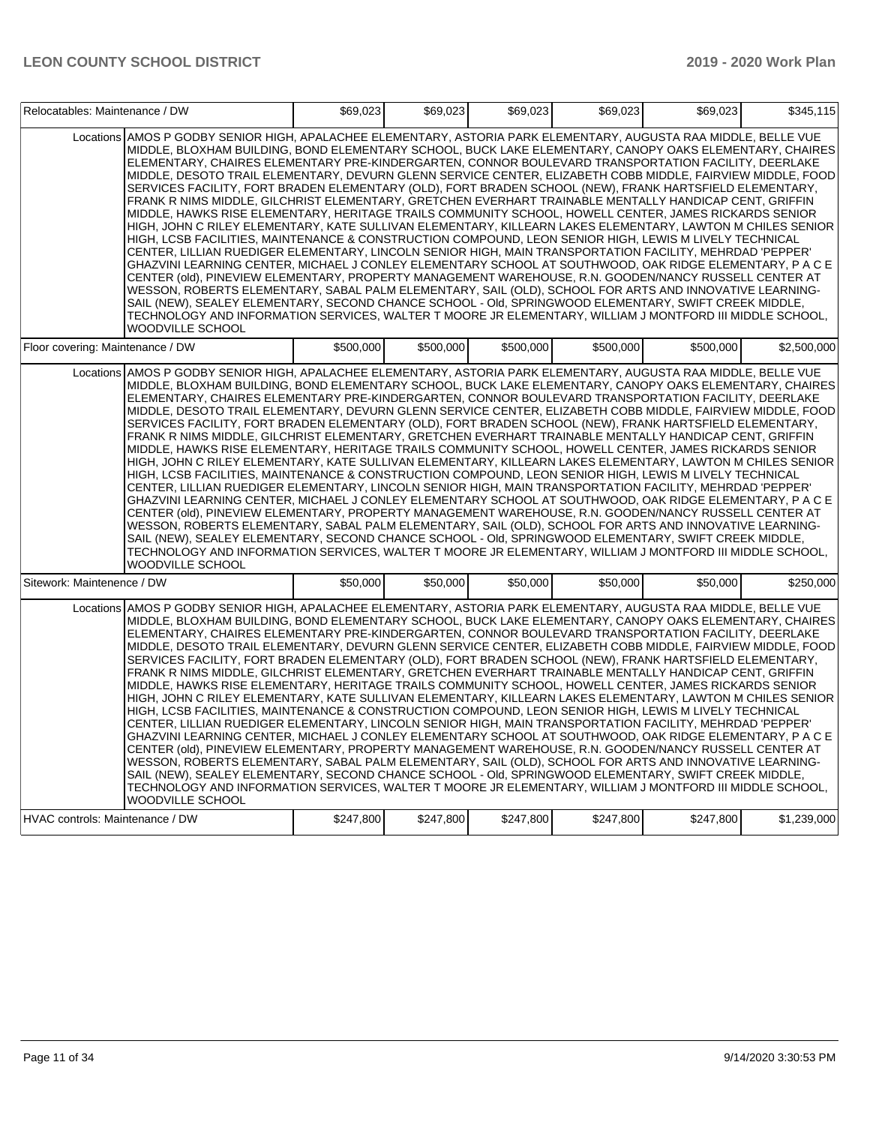| Relocatables: Maintenance / DW   |                                                                                                                                                                                                                                                                                                                                                                                                                                                                                                                                                                                                                                                                                                                                                                                                                                                                                                                                                                                                                                                                                                                                                                                                                                                                                                                                                                                                                                                                                                                                                                                                                                                                                                    | \$69.023  | \$69,023  | \$69,023  | \$69,023  | \$69,023  | \$345,115   |
|----------------------------------|----------------------------------------------------------------------------------------------------------------------------------------------------------------------------------------------------------------------------------------------------------------------------------------------------------------------------------------------------------------------------------------------------------------------------------------------------------------------------------------------------------------------------------------------------------------------------------------------------------------------------------------------------------------------------------------------------------------------------------------------------------------------------------------------------------------------------------------------------------------------------------------------------------------------------------------------------------------------------------------------------------------------------------------------------------------------------------------------------------------------------------------------------------------------------------------------------------------------------------------------------------------------------------------------------------------------------------------------------------------------------------------------------------------------------------------------------------------------------------------------------------------------------------------------------------------------------------------------------------------------------------------------------------------------------------------------------|-----------|-----------|-----------|-----------|-----------|-------------|
|                                  | Locations AMOS P GODBY SENIOR HIGH, APALACHEE ELEMENTARY, ASTORIA PARK ELEMENTARY, AUGUSTA RAA MIDDLE, BELLE VUE<br>MIDDLE, BLOXHAM BUILDING, BOND ELEMENTARY SCHOOL, BUCK LAKE ELEMENTARY, CANOPY OAKS ELEMENTARY, CHAIRES<br>ELEMENTARY, CHAIRES ELEMENTARY PRE-KINDERGARTEN, CONNOR BOULEVARD TRANSPORTATION FACILITY, DEERLAKE<br>MIDDLE, DESOTO TRAIL ELEMENTARY, DEVURN GLENN SERVICE CENTER, ELIZABETH COBB MIDDLE, FAIRVIEW MIDDLE, FOOD<br>SERVICES FACILITY, FORT BRADEN ELEMENTARY (OLD), FORT BRADEN SCHOOL (NEW), FRANK HARTSFIELD ELEMENTARY,<br>FRANK R NIMS MIDDLE, GILCHRIST ELEMENTARY, GRETCHEN EVERHART TRAINABLE MENTALLY HANDICAP CENT, GRIFFIN<br>MIDDLE, HAWKS RISE ELEMENTARY, HERITAGE TRAILS COMMUNITY SCHOOL, HOWELL CENTER, JAMES RICKARDS SENIOR<br>HIGH, JOHN C RILEY ELEMENTARY, KATE SULLIVAN ELEMENTARY, KILLEARN LAKES ELEMENTARY, LAWTON M CHILES SENIOR<br>HIGH, LCSB FACILITIES, MAINTENANCE & CONSTRUCTION COMPOUND, LEON SENIOR HIGH, LEWIS M LIVELY TECHNICAL<br>CENTER, LILLIAN RUEDIGER ELEMENTARY, LINCOLN SENIOR HIGH, MAIN TRANSPORTATION FACILITY, MEHRDAD 'PEPPER'<br>GHAZVINI LEARNING CENTER, MICHAEL J CONLEY ELEMENTARY SCHOOL AT SOUTHWOOD, OAK RIDGE ELEMENTARY, P A C E<br>CENTER (old), PINEVIEW ELEMENTARY, PROPERTY MANAGEMENT WAREHOUSE, R.N. GOODEN/NANCY RUSSELL CENTER AT<br>WESSON, ROBERTS ELEMENTARY, SABAL PALM ELEMENTARY, SAIL (OLD), SCHOOL FOR ARTS AND INNOVATIVE LEARNING-<br>SAIL (NEW), SEALEY ELEMENTARY, SECOND CHANCE SCHOOL - OId, SPRINGWOOD ELEMENTARY, SWIFT CREEK MIDDLE,<br>TECHNOLOGY AND INFORMATION SERVICES, WALTER T MOORE JR ELEMENTARY, WILLIAM J MONTFORD III MIDDLE SCHOOL,<br>WOODVILLE SCHOOL        |           |           |           |           |           |             |
| Floor covering: Maintenance / DW |                                                                                                                                                                                                                                                                                                                                                                                                                                                                                                                                                                                                                                                                                                                                                                                                                                                                                                                                                                                                                                                                                                                                                                                                                                                                                                                                                                                                                                                                                                                                                                                                                                                                                                    | \$500,000 | \$500,000 | \$500,000 | \$500,000 | \$500,000 | \$2,500,000 |
|                                  | Locations AMOS P GODBY SENIOR HIGH, APALACHEE ELEMENTARY, ASTORIA PARK ELEMENTARY, AUGUSTA RAA MIDDLE, BELLE VUE<br>MIDDLE, BLOXHAM BUILDING, BOND ELEMENTARY SCHOOL, BUCK LAKE ELEMENTARY, CANOPY OAKS ELEMENTARY, CHAIRES<br>ELEMENTARY, CHAIRES ELEMENTARY PRE-KINDERGARTEN, CONNOR BOULEVARD TRANSPORTATION FACILITY, DEERLAKE<br>MIDDLE, DESOTO TRAIL ELEMENTARY, DEVURN GLENN SERVICE CENTER, ELIZABETH COBB MIDDLE, FAIRVIEW MIDDLE, FOOD<br>SERVICES FACILITY, FORT BRADEN ELEMENTARY (OLD), FORT BRADEN SCHOOL (NEW), FRANK HARTSFIELD ELEMENTARY,<br>FRANK R NIMS MIDDLE, GILCHRIST ELEMENTARY, GRETCHEN EVERHART TRAINABLE MENTALLY HANDICAP CENT, GRIFFIN<br>MIDDLE, HAWKS RISE ELEMENTARY, HERITAGE TRAILS COMMUNITY SCHOOL, HOWELL CENTER, JAMES RICKARDS SENIOR<br>HIGH, JOHN C RILEY ELEMENTARY, KATE SULLIVAN ELEMENTARY, KILLEARN LAKES ELEMENTARY, LAWTON M CHILES SENIOR<br>HIGH, LCSB FACILITIES, MAINTENANCE & CONSTRUCTION COMPOUND, LEON SENIOR HIGH, LEWIS M LIVELY TECHNICAL<br>CENTER, LILLIAN RUEDIGER ELEMENTARY, LINCOLN SENIOR HIGH, MAIN TRANSPORTATION FACILITY, MEHRDAD 'PEPPER'<br>GHAZVINI LEARNING CENTER, MICHAEL J CONLEY ELEMENTARY SCHOOL AT SOUTHWOOD, OAK RIDGE ELEMENTARY, P A C E<br>CENTER (old), PINEVIEW ELEMENTARY, PROPERTY MANAGEMENT WAREHOUSE, R.N. GOODEN/NANCY RUSSELL CENTER AT<br>WESSON, ROBERTS ELEMENTARY, SABAL PALM ELEMENTARY, SAIL (OLD), SCHOOL FOR ARTS AND INNOVATIVE LEARNING-<br>SAIL (NEW), SEALEY ELEMENTARY, SECOND CHANCE SCHOOL - Old, SPRINGWOOD ELEMENTARY, SWIFT CREEK MIDDLE,<br>TECHNOLOGY AND INFORMATION SERVICES, WALTER T MOORE JR ELEMENTARY, WILLIAM J MONTFORD III MIDDLE SCHOOL,<br><b>WOODVILLE SCHOOL</b> |           |           |           |           |           |             |
| Sitework: Maintenence / DW       |                                                                                                                                                                                                                                                                                                                                                                                                                                                                                                                                                                                                                                                                                                                                                                                                                                                                                                                                                                                                                                                                                                                                                                                                                                                                                                                                                                                                                                                                                                                                                                                                                                                                                                    | \$50,000  | \$50,000  | \$50,000  | \$50,000  | \$50,000  | \$250,000   |
|                                  | Locations AMOS P GODBY SENIOR HIGH, APALACHEE ELEMENTARY, ASTORIA PARK ELEMENTARY, AUGUSTA RAA MIDDLE, BELLE VUE<br>MIDDLE, BLOXHAM BUILDING, BOND ELEMENTARY SCHOOL, BUCK LAKE ELEMENTARY, CANOPY OAKS ELEMENTARY, CHAIRES<br>ELEMENTARY, CHAIRES ELEMENTARY PRE-KINDERGARTEN, CONNOR BOULEVARD TRANSPORTATION FACILITY, DEERLAKE<br>MIDDLE, DESOTO TRAIL ELEMENTARY, DEVURN GLENN SERVICE CENTER, ELIZABETH COBB MIDDLE, FAIRVIEW MIDDLE, FOOD<br>SERVICES FACILITY, FORT BRADEN ELEMENTARY (OLD), FORT BRADEN SCHOOL (NEW), FRANK HARTSFIELD ELEMENTARY,<br>FRANK R NIMS MIDDLE, GILCHRIST ELEMENTARY, GRETCHEN EVERHART TRAINABLE MENTALLY HANDICAP CENT, GRIFFIN<br>MIDDLE, HAWKS RISE ELEMENTARY, HERITAGE TRAILS COMMUNITY SCHOOL, HOWELL CENTER, JAMES RICKARDS SENIOR<br>HIGH, JOHN C RILEY ELEMENTARY, KATE SULLIVAN ELEMENTARY, KILLEARN LAKES ELEMENTARY, LAWTON M CHILES SENIOR<br>HIGH, LCSB FACILITIES, MAINTENANCE & CONSTRUCTION COMPOUND, LEON SENIOR HIGH, LEWIS M LIVELY TECHNICAL<br>'CENTER, LILLIAN RUEDIGER ELEMENTARY, LINCOLN SENIOR HIGH, MAIN TRANSPORTATION FACILITY, MEHRDAD 'PEPPER<br>GHAZVINI LEARNING CENTER, MICHAEL J CONLEY ELEMENTARY SCHOOL AT SOUTHWOOD, OAK RIDGE ELEMENTARY, P A C E<br>CENTER (old), PINEVIEW ELEMENTARY, PROPERTY MANAGEMENT WAREHOUSE, R.N. GOODEN/NANCY RUSSELL CENTER AT<br>WESSON, ROBERTS ELEMENTARY, SABAL PALM ELEMENTARY, SAIL (OLD), SCHOOL FOR ARTS AND INNOVATIVE LEARNING-<br>SAIL (NEW), SEALEY ELEMENTARY, SECOND CHANCE SCHOOL - OId, SPRINGWOOD ELEMENTARY, SWIFT CREEK MIDDLE,<br>TECHNOLOGY AND INFORMATION SERVICES. WALTER T MOORE JR ELEMENTARY, WILLIAM J MONTFORD III MIDDLE SCHOOL,<br>WOODVILLE SCHOOL        |           |           |           |           |           |             |
| HVAC controls: Maintenance / DW  |                                                                                                                                                                                                                                                                                                                                                                                                                                                                                                                                                                                                                                                                                                                                                                                                                                                                                                                                                                                                                                                                                                                                                                                                                                                                                                                                                                                                                                                                                                                                                                                                                                                                                                    | \$247,800 | \$247,800 | \$247,800 | \$247,800 | \$247.800 | \$1,239,000 |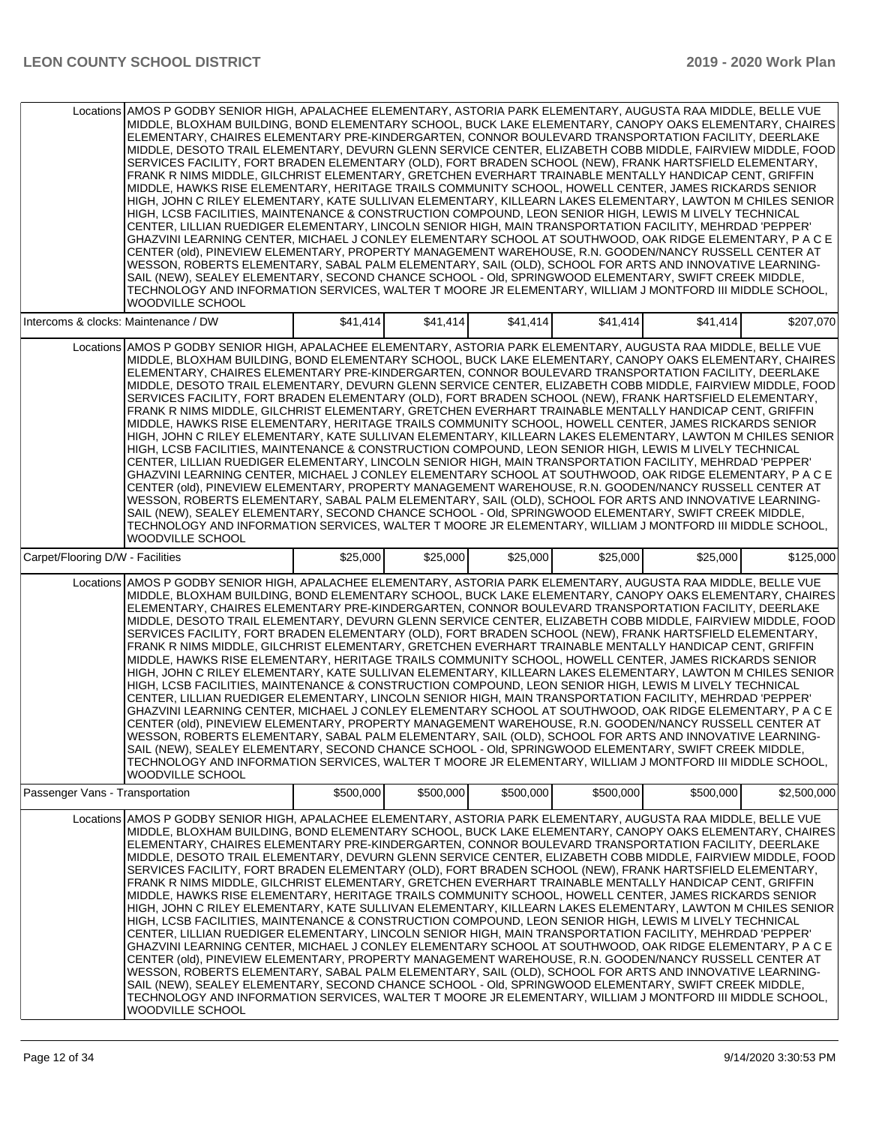|                                      | Locations AMOS P GODBY SENIOR HIGH, APALACHEE ELEMENTARY, ASTORIA PARK ELEMENTARY, AUGUSTA RAA MIDDLE, BELLE VUE<br>MIDDLE, BLOXHAM BUILDING, BOND ELEMENTARY SCHOOL, BUCK LAKE ELEMENTARY, CANOPY OAKS ELEMENTARY, CHAIRES<br>ELEMENTARY, CHAIRES ELEMENTARY PRE-KINDERGARTEN, CONNOR BOULEVARD TRANSPORTATION FACILITY, DEERLAKE<br>MIDDLE, DESOTO TRAIL ELEMENTARY, DEVURN GLENN SERVICE CENTER, ELIZABETH COBB MIDDLE, FAIRVIEW MIDDLE, FOOD<br>SERVICES FACILITY, FORT BRADEN ELEMENTARY (OLD), FORT BRADEN SCHOOL (NEW), FRANK HARTSFIELD ELEMENTARY,<br>FRANK R NIMS MIDDLE, GILCHRIST ELEMENTARY, GRETCHEN EVERHART TRAINABLE MENTALLY HANDICAP CENT, GRIFFIN<br>MIDDLE, HAWKS RISE ELEMENTARY, HERITAGE TRAILS COMMUNITY SCHOOL, HOWELL CENTER, JAMES RICKARDS SENIOR<br>HIGH, JOHN C RILEY ELEMENTARY, KATE SULLIVAN ELEMENTARY, KILLEARN LAKES ELEMENTARY, LAWTON M CHILES SENIOR<br>HIGH, LCSB FACILITIES, MAINTENANCE & CONSTRUCTION COMPOUND, LEON SENIOR HIGH, LEWIS M LIVELY TECHNICAL<br>'CENTER, LILLIAN RUEDIGER ELEMENTARY, LINCOLN SENIOR HIGH, MAIN TRANSPORTATION FACILITY, MEHRDAD 'PEPPER<br>GHAZVINI LEARNING CENTER, MICHAEL J CONLEY ELEMENTARY SCHOOL AT SOUTHWOOD, OAK RIDGE ELEMENTARY, P A C E<br>CENTER (old), PINEVIEW ELEMENTARY, PROPERTY MANAGEMENT WAREHOUSE, R.N. GOODEN/NANCY RUSSELL CENTER AT<br>WESSON, ROBERTS ELEMENTARY, SABAL PALM ELEMENTARY, SAIL (OLD), SCHOOL FOR ARTS AND INNOVATIVE LEARNING-<br>SAIL (NEW), SEALEY ELEMENTARY, SECOND CHANCE SCHOOL - Old, SPRINGWOOD ELEMENTARY, SWIFT CREEK MIDDLE,<br>TECHNOLOGY AND INFORMATION SERVICES, WALTER T MOORE JR ELEMENTARY, WILLIAM J MONTFORD III MIDDLE SCHOOL,<br>WOODVILLE SCHOOL        |           |           |           |           |           |             |
|--------------------------------------|----------------------------------------------------------------------------------------------------------------------------------------------------------------------------------------------------------------------------------------------------------------------------------------------------------------------------------------------------------------------------------------------------------------------------------------------------------------------------------------------------------------------------------------------------------------------------------------------------------------------------------------------------------------------------------------------------------------------------------------------------------------------------------------------------------------------------------------------------------------------------------------------------------------------------------------------------------------------------------------------------------------------------------------------------------------------------------------------------------------------------------------------------------------------------------------------------------------------------------------------------------------------------------------------------------------------------------------------------------------------------------------------------------------------------------------------------------------------------------------------------------------------------------------------------------------------------------------------------------------------------------------------------------------------------------------------------|-----------|-----------|-----------|-----------|-----------|-------------|
| Intercoms & clocks: Maintenance / DW |                                                                                                                                                                                                                                                                                                                                                                                                                                                                                                                                                                                                                                                                                                                                                                                                                                                                                                                                                                                                                                                                                                                                                                                                                                                                                                                                                                                                                                                                                                                                                                                                                                                                                                    | \$41,414  | \$41,414  | \$41,414  | \$41,414  | \$41,414  | \$207,070   |
|                                      | Locations AMOS P GODBY SENIOR HIGH, APALACHEE ELEMENTARY, ASTORIA PARK ELEMENTARY, AUGUSTA RAA MIDDLE, BELLE VUE<br>MIDDLE, BLOXHAM BUILDING, BOND ELEMENTARY SCHOOL, BUCK LAKE ELEMENTARY, CANOPY OAKS ELEMENTARY, CHAIRES<br>ELEMENTARY, CHAIRES ELEMENTARY PRE-KINDERGARTEN, CONNOR BOULEVARD TRANSPORTATION FACILITY, DEERLAKE<br>MIDDLE, DESOTO TRAIL ELEMENTARY, DEVURN GLENN SERVICE CENTER, ELIZABETH COBB MIDDLE, FAIRVIEW MIDDLE, FOOD<br>SERVICES FACILITY, FORT BRADEN ELEMENTARY (OLD), FORT BRADEN SCHOOL (NEW), FRANK HARTSFIELD ELEMENTARY,<br>FRANK R NIMS MIDDLE, GILCHRIST ELEMENTARY, GRETCHEN EVERHART TRAINABLE MENTALLY HANDICAP CENT, GRIFFIN<br>MIDDLE, HAWKS RISE ELEMENTARY, HERITAGE TRAILS COMMUNITY SCHOOL, HOWELL CENTER, JAMES RICKARDS SENIOR<br>HIGH, JOHN C RILEY ELEMENTARY, KATE SULLIVAN ELEMENTARY, KILLEARN LAKES ELEMENTARY, LAWTON M CHILES SENIOR<br>HIGH, LCSB FACILITIES, MAINTENANCE & CONSTRUCTION COMPOUND, LEON SENIOR HIGH, LEWIS M LIVELY TECHNICAL<br>CENTER, LILLIAN RUEDIGER ELEMENTARY, LINCOLN SENIOR HIGH, MAIN TRANSPORTATION FACILITY, MEHRDAD 'PEPPER'<br>GHAZVINI LEARNING CENTER, MICHAEL J CONLEY ELEMENTARY SCHOOL AT SOUTHWOOD, OAK RIDGE ELEMENTARY, P A C E<br>CENTER (old), PINEVIEW ELEMENTARY, PROPERTY MANAGEMENT WAREHOUSE, R.N. GOODEN/NANCY RUSSELL CENTER AT<br>WESSON, ROBERTS ELEMENTARY, SABAL PALM ELEMENTARY, SAIL (OLD), SCHOOL FOR ARTS AND INNOVATIVE LEARNING-<br>SAIL (NEW), SEALEY ELEMENTARY, SECOND CHANCE SCHOOL - Old, SPRINGWOOD ELEMENTARY, SWIFT CREEK MIDDLE,<br>TECHNOLOGY AND INFORMATION SERVICES, WALTER T MOORE JR ELEMENTARY, WILLIAM J MONTFORD III MIDDLE SCHOOL,<br><b>WOODVILLE SCHOOL</b> |           |           |           |           |           |             |
| Carpet/Flooring D/W - Facilities     |                                                                                                                                                                                                                                                                                                                                                                                                                                                                                                                                                                                                                                                                                                                                                                                                                                                                                                                                                                                                                                                                                                                                                                                                                                                                                                                                                                                                                                                                                                                                                                                                                                                                                                    | \$25,000  | \$25,000  | \$25,000  | \$25,000  | \$25,000  | \$125,000   |
|                                      | Locations AMOS P GODBY SENIOR HIGH, APALACHEE ELEMENTARY, ASTORIA PARK ELEMENTARY, AUGUSTA RAA MIDDLE, BELLE VUE<br>MIDDLE, BLOXHAM BUILDING, BOND ELEMENTARY SCHOOL, BUCK LAKE ELEMENTARY, CANOPY OAKS ELEMENTARY, CHAIRES<br>ELEMENTARY, CHAIRES ELEMENTARY PRE-KINDERGARTEN, CONNOR BOULEVARD TRANSPORTATION FACILITY, DEERLAKE<br>MIDDLE, DESOTO TRAIL ELEMENTARY, DEVURN GLENN SERVICE CENTER, ELIZABETH COBB MIDDLE, FAIRVIEW MIDDLE, FOOD<br>SERVICES FACILITY, FORT BRADEN ELEMENTARY (OLD), FORT BRADEN SCHOOL (NEW), FRANK HARTSFIELD ELEMENTARY,<br>FRANK R NIMS MIDDLE, GILCHRIST ELEMENTARY, GRETCHEN EVERHART TRAINABLE MENTALLY HANDICAP CENT, GRIFFIN<br>MIDDLE, HAWKS RISE ELEMENTARY, HERITAGE TRAILS COMMUNITY SCHOOL, HOWELL CENTER, JAMES RICKARDS SENIOR<br>HIGH, JOHN C RILEY ELEMENTARY, KATE SULLIVAN ELEMENTARY, KILLEARN LAKES ELEMENTARY, LAWTON M CHILES SENIOR<br>HIGH, LCSB FACILITIES, MAINTENANCE & CONSTRUCTION COMPOUND, LEON SENIOR HIGH, LEWIS M LIVELY TECHNICAL<br>CENTER, LILLIAN RUEDIGER ELEMENTARY, LINCOLN SENIOR HIGH, MAIN TRANSPORTATION FACILITY, MEHRDAD 'PEPPER'<br>GHAZVINI LEARNING CENTER, MICHAEL J CONLEY ELEMENTARY SCHOOL AT SOUTHWOOD, OAK RIDGE ELEMENTARY, P A C E<br>CENTER (old), PINEVIEW ELEMENTARY, PROPERTY MANAGEMENT WAREHOUSE, R.N. GOODEN/NANCY RUSSELL CENTER AT<br>WESSON, ROBERTS ELEMENTARY, SABAL PALM ELEMENTARY, SAIL (OLD), SCHOOL FOR ARTS AND INNOVATIVE LEARNING-<br>SAIL (NEW), SEALEY ELEMENTARY, SECOND CHANCE SCHOOL - OId, SPRINGWOOD ELEMENTARY, SWIFT CREEK MIDDLE,<br>TECHNOLOGY AND INFORMATION SERVICES, WALTER T MOORE JR ELEMENTARY, WILLIAM J MONTFORD III MIDDLE SCHOOL,<br><b>WOODVILLE SCHOOL</b> |           |           |           |           |           |             |
| Passenger Vans - Transportation      |                                                                                                                                                                                                                                                                                                                                                                                                                                                                                                                                                                                                                                                                                                                                                                                                                                                                                                                                                                                                                                                                                                                                                                                                                                                                                                                                                                                                                                                                                                                                                                                                                                                                                                    | \$500,000 | \$500,000 | \$500,000 | \$500,000 | \$500,000 | \$2,500,000 |
|                                      | Locations AMOS P GODBY SENIOR HIGH, APALACHEE ELEMENTARY, ASTORIA PARK ELEMENTARY, AUGUSTA RAA MIDDLE, BELLE VUE<br>MIDDLE, BLOXHAM BUILDING, BOND ELEMENTARY SCHOOL, BUCK LAKE ELEMENTARY, CANOPY OAKS ELEMENTARY, CHAIRES<br>ELEMENTARY, CHAIRES ELEMENTARY PRE-KINDERGARTEN, CONNOR BOULEVARD TRANSPORTATION FACILITY, DEERLAKE <br>MIDDLE, DESOTO TRAIL ELEMENTARY, DEVURN GLENN SERVICE CENTER, ELIZABETH COBB MIDDLE, FAIRVIEW MIDDLE, FOOD<br>SERVICES FACILITY, FORT BRADEN ELEMENTARY (OLD), FORT BRADEN SCHOOL (NEW), FRANK HARTSFIELD ELEMENTARY,<br>FRANK R NIMS MIDDLE, GILCHRIST ELEMENTARY, GRETCHEN EVERHART TRAINABLE MENTALLY HANDICAP CENT, GRIFFIN<br>MIDDLE, HAWKS RISE ELEMENTARY, HERITAGE TRAILS COMMUNITY SCHOOL, HOWELL CENTER, JAMES RICKARDS SENIOR<br>HIGH, JOHN C RILEY ELEMENTARY, KATE SULLIVAN ELEMENTARY, KILLEARN LAKES ELEMENTARY, LAWTON M CHILES SENIOR<br>HIGH, LCSB FACILITIES, MAINTENANCE & CONSTRUCTION COMPOUND, LEON SENIOR HIGH, LEWIS M LIVELY TECHNICAL<br>'CENTER, LILLIAN RUEDIGER ELEMENTARY, LINCOLN SENIOR HIGH, MAIN TRANSPORTATION FACILITY, MEHRDAD 'PEPPER<br>GHAZVINI LEARNING CENTER, MICHAEL J CONLEY ELEMENTARY SCHOOL AT SOUTHWOOD, OAK RIDGE ELEMENTARY, P A C E<br>CENTER (old), PINEVIEW ELEMENTARY, PROPERTY MANAGEMENT WAREHOUSE, R.N. GOODEN/NANCY RUSSELL CENTER AT<br>WESSON, ROBERTS ELEMENTARY, SABAL PALM ELEMENTARY, SAIL (OLD), SCHOOL FOR ARTS AND INNOVATIVE LEARNING-<br>SAIL (NEW), SEALEY ELEMENTARY, SECOND CHANCE SCHOOL - Old, SPRINGWOOD ELEMENTARY, SWIFT CREEK MIDDLE,<br>TECHNOLOGY AND INFORMATION SERVICES, WALTER T MOORE JR ELEMENTARY, WILLIAM J MONTFORD III MIDDLE SCHOOL,<br>WOODVILLE SCHOOL       |           |           |           |           |           |             |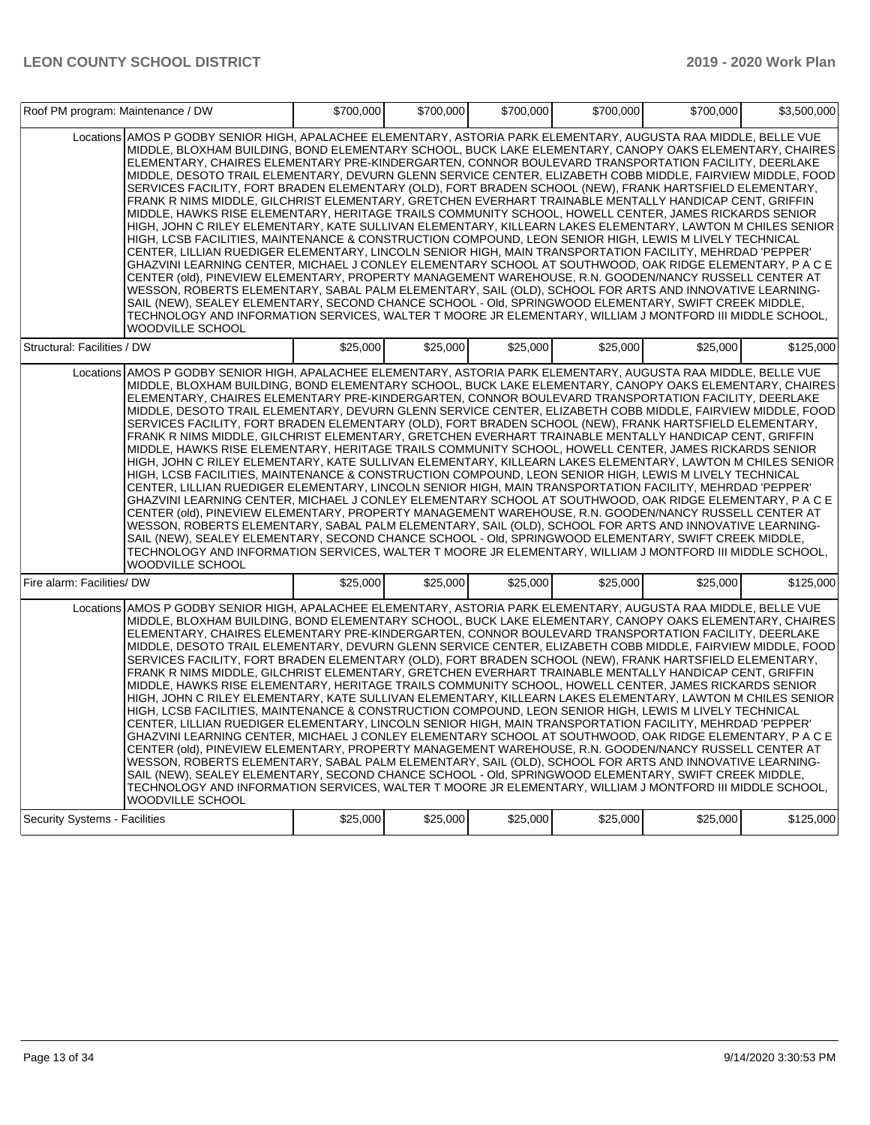| Roof PM program: Maintenance / DW    |                                                                                                                                                                                                                                                                                                                                                                                                                                                                                                                                                                                                                                                                                                                                                                                                                                                                                                                                                                                                                                                                                                                                                                                                                                                                                                                                                                                                                                                                                                                                                                                                                                                                                                    | \$700,000 | \$700,000 | \$700,000 | \$700,000 | \$700,000 | \$3,500,000 |
|--------------------------------------|----------------------------------------------------------------------------------------------------------------------------------------------------------------------------------------------------------------------------------------------------------------------------------------------------------------------------------------------------------------------------------------------------------------------------------------------------------------------------------------------------------------------------------------------------------------------------------------------------------------------------------------------------------------------------------------------------------------------------------------------------------------------------------------------------------------------------------------------------------------------------------------------------------------------------------------------------------------------------------------------------------------------------------------------------------------------------------------------------------------------------------------------------------------------------------------------------------------------------------------------------------------------------------------------------------------------------------------------------------------------------------------------------------------------------------------------------------------------------------------------------------------------------------------------------------------------------------------------------------------------------------------------------------------------------------------------------|-----------|-----------|-----------|-----------|-----------|-------------|
|                                      | Locations AMOS P GODBY SENIOR HIGH. APALACHEE ELEMENTARY. ASTORIA PARK ELEMENTARY. AUGUSTA RAA MIDDLE. BELLE VUE<br>MIDDLE, BLOXHAM BUILDING, BOND ELEMENTARY SCHOOL, BUCK LAKE ELEMENTARY, CANOPY OAKS ELEMENTARY, CHAIRES<br>ELEMENTARY, CHAIRES ELEMENTARY PRE-KINDERGARTEN, CONNOR BOULEVARD TRANSPORTATION FACILITY, DEERLAKE<br>MIDDLE, DESOTO TRAIL ELEMENTARY, DEVURN GLENN SERVICE CENTER, ELIZABETH COBB MIDDLE, FAIRVIEW MIDDLE, FOOD<br>SERVICES FACILITY, FORT BRADEN ELEMENTARY (OLD), FORT BRADEN SCHOOL (NEW), FRANK HARTSFIELD ELEMENTARY,<br>FRANK R NIMS MIDDLE, GILCHRIST ELEMENTARY, GRETCHEN EVERHART TRAINABLE MENTALLY HANDICAP CENT, GRIFFIN<br>MIDDLE, HAWKS RISE ELEMENTARY, HERITAGE TRAILS COMMUNITY SCHOOL, HOWELL CENTER, JAMES RICKARDS SENIOR<br>HIGH, JOHN C RILEY ELEMENTARY, KATE SULLIVAN ELEMENTARY, KILLEARN LAKES ELEMENTARY, LAWTON M CHILES SENIOR<br>HIGH, LCSB FACILITIES, MAINTENANCE & CONSTRUCTION COMPOUND, LEON SENIOR HIGH, LEWIS M LIVELY TECHNICAL<br>CENTER, LILLIAN RUEDIGER ELEMENTARY, LINCOLN SENIOR HIGH, MAIN TRANSPORTATION FACILITY, MEHRDAD 'PEPPER'<br>GHAZVINI LEARNING CENTER, MICHAEL J CONLEY ELEMENTARY SCHOOL AT SOUTHWOOD, OAK RIDGE ELEMENTARY, P A C E<br>CENTER (old), PINEVIEW ELEMENTARY, PROPERTY MANAGEMENT WAREHOUSE, R.N. GOODEN/NANCY RUSSELL CENTER AT<br>WESSON, ROBERTS ELEMENTARY, SABAL PALM ELEMENTARY, SAIL (OLD), SCHOOL FOR ARTS AND INNOVATIVE LEARNING-<br>SAIL (NEW), SEALEY ELEMENTARY, SECOND CHANCE SCHOOL - Old, SPRINGWOOD ELEMENTARY, SWIFT CREEK MIDDLE,<br>TECHNOLOGY AND INFORMATION SERVICES, WALTER T MOORE JR ELEMENTARY, WILLIAM J MONTFORD III MIDDLE SCHOOL,<br>WOODVILLE SCHOOL        |           |           |           |           |           |             |
| Structural: Facilities / DW          |                                                                                                                                                                                                                                                                                                                                                                                                                                                                                                                                                                                                                                                                                                                                                                                                                                                                                                                                                                                                                                                                                                                                                                                                                                                                                                                                                                                                                                                                                                                                                                                                                                                                                                    | \$25,000  | \$25,000  | \$25,000  | \$25,000  | \$25,000  | \$125,000   |
|                                      | Locations AMOS P GODBY SENIOR HIGH, APALACHEE ELEMENTARY, ASTORIA PARK ELEMENTARY, AUGUSTA RAA MIDDLE, BELLE VUE<br>MIDDLE, BLOXHAM BUILDING, BOND ELEMENTARY SCHOOL, BUCK LAKE ELEMENTARY, CANOPY OAKS ELEMENTARY, CHAIRES<br>ELEMENTARY, CHAIRES ELEMENTARY PRE-KINDERGARTEN, CONNOR BOULEVARD TRANSPORTATION FACILITY, DEERLAKE<br>MIDDLE, DESOTO TRAIL ELEMENTARY, DEVURN GLENN SERVICE CENTER, ELIZABETH COBB MIDDLE, FAIRVIEW MIDDLE, FOOD<br>SERVICES FACILITY, FORT BRADEN ELEMENTARY (OLD), FORT BRADEN SCHOOL (NEW), FRANK HARTSFIELD ELEMENTARY,<br>FRANK R NIMS MIDDLE, GILCHRIST ELEMENTARY, GRETCHEN EVERHART TRAINABLE MENTALLY HANDICAP CENT, GRIFFIN<br>MIDDLE, HAWKS RISE ELEMENTARY, HERITAGE TRAILS COMMUNITY SCHOOL, HOWELL CENTER, JAMES RICKARDS SENIOR<br>HIGH, JOHN C RILEY ELEMENTARY, KATE SULLIVAN ELEMENTARY, KILLEARN LAKES ELEMENTARY, LAWTON M CHILES SENIOR<br>HIGH, LCSB FACILITIES, MAINTENANCE & CONSTRUCTION COMPOUND, LEON SENIOR HIGH, LEWIS M LIVELY TECHNICAL<br>CENTER, LILLIAN RUEDIGER ELEMENTARY, LINCOLN SENIOR HIGH, MAIN TRANSPORTATION FACILITY, MEHRDAD 'PEPPER'<br>GHAZVINI LEARNING CENTER, MICHAEL J CONLEY ELEMENTARY SCHOOL AT SOUTHWOOD, OAK RIDGE ELEMENTARY, P A C E<br>CENTER (old), PINEVIEW ELEMENTARY, PROPERTY MANAGEMENT WAREHOUSE, R.N. GOODEN/NANCY RUSSELL CENTER AT<br>WESSON, ROBERTS ELEMENTARY, SABAL PALM ELEMENTARY, SAIL (OLD), SCHOOL FOR ARTS AND INNOVATIVE LEARNING-<br>SAIL (NEW), SEALEY ELEMENTARY, SECOND CHANCE SCHOOL - Old, SPRINGWOOD ELEMENTARY, SWIFT CREEK MIDDLE,<br>TECHNOLOGY AND INFORMATION SERVICES. WALTER T MOORE JR ELEMENTARY, WILLIAM J MONTFORD III MIDDLE SCHOOL,<br><b>WOODVILLE SCHOOL</b> |           |           |           |           |           |             |
| Fire alarm: Facilities/ DW           |                                                                                                                                                                                                                                                                                                                                                                                                                                                                                                                                                                                                                                                                                                                                                                                                                                                                                                                                                                                                                                                                                                                                                                                                                                                                                                                                                                                                                                                                                                                                                                                                                                                                                                    | \$25,000  | \$25,000  | \$25,000  | \$25,000  | \$25,000  | \$125,000   |
|                                      | Locations AMOS P GODBY SENIOR HIGH, APALACHEE ELEMENTARY, ASTORIA PARK ELEMENTARY, AUGUSTA RAA MIDDLE, BELLE VUE<br>MIDDLE, BLOXHAM BUILDING, BOND ELEMENTARY SCHOOL, BUCK LAKE ELEMENTARY, CANOPY OAKS ELEMENTARY, CHAIRES<br>ELEMENTARY, CHAIRES ELEMENTARY PRE-KINDERGARTEN, CONNOR BOULEVARD TRANSPORTATION FACILITY, DEERLAKE<br>MIDDLE, DESOTO TRAIL ELEMENTARY, DEVURN GLENN SERVICE CENTER, ELIZABETH COBB MIDDLE, FAIRVIEW MIDDLE, FOOD<br>SERVICES FACILITY, FORT BRADEN ELEMENTARY (OLD), FORT BRADEN SCHOOL (NEW), FRANK HARTSFIELD ELEMENTARY,<br>FRANK R NIMS MIDDLE, GILCHRIST ELEMENTARY, GRETCHEN EVERHART TRAINABLE MENTALLY HANDICAP CENT, GRIFFIN<br>MIDDLE, HAWKS RISE ELEMENTARY, HERITAGE TRAILS COMMUNITY SCHOOL, HOWELL CENTER, JAMES RICKARDS SENIOR<br>HIGH, JOHN C RILEY ELEMENTARY, KATE SULLIVAN ELEMENTARY, KILLEARN LAKES ELEMENTARY, LAWTON M CHILES SENIOR<br>HIGH, LCSB FACILITIES, MAINTENANCE & CONSTRUCTION COMPOUND, LEON SENIOR HIGH, LEWIS M LIVELY TECHNICAL<br>CENTER, LILLIAN RUEDIGER ELEMENTARY, LINCOLN SENIOR HIGH, MAIN TRANSPORTATION FACILITY, MEHRDAD 'PEPPER'<br>GHAZVINI LEARNING CENTER, MICHAEL J CONLEY ELEMENTARY SCHOOL AT SOUTHWOOD, OAK RIDGE ELEMENTARY, P A C E<br>CENTER (old), PINEVIEW ELEMENTARY, PROPERTY MANAGEMENT WAREHOUSE, R.N. GOODEN/NANCY RUSSELL CENTER AT<br>WESSON, ROBERTS ELEMENTARY, SABAL PALM ELEMENTARY, SAIL (OLD), SCHOOL FOR ARTS AND INNOVATIVE LEARNING-<br>SAIL (NEW), SEALEY ELEMENTARY, SECOND CHANCE SCHOOL - Old, SPRINGWOOD ELEMENTARY, SWIFT CREEK MIDDLE,<br>TECHNOLOGY AND INFORMATION SERVICES. WALTER T MOORE JR ELEMENTARY, WILLIAM J MONTFORD III MIDDLE SCHOOL,<br>WOODVILLE SCHOOL        |           |           |           |           |           |             |
| <b>Security Systems - Facilities</b> |                                                                                                                                                                                                                                                                                                                                                                                                                                                                                                                                                                                                                                                                                                                                                                                                                                                                                                                                                                                                                                                                                                                                                                                                                                                                                                                                                                                                                                                                                                                                                                                                                                                                                                    | \$25,000  | \$25,000  | \$25,000  | \$25,000  | \$25,000  | \$125,000   |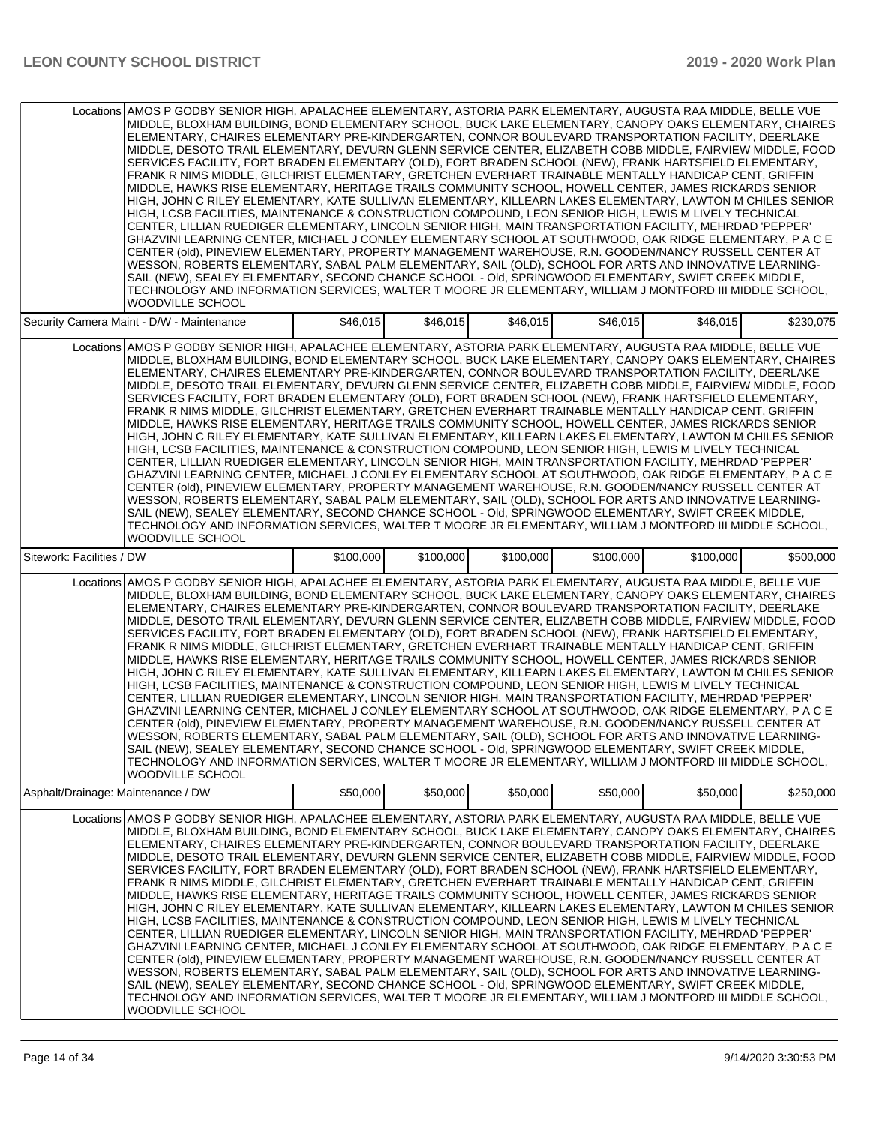|                                    | Locations AMOS P GODBY SENIOR HIGH, APALACHEE ELEMENTARY, ASTORIA PARK ELEMENTARY, AUGUSTA RAA MIDDLE, BELLE VUE<br>MIDDLE, BLOXHAM BUILDING, BOND ELEMENTARY SCHOOL, BUCK LAKE ELEMENTARY, CANOPY OAKS ELEMENTARY, CHAIRES<br>ELEMENTARY, CHAIRES ELEMENTARY PRE-KINDERGARTEN, CONNOR BOULEVARD TRANSPORTATION FACILITY, DEERLAKE<br>MIDDLE, DESOTO TRAIL ELEMENTARY, DEVURN GLENN SERVICE CENTER, ELIZABETH COBB MIDDLE, FAIRVIEW MIDDLE, FOOD<br>SERVICES FACILITY, FORT BRADEN ELEMENTARY (OLD), FORT BRADEN SCHOOL (NEW), FRANK HARTSFIELD ELEMENTARY,<br>FRANK R NIMS MIDDLE, GILCHRIST ELEMENTARY, GRETCHEN EVERHART TRAINABLE MENTALLY HANDICAP CENT, GRIFFIN<br>MIDDLE, HAWKS RISE ELEMENTARY, HERITAGE TRAILS COMMUNITY SCHOOL, HOWELL CENTER, JAMES RICKARDS SENIOR<br>HIGH, JOHN C RILEY ELEMENTARY, KATE SULLIVAN ELEMENTARY, KILLEARN LAKES ELEMENTARY, LAWTON M CHILES SENIOR<br>HIGH, LCSB FACILITIES, MAINTENANCE & CONSTRUCTION COMPOUND, LEON SENIOR HIGH, LEWIS M LIVELY TECHNICAL<br>CENTER, LILLIAN RUEDIGER ELEMENTARY, LINCOLN SENIOR HIGH, MAIN TRANSPORTATION FACILITY, MEHRDAD 'PEPPER'<br>GHAZVINI LEARNING CENTER, MICHAEL J CONLEY ELEMENTARY SCHOOL AT SOUTHWOOD, OAK RIDGE ELEMENTARY, P A C E<br>CENTER (old), PINEVIEW ELEMENTARY, PROPERTY MANAGEMENT WAREHOUSE, R.N. GOODEN/NANCY RUSSELL CENTER AT<br>WESSON, ROBERTS ELEMENTARY, SABAL PALM ELEMENTARY, SAIL (OLD), SCHOOL FOR ARTS AND INNOVATIVE LEARNING-<br>SAIL (NEW), SEALEY ELEMENTARY, SECOND CHANCE SCHOOL - Old, SPRINGWOOD ELEMENTARY, SWIFT CREEK MIDDLE,<br>TECHNOLOGY AND INFORMATION SERVICES, WALTER T MOORE JR ELEMENTARY, WILLIAM J MONTFORD III MIDDLE SCHOOL,<br><b>WOODVILLE SCHOOL</b> |           |           |           |           |           |           |
|------------------------------------|----------------------------------------------------------------------------------------------------------------------------------------------------------------------------------------------------------------------------------------------------------------------------------------------------------------------------------------------------------------------------------------------------------------------------------------------------------------------------------------------------------------------------------------------------------------------------------------------------------------------------------------------------------------------------------------------------------------------------------------------------------------------------------------------------------------------------------------------------------------------------------------------------------------------------------------------------------------------------------------------------------------------------------------------------------------------------------------------------------------------------------------------------------------------------------------------------------------------------------------------------------------------------------------------------------------------------------------------------------------------------------------------------------------------------------------------------------------------------------------------------------------------------------------------------------------------------------------------------------------------------------------------------------------------------------------------------|-----------|-----------|-----------|-----------|-----------|-----------|
|                                    | Security Camera Maint - D/W - Maintenance                                                                                                                                                                                                                                                                                                                                                                                                                                                                                                                                                                                                                                                                                                                                                                                                                                                                                                                                                                                                                                                                                                                                                                                                                                                                                                                                                                                                                                                                                                                                                                                                                                                          | \$46,015  | \$46,015  | \$46,015  | \$46,015  | \$46,015  | \$230,075 |
|                                    | Locations AMOS P GODBY SENIOR HIGH, APALACHEE ELEMENTARY, ASTORIA PARK ELEMENTARY, AUGUSTA RAA MIDDLE, BELLE VUE<br>MIDDLE, BLOXHAM BUILDING, BOND ELEMENTARY SCHOOL, BUCK LAKE ELEMENTARY, CANOPY OAKS ELEMENTARY, CHAIRES<br>ELEMENTARY, CHAIRES ELEMENTARY PRE-KINDERGARTEN, CONNOR BOULEVARD TRANSPORTATION FACILITY, DEERLAKE<br>MIDDLE, DESOTO TRAIL ELEMENTARY, DEVURN GLENN SERVICE CENTER, ELIZABETH COBB MIDDLE, FAIRVIEW MIDDLE, FOOD<br>SERVICES FACILITY, FORT BRADEN ELEMENTARY (OLD), FORT BRADEN SCHOOL (NEW), FRANK HARTSFIELD ELEMENTARY,<br>FRANK R NIMS MIDDLE, GILCHRIST ELEMENTARY, GRETCHEN EVERHART TRAINABLE MENTALLY HANDICAP CENT, GRIFFIN<br>MIDDLE, HAWKS RISE ELEMENTARY, HERITAGE TRAILS COMMUNITY SCHOOL, HOWELL CENTER, JAMES RICKARDS SENIOR<br>HIGH, JOHN C RILEY ELEMENTARY, KATE SULLIVAN ELEMENTARY, KILLEARN LAKES ELEMENTARY, LAWTON M CHILES SENIOR<br>HIGH, LCSB FACILITIES, MAINTENANCE & CONSTRUCTION COMPOUND, LEON SENIOR HIGH, LEWIS M LIVELY TECHNICAL<br>CENTER, LILLIAN RUEDIGER ELEMENTARY, LINCOLN SENIOR HIGH, MAIN TRANSPORTATION FACILITY, MEHRDAD 'PEPPER'<br>GHAZVINI LEARNING CENTER, MICHAEL J CONLEY ELEMENTARY SCHOOL AT SOUTHWOOD, OAK RIDGE ELEMENTARY, P A C E<br>CENTER (old), PINEVIEW ELEMENTARY, PROPERTY MANAGEMENT WAREHOUSE, R.N. GOODEN/NANCY RUSSELL CENTER AT<br>WESSON, ROBERTS ELEMENTARY, SABAL PALM ELEMENTARY, SAIL (OLD), SCHOOL FOR ARTS AND INNOVATIVE LEARNING-<br>SAIL (NEW), SEALEY ELEMENTARY, SECOND CHANCE SCHOOL - Old, SPRINGWOOD ELEMENTARY, SWIFT CREEK MIDDLE,<br>TECHNOLOGY AND INFORMATION SERVICES, WALTER T MOORE JR ELEMENTARY, WILLIAM J MONTFORD III MIDDLE SCHOOL,<br><b>WOODVILLE SCHOOL</b> |           |           |           |           |           |           |
| Sitework: Facilities / DW          |                                                                                                                                                                                                                                                                                                                                                                                                                                                                                                                                                                                                                                                                                                                                                                                                                                                                                                                                                                                                                                                                                                                                                                                                                                                                                                                                                                                                                                                                                                                                                                                                                                                                                                    | \$100,000 | \$100,000 | \$100,000 | \$100,000 | \$100,000 | \$500,000 |
|                                    | Locations AMOS P GODBY SENIOR HIGH, APALACHEE ELEMENTARY, ASTORIA PARK ELEMENTARY, AUGUSTA RAA MIDDLE, BELLE VUE<br>MIDDLE, BLOXHAM BUILDING, BOND ELEMENTARY SCHOOL, BUCK LAKE ELEMENTARY, CANOPY OAKS ELEMENTARY, CHAIRES<br>ELEMENTARY, CHAIRES ELEMENTARY PRE-KINDERGARTEN, CONNOR BOULEVARD TRANSPORTATION FACILITY, DEERLAKE<br>MIDDLE, DESOTO TRAIL ELEMENTARY, DEVURN GLENN SERVICE CENTER, ELIZABETH COBB MIDDLE, FAIRVIEW MIDDLE, FOOD<br>SERVICES FACILITY, FORT BRADEN ELEMENTARY (OLD), FORT BRADEN SCHOOL (NEW), FRANK HARTSFIELD ELEMENTARY,<br>FRANK R NIMS MIDDLE, GILCHRIST ELEMENTARY, GRETCHEN EVERHART TRAINABLE MENTALLY HANDICAP CENT, GRIFFIN<br>MIDDLE, HAWKS RISE ELEMENTARY, HERITAGE TRAILS COMMUNITY SCHOOL, HOWELL CENTER, JAMES RICKARDS SENIOR<br>HIGH, JOHN C RILEY ELEMENTARY, KATE SULLIVAN ELEMENTARY, KILLEARN LAKES ELEMENTARY, LAWTON M CHILES SENIOR<br>HIGH, LCSB FACILITIES, MAINTENANCE & CONSTRUCTION COMPOUND, LEON SENIOR HIGH, LEWIS M LIVELY TECHNICAL<br>CENTER, LILLIAN RUEDIGER ELEMENTARY, LINCOLN SENIOR HIGH, MAIN TRANSPORTATION FACILITY, MEHRDAD 'PEPPER'<br>GHAZVINI LEARNING CENTER, MICHAEL J CONLEY ELEMENTARY SCHOOL AT SOUTHWOOD, OAK RIDGE ELEMENTARY, P A C E<br>CENTER (old), PINEVIEW ELEMENTARY, PROPERTY MANAGEMENT WAREHOUSE, R.N. GOODEN/NANCY RUSSELL CENTER AT<br>WESSON, ROBERTS ELEMENTARY, SABAL PALM ELEMENTARY, SAIL (OLD), SCHOOL FOR ARTS AND INNOVATIVE LEARNING-<br>SAIL (NEW), SEALEY ELEMENTARY, SECOND CHANCE SCHOOL - Old, SPRINGWOOD ELEMENTARY, SWIFT CREEK MIDDLE,<br>TECHNOLOGY AND INFORMATION SERVICES, WALTER T MOORE JR ELEMENTARY, WILLIAM J MONTFORD III MIDDLE SCHOOL.<br><b>WOODVILLE SCHOOL</b> |           |           |           |           |           |           |
| Asphalt/Drainage: Maintenance / DW |                                                                                                                                                                                                                                                                                                                                                                                                                                                                                                                                                                                                                                                                                                                                                                                                                                                                                                                                                                                                                                                                                                                                                                                                                                                                                                                                                                                                                                                                                                                                                                                                                                                                                                    | \$50,000  | \$50,000  | \$50,000  | \$50,000  | \$50,000  | \$250,000 |
|                                    | Locations AMOS P GODBY SENIOR HIGH, APALACHEE ELEMENTARY, ASTORIA PARK ELEMENTARY, AUGUSTA RAA MIDDLE, BELLE VUE<br>MIDDLE, BLOXHAM BUILDING, BOND ELEMENTARY SCHOOL, BUCK LAKE ELEMENTARY, CANOPY OAKS ELEMENTARY, CHAIRES<br>ELEMENTARY, CHAIRES ELEMENTARY PRE-KINDERGARTEN, CONNOR BOULEVARD TRANSPORTATION FACILITY, DEERLAKE<br>MIDDLE, DESOTO TRAIL ELEMENTARY, DEVURN GLENN SERVICE CENTER, ELIZABETH COBB MIDDLE, FAIRVIEW MIDDLE, FOOD<br>SERVICES FACILITY, FORT BRADEN ELEMENTARY (OLD), FORT BRADEN SCHOOL (NEW), FRANK HARTSFIELD ELEMENTARY,<br>FRANK R NIMS MIDDLE, GILCHRIST ELEMENTARY, GRETCHEN EVERHART TRAINABLE MENTALLY HANDICAP CENT, GRIFFIN<br>MIDDLE, HAWKS RISE ELEMENTARY, HERITAGE TRAILS COMMUNITY SCHOOL, HOWELL CENTER, JAMES RICKARDS SENIOR<br>HIGH, JOHN C RILEY ELEMENTARY, KATE SULLIVAN ELEMENTARY, KILLEARN LAKES ELEMENTARY, LAWTON M CHILES SENIOR<br>HIGH, LCSB FACILITIES, MAINTENANCE & CONSTRUCTION COMPOUND, LEON SENIOR HIGH, LEWIS M LIVELY TECHNICAL<br>CENTER, LILLIAN RUEDIGER ELEMENTARY, LINCOLN SENIOR HIGH, MAIN TRANSPORTATION FACILITY, MEHRDAD 'PEPPER'<br>GHAZVINI LEARNING CENTER, MICHAEL J CONLEY ELEMENTARY SCHOOL AT SOUTHWOOD, OAK RIDGE ELEMENTARY, P A C E<br>CENTER (old), PINEVIEW ELEMENTARY, PROPERTY MANAGEMENT WAREHOUSE, R.N. GOODEN/NANCY RUSSELL CENTER AT<br>WESSON, ROBERTS ELEMENTARY, SABAL PALM ELEMENTARY, SAIL (OLD), SCHOOL FOR ARTS AND INNOVATIVE LEARNING-<br>SAIL (NEW), SEALEY ELEMENTARY, SECOND CHANCE SCHOOL - Old, SPRINGWOOD ELEMENTARY, SWIFT CREEK MIDDLE,<br>TECHNOLOGY AND INFORMATION SERVICES, WALTER T MOORE JR ELEMENTARY, WILLIAM J MONTFORD III MIDDLE SCHOOL,<br>WOODVILLE SCHOOL        |           |           |           |           |           |           |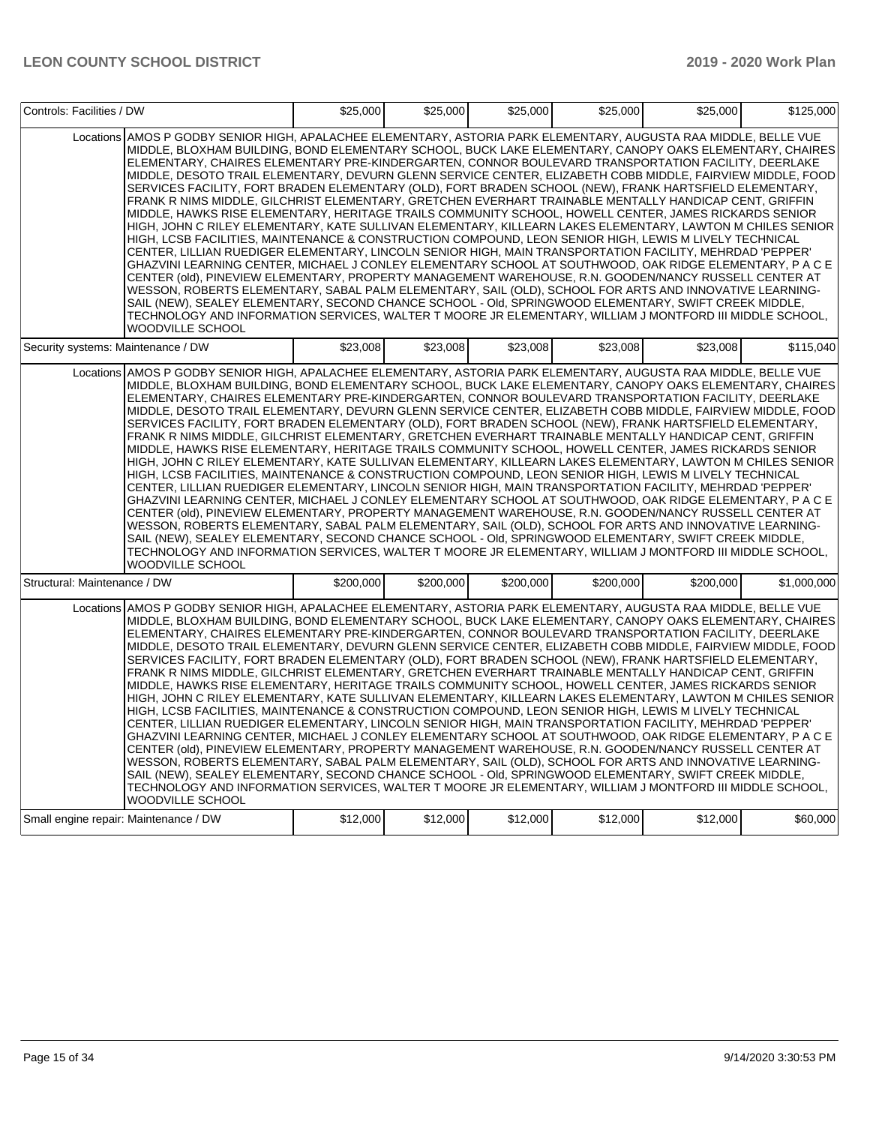| Controls: Facilities / DW             |                                                                                                                                                                                                                                                                                                                                                                                                                                                                                                                                                                                                                                                                                                                                                                                                                                                                                                                                                                                                                                                                                                                                                                                                                                                                                                                                                                                                                                                                                                                                                                                                                                                                                                    | \$25,000  | \$25,000  | \$25,000  | \$25,000  | \$25,000  | \$125,000   |
|---------------------------------------|----------------------------------------------------------------------------------------------------------------------------------------------------------------------------------------------------------------------------------------------------------------------------------------------------------------------------------------------------------------------------------------------------------------------------------------------------------------------------------------------------------------------------------------------------------------------------------------------------------------------------------------------------------------------------------------------------------------------------------------------------------------------------------------------------------------------------------------------------------------------------------------------------------------------------------------------------------------------------------------------------------------------------------------------------------------------------------------------------------------------------------------------------------------------------------------------------------------------------------------------------------------------------------------------------------------------------------------------------------------------------------------------------------------------------------------------------------------------------------------------------------------------------------------------------------------------------------------------------------------------------------------------------------------------------------------------------|-----------|-----------|-----------|-----------|-----------|-------------|
|                                       | Locations AMOS P GODBY SENIOR HIGH. APALACHEE ELEMENTARY. ASTORIA PARK ELEMENTARY. AUGUSTA RAA MIDDLE. BELLE VUE<br>MIDDLE, BLOXHAM BUILDING, BOND ELEMENTARY SCHOOL, BUCK LAKE ELEMENTARY, CANOPY OAKS ELEMENTARY, CHAIRES<br>ELEMENTARY, CHAIRES ELEMENTARY PRE-KINDERGARTEN, CONNOR BOULEVARD TRANSPORTATION FACILITY, DEERLAKE<br>MIDDLE, DESOTO TRAIL ELEMENTARY, DEVURN GLENN SERVICE CENTER, ELIZABETH COBB MIDDLE, FAIRVIEW MIDDLE, FOOD<br>SERVICES FACILITY, FORT BRADEN ELEMENTARY (OLD), FORT BRADEN SCHOOL (NEW), FRANK HARTSFIELD ELEMENTARY,<br>FRANK R NIMS MIDDLE, GILCHRIST ELEMENTARY, GRETCHEN EVERHART TRAINABLE MENTALLY HANDICAP CENT, GRIFFIN<br>MIDDLE, HAWKS RISE ELEMENTARY, HERITAGE TRAILS COMMUNITY SCHOOL, HOWELL CENTER, JAMES RICKARDS SENIOR<br>HIGH, JOHN C RILEY ELEMENTARY, KATE SULLIVAN ELEMENTARY, KILLEARN LAKES ELEMENTARY, LAWTON M CHILES SENIOR<br>HIGH, LCSB FACILITIES, MAINTENANCE & CONSTRUCTION COMPOUND, LEON SENIOR HIGH, LEWIS M LIVELY TECHNICAL<br>CENTER, LILLIAN RUEDIGER ELEMENTARY, LINCOLN SENIOR HIGH, MAIN TRANSPORTATION FACILITY, MEHRDAD 'PEPPER'<br>GHAZVINI LEARNING CENTER, MICHAEL J CONLEY ELEMENTARY SCHOOL AT SOUTHWOOD, OAK RIDGE ELEMENTARY, P A C E<br>CENTER (old), PINEVIEW ELEMENTARY, PROPERTY MANAGEMENT WAREHOUSE, R.N. GOODEN/NANCY RUSSELL CENTER AT<br>WESSON, ROBERTS ELEMENTARY, SABAL PALM ELEMENTARY, SAIL (OLD), SCHOOL FOR ARTS AND INNOVATIVE LEARNING-<br>SAIL (NEW), SEALEY ELEMENTARY, SECOND CHANCE SCHOOL - Old, SPRINGWOOD ELEMENTARY, SWIFT CREEK MIDDLE,<br>TECHNOLOGY AND INFORMATION SERVICES, WALTER T MOORE JR ELEMENTARY, WILLIAM J MONTFORD III MIDDLE SCHOOL,<br><b>WOODVILLE SCHOOL</b> |           |           |           |           |           |             |
| Security systems: Maintenance / DW    |                                                                                                                                                                                                                                                                                                                                                                                                                                                                                                                                                                                                                                                                                                                                                                                                                                                                                                                                                                                                                                                                                                                                                                                                                                                                                                                                                                                                                                                                                                                                                                                                                                                                                                    | \$23,008  | \$23,008  | \$23.008  | \$23.008  | \$23.008  | \$115,040   |
|                                       | Locations AMOS P GODBY SENIOR HIGH, APALACHEE ELEMENTARY, ASTORIA PARK ELEMENTARY, AUGUSTA RAA MIDDLE, BELLE VUE<br>MIDDLE, BLOXHAM BUILDING, BOND ELEMENTARY SCHOOL, BUCK LAKE ELEMENTARY, CANOPY OAKS ELEMENTARY, CHAIRES<br>ELEMENTARY, CHAIRES ELEMENTARY PRE-KINDERGARTEN, CONNOR BOULEVARD TRANSPORTATION FACILITY, DEERLAKE<br>MIDDLE, DESOTO TRAIL ELEMENTARY, DEVURN GLENN SERVICE CENTER, ELIZABETH COBB MIDDLE, FAIRVIEW MIDDLE, FOOD<br>SERVICES FACILITY, FORT BRADEN ELEMENTARY (OLD), FORT BRADEN SCHOOL (NEW), FRANK HARTSFIELD ELEMENTARY,<br>FRANK R NIMS MIDDLE, GILCHRIST ELEMENTARY, GRETCHEN EVERHART TRAINABLE MENTALLY HANDICAP CENT, GRIFFIN<br>MIDDLE, HAWKS RISE ELEMENTARY, HERITAGE TRAILS COMMUNITY SCHOOL, HOWELL CENTER, JAMES RICKARDS SENIOR<br>HIGH, JOHN C RILEY ELEMENTARY, KATE SULLIVAN ELEMENTARY, KILLEARN LAKES ELEMENTARY, LAWTON M CHILES SENIOR<br>HIGH, LCSB FACILITIES, MAINTENANCE & CONSTRUCTION COMPOUND, LEON SENIOR HIGH, LEWIS M LIVELY TECHNICAL<br>CENTER, LILLIAN RUEDIGER ELEMENTARY, LINCOLN SENIOR HIGH, MAIN TRANSPORTATION FACILITY, MEHRDAD 'PEPPER'<br>GHAZVINI LEARNING CENTER, MICHAEL J CONLEY ELEMENTARY SCHOOL AT SOUTHWOOD, OAK RIDGE ELEMENTARY, P A C E<br>CENTER (old), PINEVIEW ELEMENTARY, PROPERTY MANAGEMENT WAREHOUSE, R.N. GOODEN/NANCY RUSSELL CENTER AT<br>WESSON, ROBERTS ELEMENTARY, SABAL PALM ELEMENTARY, SAIL (OLD), SCHOOL FOR ARTS AND INNOVATIVE LEARNING-<br>SAIL (NEW), SEALEY ELEMENTARY, SECOND CHANCE SCHOOL - Old, SPRINGWOOD ELEMENTARY, SWIFT CREEK MIDDLE,<br>TECHNOLOGY AND INFORMATION SERVICES, WALTER T MOORE JR ELEMENTARY, WILLIAM J MONTFORD III MIDDLE SCHOOL,<br><b>WOODVILLE SCHOOL</b> |           |           |           |           |           |             |
| Structural: Maintenance / DW          |                                                                                                                                                                                                                                                                                                                                                                                                                                                                                                                                                                                                                                                                                                                                                                                                                                                                                                                                                                                                                                                                                                                                                                                                                                                                                                                                                                                                                                                                                                                                                                                                                                                                                                    | \$200,000 | \$200,000 | \$200,000 | \$200,000 | \$200,000 | \$1,000,000 |
|                                       | Locations AMOS P GODBY SENIOR HIGH, APALACHEE ELEMENTARY, ASTORIA PARK ELEMENTARY, AUGUSTA RAA MIDDLE, BELLE VUE<br>MIDDLE, BLOXHAM BUILDING, BOND ELEMENTARY SCHOOL, BUCK LAKE ELEMENTARY, CANOPY OAKS ELEMENTARY, CHAIRES<br>ELEMENTARY, CHAIRES ELEMENTARY PRE-KINDERGARTEN, CONNOR BOULEVARD TRANSPORTATION FACILITY, DEERLAKE<br>MIDDLE, DESOTO TRAIL ELEMENTARY, DEVURN GLENN SERVICE CENTER, ELIZABETH COBB MIDDLE, FAIRVIEW MIDDLE, FOOD<br>SERVICES FACILITY, FORT BRADEN ELEMENTARY (OLD), FORT BRADEN SCHOOL (NEW), FRANK HARTSFIELD ELEMENTARY,<br>FRANK R NIMS MIDDLE, GILCHRIST ELEMENTARY, GRETCHEN EVERHART TRAINABLE MENTALLY HANDICAP CENT, GRIFFIN<br>MIDDLE, HAWKS RISE ELEMENTARY, HERITAGE TRAILS COMMUNITY SCHOOL, HOWELL CENTER, JAMES RICKARDS SENIOR<br>HIGH, JOHN C RILEY ELEMENTARY, KATE SULLIVAN ELEMENTARY, KILLEARN LAKES ELEMENTARY, LAWTON M CHILES SENIOR<br>HIGH, LCSB FACILITIES, MAINTENANCE & CONSTRUCTION COMPOUND, LEON SENIOR HIGH, LEWIS M LIVELY TECHNICAL<br>CENTER, LILLIAN RUEDIGER ELEMENTARY, LINCOLN SENIOR HIGH, MAIN TRANSPORTATION FACILITY, MEHRDAD 'PEPPER'<br>GHAZVINI LEARNING CENTER, MICHAEL J CONLEY ELEMENTARY SCHOOL AT SOUTHWOOD, OAK RIDGE ELEMENTARY, P A C E<br>CENTER (old), PINEVIEW ELEMENTARY, PROPERTY MANAGEMENT WAREHOUSE, R.N. GOODEN/NANCY RUSSELL CENTER AT<br>WESSON, ROBERTS ELEMENTARY, SABAL PALM ELEMENTARY, SAIL (OLD), SCHOOL FOR ARTS AND INNOVATIVE LEARNING-<br>SAIL (NEW), SEALEY ELEMENTARY, SECOND CHANCE SCHOOL - OId, SPRINGWOOD ELEMENTARY, SWIFT CREEK MIDDLE,<br>TECHNOLOGY AND INFORMATION SERVICES, WALTER T MOORE JR ELEMENTARY, WILLIAM J MONTFORD III MIDDLE SCHOOL,<br>WOODVILLE SCHOOL        |           |           |           |           |           |             |
| Small engine repair: Maintenance / DW |                                                                                                                                                                                                                                                                                                                                                                                                                                                                                                                                                                                                                                                                                                                                                                                                                                                                                                                                                                                                                                                                                                                                                                                                                                                                                                                                                                                                                                                                                                                                                                                                                                                                                                    | \$12,000  | \$12,000  | \$12,000  | \$12,000  | \$12,000  | \$60,000    |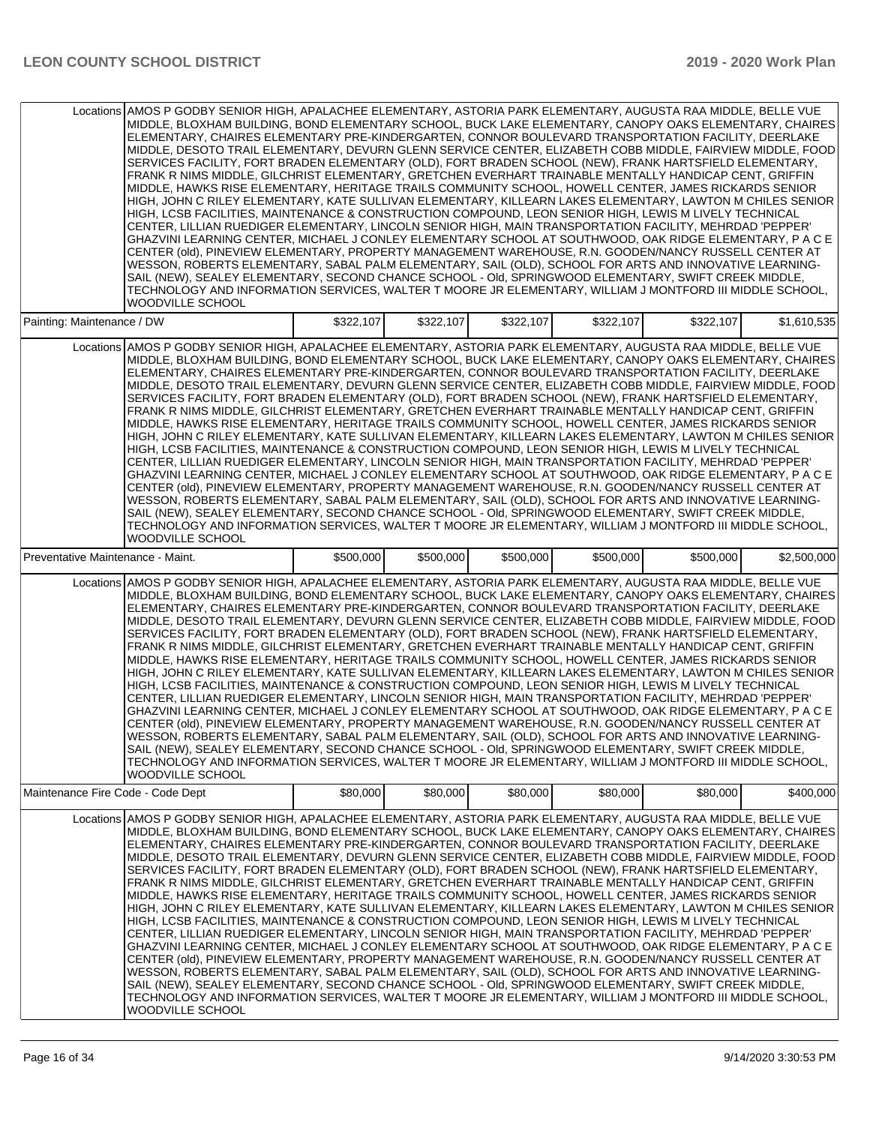|                                   | Locations AMOS P GODBY SENIOR HIGH, APALACHEE ELEMENTARY, ASTORIA PARK ELEMENTARY, AUGUSTA RAA MIDDLE, BELLE VUE<br>MIDDLE, BLOXHAM BUILDING, BOND ELEMENTARY SCHOOL, BUCK LAKE ELEMENTARY, CANOPY OAKS ELEMENTARY, CHAIRES<br>ELEMENTARY, CHAIRES ELEMENTARY PRE-KINDERGARTEN, CONNOR BOULEVARD TRANSPORTATION FACILITY, DEERLAKE<br>MIDDLE, DESOTO TRAIL ELEMENTARY, DEVURN GLENN SERVICE CENTER, ELIZABETH COBB MIDDLE, FAIRVIEW MIDDLE, FOOD<br>SERVICES FACILITY, FORT BRADEN ELEMENTARY (OLD), FORT BRADEN SCHOOL (NEW), FRANK HARTSFIELD ELEMENTARY,<br>FRANK R NIMS MIDDLE, GILCHRIST ELEMENTARY, GRETCHEN EVERHART TRAINABLE MENTALLY HANDICAP CENT, GRIFFIN<br>MIDDLE, HAWKS RISE ELEMENTARY, HERITAGE TRAILS COMMUNITY SCHOOL, HOWELL CENTER, JAMES RICKARDS SENIOR<br>HIGH, JOHN C RILEY ELEMENTARY, KATE SULLIVAN ELEMENTARY, KILLEARN LAKES ELEMENTARY, LAWTON M CHILES SENIOR<br>HIGH, LCSB FACILITIES, MAINTENANCE & CONSTRUCTION COMPOUND, LEON SENIOR HIGH, LEWIS M LIVELY TECHNICAL<br>CENTER, LILLIAN RUEDIGER ELEMENTARY, LINCOLN SENIOR HIGH, MAIN TRANSPORTATION FACILITY, MEHRDAD 'PEPPER'<br>GHAZVINI LEARNING CENTER, MICHAEL J CONLEY ELEMENTARY SCHOOL AT SOUTHWOOD, OAK RIDGE ELEMENTARY, P A C E<br>CENTER (old), PINEVIEW ELEMENTARY, PROPERTY MANAGEMENT WAREHOUSE, R.N. GOODEN/NANCY RUSSELL CENTER AT<br>WESSON, ROBERTS ELEMENTARY, SABAL PALM ELEMENTARY, SAIL (OLD), SCHOOL FOR ARTS AND INNOVATIVE LEARNING-<br>SAIL (NEW), SEALEY ELEMENTARY, SECOND CHANCE SCHOOL - OId, SPRINGWOOD ELEMENTARY, SWIFT CREEK MIDDLE,<br>TECHNOLOGY AND INFORMATION SERVICES, WALTER T MOORE JR ELEMENTARY, WILLIAM J MONTFORD III MIDDLE SCHOOL,<br><b>WOODVILLE SCHOOL</b>  |           |           |           |           |           |             |
|-----------------------------------|-----------------------------------------------------------------------------------------------------------------------------------------------------------------------------------------------------------------------------------------------------------------------------------------------------------------------------------------------------------------------------------------------------------------------------------------------------------------------------------------------------------------------------------------------------------------------------------------------------------------------------------------------------------------------------------------------------------------------------------------------------------------------------------------------------------------------------------------------------------------------------------------------------------------------------------------------------------------------------------------------------------------------------------------------------------------------------------------------------------------------------------------------------------------------------------------------------------------------------------------------------------------------------------------------------------------------------------------------------------------------------------------------------------------------------------------------------------------------------------------------------------------------------------------------------------------------------------------------------------------------------------------------------------------------------------------------------|-----------|-----------|-----------|-----------|-----------|-------------|
| Painting: Maintenance / DW        |                                                                                                                                                                                                                                                                                                                                                                                                                                                                                                                                                                                                                                                                                                                                                                                                                                                                                                                                                                                                                                                                                                                                                                                                                                                                                                                                                                                                                                                                                                                                                                                                                                                                                                     | \$322,107 | \$322,107 | \$322,107 | \$322,107 | \$322,107 | \$1,610,535 |
|                                   | Locations AMOS P GODBY SENIOR HIGH, APALACHEE ELEMENTARY, ASTORIA PARK ELEMENTARY, AUGUSTA RAA MIDDLE, BELLE VUE<br>MIDDLE, BLOXHAM BUILDING, BOND ELEMENTARY SCHOOL, BUCK LAKE ELEMENTARY, CANOPY OAKS ELEMENTARY, CHAIRES<br>ELEMENTARY, CHAIRES ELEMENTARY PRE-KINDERGARTEN, CONNOR BOULEVARD TRANSPORTATION FACILITY, DEERLAKE<br>MIDDLE, DESOTO TRAIL ELEMENTARY, DEVURN GLENN SERVICE CENTER, ELIZABETH COBB MIDDLE, FAIRVIEW MIDDLE, FOOD<br>SERVICES FACILITY, FORT BRADEN ELEMENTARY (OLD), FORT BRADEN SCHOOL (NEW), FRANK HARTSFIELD ELEMENTARY,<br>FRANK R NIMS MIDDLE, GILCHRIST ELEMENTARY, GRETCHEN EVERHART TRAINABLE MENTALLY HANDICAP CENT, GRIFFIN<br>MIDDLE, HAWKS RISE ELEMENTARY, HERITAGE TRAILS COMMUNITY SCHOOL, HOWELL CENTER, JAMES RICKARDS SENIOR<br>HIGH, JOHN C RILEY ELEMENTARY, KATE SULLIVAN ELEMENTARY, KILLEARN LAKES ELEMENTARY, LAWTON M CHILES SENIOR<br>HIGH, LCSB FACILITIES, MAINTENANCE & CONSTRUCTION COMPOUND, LEON SENIOR HIGH, LEWIS M LIVELY TECHNICAL<br>CENTER, LILLIAN RUEDIGER ELEMENTARY, LINCOLN SENIOR HIGH, MAIN TRANSPORTATION FACILITY, MEHRDAD 'PEPPER'<br>GHAZVINI LEARNING CENTER, MICHAEL J CONLEY ELEMENTARY SCHOOL AT SOUTHWOOD, OAK RIDGE ELEMENTARY, P A C E<br>CENTER (old), PINEVIEW ELEMENTARY, PROPERTY MANAGEMENT WAREHOUSE, R.N. GOODEN/NANCY RUSSELL CENTER AT<br>WESSON, ROBERTS ELEMENTARY, SABAL PALM ELEMENTARY, SAIL (OLD), SCHOOL FOR ARTS AND INNOVATIVE LEARNING-<br>SAIL (NEW), SEALEY ELEMENTARY, SECOND CHANCE SCHOOL - Old, SPRINGWOOD ELEMENTARY, SWIFT CREEK MIDDLE,<br>TECHNOLOGY AND INFORMATION SERVICES, WALTER T MOORE JR ELEMENTARY, WILLIAM J MONTFORD III MIDDLE SCHOOL,<br><b>WOODVILLE SCHOOL</b>  |           |           |           |           |           |             |
| Preventative Maintenance - Maint. |                                                                                                                                                                                                                                                                                                                                                                                                                                                                                                                                                                                                                                                                                                                                                                                                                                                                                                                                                                                                                                                                                                                                                                                                                                                                                                                                                                                                                                                                                                                                                                                                                                                                                                     | \$500,000 | \$500,000 | \$500,000 | \$500,000 | \$500,000 | \$2,500,000 |
|                                   | Locations AMOS P GODBY SENIOR HIGH, APALACHEE ELEMENTARY, ASTORIA PARK ELEMENTARY, AUGUSTA RAA MIDDLE, BELLE VUE<br>MIDDLE, BLOXHAM BUILDING, BOND ELEMENTARY SCHOOL, BUCK LAKE ELEMENTARY, CANOPY OAKS ELEMENTARY, CHAIRES<br>ELEMENTARY, CHAIRES ELEMENTARY PRE-KINDERGARTEN, CONNOR BOULEVARD TRANSPORTATION FACILITY, DEERLAKE<br>MIDDLE, DESOTO TRAIL ELEMENTARY, DEVURN GLENN SERVICE CENTER, ELIZABETH COBB MIDDLE, FAIRVIEW MIDDLE, FOOD<br>SERVICES FACILITY, FORT BRADEN ELEMENTARY (OLD), FORT BRADEN SCHOOL (NEW), FRANK HARTSFIELD ELEMENTARY,<br>FRANK R NIMS MIDDLE, GILCHRIST ELEMENTARY, GRETCHEN EVERHART TRAINABLE MENTALLY HANDICAP CENT, GRIFFIN<br>MIDDLE, HAWKS RISE ELEMENTARY, HERITAGE TRAILS COMMUNITY SCHOOL, HOWELL CENTER, JAMES RICKARDS SENIOR<br>HIGH, JOHN C RILEY ELEMENTARY, KATE SULLIVAN ELEMENTARY, KILLEARN LAKES ELEMENTARY, LAWTON M CHILES SENIOR<br>HIGH, LCSB FACILITIES, MAINTENANCE & CONSTRUCTION COMPOUND, LEON SENIOR HIGH, LEWIS M LIVELY TECHNICAL<br>CENTER, LILLIAN RUEDIGER ELEMENTARY, LINCOLN SENIOR HIGH, MAIN TRANSPORTATION FACILITY, MEHRDAD 'PEPPER'<br>GHAZVINI LEARNING CENTER, MICHAEL J CONLEY ELEMENTARY SCHOOL AT SOUTHWOOD, OAK RIDGE ELEMENTARY, P A C E<br>CENTER (old), PINEVIEW ELEMENTARY, PROPERTY MANAGEMENT WAREHOUSE, R.N. GOODEN/NANCY RUSSELL CENTER AT<br>WESSON, ROBERTS ELEMENTARY, SABAL PALM ELEMENTARY, SAIL (OLD), SCHOOL FOR ARTS AND INNOVATIVE LEARNING-<br>SAIL (NEW), SEALEY ELEMENTARY, SECOND CHANCE SCHOOL - Old, SPRINGWOOD ELEMENTARY, SWIFT CREEK MIDDLE,<br>TECHNOLOGY AND INFORMATION SERVICES, WALTER T MOORE JR ELEMENTARY, WILLIAM J MONTFORD III MIDDLE SCHOOL,<br><b>WOODVILLE SCHOOL</b>  |           |           |           |           |           |             |
| Maintenance Fire Code - Code Dept |                                                                                                                                                                                                                                                                                                                                                                                                                                                                                                                                                                                                                                                                                                                                                                                                                                                                                                                                                                                                                                                                                                                                                                                                                                                                                                                                                                                                                                                                                                                                                                                                                                                                                                     | \$80,000  | \$80,000  | \$80,000  | \$80,000  | \$80,000  | \$400,000   |
|                                   | Locations AMOS P GODBY SENIOR HIGH, APALACHEE ELEMENTARY, ASTORIA PARK ELEMENTARY, AUGUSTA RAA MIDDLE, BELLE VUE<br>MIDDLE, BLOXHAM BUILDING, BOND ELEMENTARY SCHOOL, BUCK LAKE ELEMENTARY, CANOPY OAKS ELEMENTARY, CHAIRES<br>ELEMENTARY, CHAIRES ELEMENTARY PRE-KINDERGARTEN, CONNOR BOULEVARD TRANSPORTATION FACILITY, DEERLAKE <br>MIDDLE, DESOTO TRAIL ELEMENTARY, DEVURN GLENN SERVICE CENTER, ELIZABETH COBB MIDDLE, FAIRVIEW MIDDLE, FOOD<br>SERVICES FACILITY, FORT BRADEN ELEMENTARY (OLD), FORT BRADEN SCHOOL (NEW), FRANK HARTSFIELD ELEMENTARY,<br>FRANK R NIMS MIDDLE, GILCHRIST ELEMENTARY, GRETCHEN EVERHART TRAINABLE MENTALLY HANDICAP CENT, GRIFFIN<br>MIDDLE, HAWKS RISE ELEMENTARY, HERITAGE TRAILS COMMUNITY SCHOOL, HOWELL CENTER, JAMES RICKARDS SENIOR<br>HIGH, JOHN C RILEY ELEMENTARY, KATE SULLIVAN ELEMENTARY, KILLEARN LAKES ELEMENTARY, LAWTON M CHILES SENIOR<br>HIGH, LCSB FACILITIES, MAINTENANCE & CONSTRUCTION COMPOUND, LEON SENIOR HIGH, LEWIS M LIVELY TECHNICAL<br>CENTER, LILLIAN RUEDIGER ELEMENTARY, LINCOLN SENIOR HIGH, MAIN TRANSPORTATION FACILITY, MEHRDAD 'PEPPER'<br>GHAZVINI LEARNING CENTER, MICHAEL J CONLEY ELEMENTARY SCHOOL AT SOUTHWOOD, OAK RIDGE ELEMENTARY, P A C E<br>CENTER (old), PINEVIEW ELEMENTARY, PROPERTY MANAGEMENT WAREHOUSE, R.N. GOODEN/NANCY RUSSELL CENTER AT<br>WESSON, ROBERTS ELEMENTARY, SABAL PALM ELEMENTARY, SAIL (OLD), SCHOOL FOR ARTS AND INNOVATIVE LEARNING-<br>SAIL (NEW), SEALEY ELEMENTARY, SECOND CHANCE SCHOOL - OId, SPRINGWOOD ELEMENTARY, SWIFT CREEK MIDDLE,<br>TECHNOLOGY AND INFORMATION SERVICES, WALTER T MOORE JR ELEMENTARY, WILLIAM J MONTFORD III MIDDLE SCHOOL,<br><b>WOODVILLE SCHOOL</b> |           |           |           |           |           |             |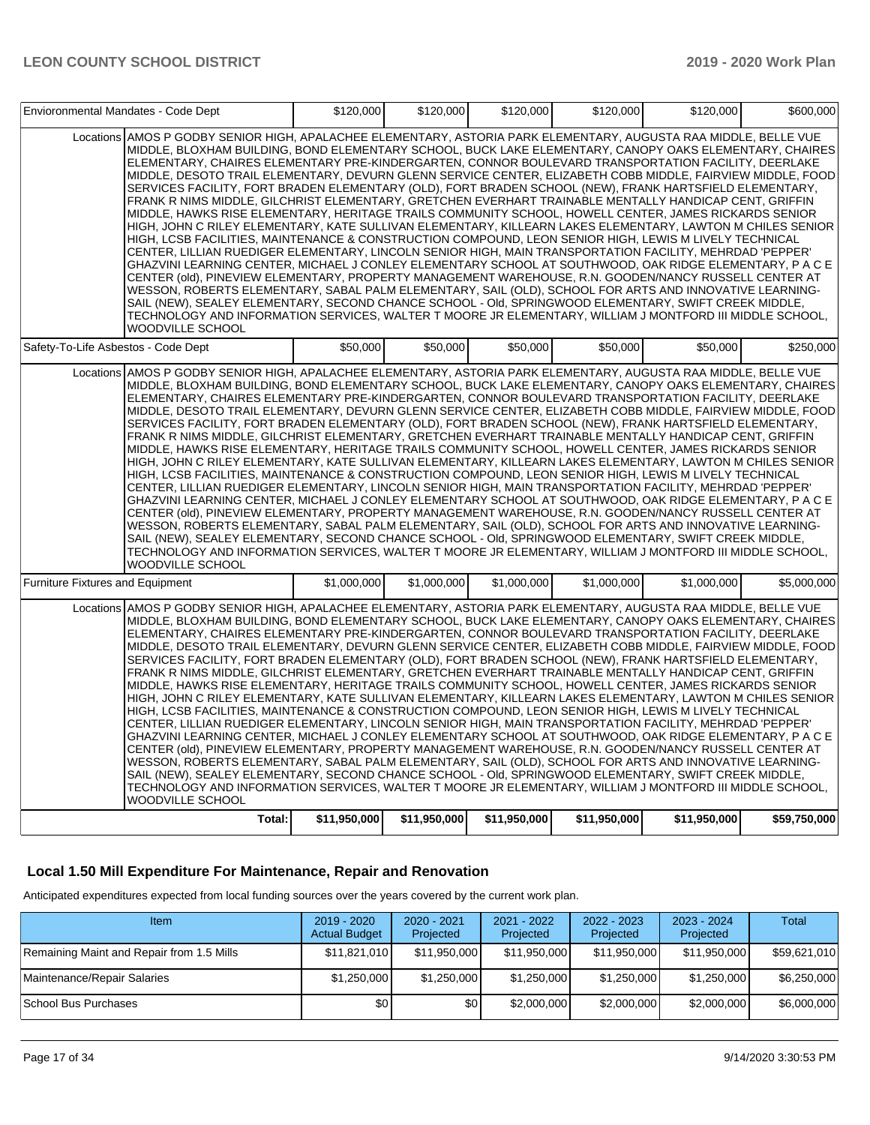| Envioronmental Mandates - Code Dept     |                                                                                                                                                                                                                                                                                                                                                                                                                                                                                                                                                                                                                                                                                                                                                                                                                                                                                                                                                                                                                                                                                                                                                                                                                                                                                                                                                                                                                                                                                                                                                                                                                                                                                                    | \$120,000    | \$120,000    | \$120,000    | \$120,000    | \$120,000    | \$600,000    |
|-----------------------------------------|----------------------------------------------------------------------------------------------------------------------------------------------------------------------------------------------------------------------------------------------------------------------------------------------------------------------------------------------------------------------------------------------------------------------------------------------------------------------------------------------------------------------------------------------------------------------------------------------------------------------------------------------------------------------------------------------------------------------------------------------------------------------------------------------------------------------------------------------------------------------------------------------------------------------------------------------------------------------------------------------------------------------------------------------------------------------------------------------------------------------------------------------------------------------------------------------------------------------------------------------------------------------------------------------------------------------------------------------------------------------------------------------------------------------------------------------------------------------------------------------------------------------------------------------------------------------------------------------------------------------------------------------------------------------------------------------------|--------------|--------------|--------------|--------------|--------------|--------------|
|                                         | Locations AMOS P GODBY SENIOR HIGH, APALACHEE ELEMENTARY, ASTORIA PARK ELEMENTARY, AUGUSTA RAA MIDDLE, BELLE VUE<br>MIDDLE, BLOXHAM BUILDING, BOND ELEMENTARY SCHOOL, BUCK LAKE ELEMENTARY, CANOPY OAKS ELEMENTARY, CHAIRES<br>ELEMENTARY, CHAIRES ELEMENTARY PRE-KINDERGARTEN, CONNOR BOULEVARD TRANSPORTATION FACILITY, DEERLAKE<br>MIDDLE, DESOTO TRAIL ELEMENTARY, DEVURN GLENN SERVICE CENTER, ELIZABETH COBB MIDDLE, FAIRVIEW MIDDLE, FOOD<br>SERVICES FACILITY, FORT BRADEN ELEMENTARY (OLD), FORT BRADEN SCHOOL (NEW), FRANK HARTSFIELD ELEMENTARY,<br>FRANK R NIMS MIDDLE, GILCHRIST ELEMENTARY, GRETCHEN EVERHART TRAINABLE MENTALLY HANDICAP CENT, GRIFFIN<br>MIDDLE, HAWKS RISE ELEMENTARY, HERITAGE TRAILS COMMUNITY SCHOOL, HOWELL CENTER, JAMES RICKARDS SENIOR<br>HIGH, JOHN C RILEY ELEMENTARY, KATE SULLIVAN ELEMENTARY, KILLEARN LAKES ELEMENTARY, LAWTON M CHILES SENIOR<br>HIGH, LCSB FACILITIES, MAINTENANCE & CONSTRUCTION COMPOUND, LEON SENIOR HIGH, LEWIS M LIVELY TECHNICAL<br>CENTER, LILLIAN RUEDIGER ELEMENTARY, LINCOLN SENIOR HIGH, MAIN TRANSPORTATION FACILITY, MEHRDAD 'PEPPER'<br>GHAZVINI LEARNING CENTER, MICHAEL J CONLEY ELEMENTARY SCHOOL AT SOUTHWOOD, OAK RIDGE ELEMENTARY, P A C E<br>CENTER (old), PINEVIEW ELEMENTARY, PROPERTY MANAGEMENT WAREHOUSE, R.N. GOODEN/NANCY RUSSELL CENTER AT<br>WESSON, ROBERTS ELEMENTARY, SABAL PALM ELEMENTARY, SAIL (OLD), SCHOOL FOR ARTS AND INNOVATIVE LEARNING-<br>SAIL (NEW), SEALEY ELEMENTARY, SECOND CHANCE SCHOOL - OId, SPRINGWOOD ELEMENTARY, SWIFT CREEK MIDDLE,<br>TECHNOLOGY AND INFORMATION SERVICES, WALTER T MOORE JR ELEMENTARY, WILLIAM J MONTFORD III MIDDLE SCHOOL,<br><b>WOODVILLE SCHOOL</b> |              |              |              |              |              |              |
| Safety-To-Life Asbestos - Code Dept     |                                                                                                                                                                                                                                                                                                                                                                                                                                                                                                                                                                                                                                                                                                                                                                                                                                                                                                                                                                                                                                                                                                                                                                                                                                                                                                                                                                                                                                                                                                                                                                                                                                                                                                    | \$50,000     | \$50,000     | \$50,000     | \$50,000     | \$50,000     | \$250,000    |
|                                         | Locations AMOS P GODBY SENIOR HIGH, APALACHEE ELEMENTARY, ASTORIA PARK ELEMENTARY, AUGUSTA RAA MIDDLE, BELLE VUE<br>MIDDLE, BLOXHAM BUILDING, BOND ELEMENTARY SCHOOL, BUCK LAKE ELEMENTARY, CANOPY OAKS ELEMENTARY, CHAIRES<br>ELEMENTARY, CHAIRES ELEMENTARY PRE-KINDERGARTEN, CONNOR BOULEVARD TRANSPORTATION FACILITY, DEERLAKE<br>MIDDLE, DESOTO TRAIL ELEMENTARY, DEVURN GLENN SERVICE CENTER, ELIZABETH COBB MIDDLE, FAIRVIEW MIDDLE, FOOD<br>SERVICES FACILITY, FORT BRADEN ELEMENTARY (OLD), FORT BRADEN SCHOOL (NEW), FRANK HARTSFIELD ELEMENTARY,<br>FRANK R NIMS MIDDLE, GILCHRIST ELEMENTARY, GRETCHEN EVERHART TRAINABLE MENTALLY HANDICAP CENT, GRIFFIN<br>MIDDLE, HAWKS RISE ELEMENTARY, HERITAGE TRAILS COMMUNITY SCHOOL, HOWELL CENTER, JAMES RICKARDS SENIOR<br>HIGH, JOHN C RILEY ELEMENTARY, KATE SULLIVAN ELEMENTARY, KILLEARN LAKES ELEMENTARY, LAWTON M CHILES SENIOR<br>HIGH, LCSB FACILITIES, MAINTENANCE & CONSTRUCTION COMPOUND, LEON SENIOR HIGH, LEWIS M LIVELY TECHNICAL<br>CENTER, LILLIAN RUEDIGER ELEMENTARY, LINCOLN SENIOR HIGH, MAIN TRANSPORTATION FACILITY, MEHRDAD 'PEPPER'<br>GHAZVINI LEARNING CENTER, MICHAEL J CONLEY ELEMENTARY SCHOOL AT SOUTHWOOD, OAK RIDGE ELEMENTARY, P A C E<br>CENTER (old), PINEVIEW ELEMENTARY, PROPERTY MANAGEMENT WAREHOUSE, R.N. GOODEN/NANCY RUSSELL CENTER AT<br>WESSON, ROBERTS ELEMENTARY, SABAL PALM ELEMENTARY, SAIL (OLD), SCHOOL FOR ARTS AND INNOVATIVE LEARNING-<br>SAIL (NEW), SEALEY ELEMENTARY, SECOND CHANCE SCHOOL - OId, SPRINGWOOD ELEMENTARY, SWIFT CREEK MIDDLE,<br>TECHNOLOGY AND INFORMATION SERVICES, WALTER T MOORE JR ELEMENTARY, WILLIAM J MONTFORD III MIDDLE SCHOOL,<br>WOODVILLE SCHOOL        |              |              |              |              |              |              |
| <b>Furniture Fixtures and Equipment</b> |                                                                                                                                                                                                                                                                                                                                                                                                                                                                                                                                                                                                                                                                                                                                                                                                                                                                                                                                                                                                                                                                                                                                                                                                                                                                                                                                                                                                                                                                                                                                                                                                                                                                                                    | \$1,000,000  | \$1,000,000  | \$1,000,000  | \$1.000.000  | \$1,000,000  | \$5,000,000  |
|                                         | Locations AMOS P GODBY SENIOR HIGH, APALACHEE ELEMENTARY, ASTORIA PARK ELEMENTARY, AUGUSTA RAA MIDDLE, BELLE VUE<br>MIDDLE, BLOXHAM BUILDING, BOND ELEMENTARY SCHOOL, BUCK LAKE ELEMENTARY, CANOPY OAKS ELEMENTARY, CHAIRES<br>ELEMENTARY, CHAIRES ELEMENTARY PRE-KINDERGARTEN, CONNOR BOULEVARD TRANSPORTATION FACILITY, DEERLAKE<br>MIDDLE, DESOTO TRAIL ELEMENTARY, DEVURN GLENN SERVICE CENTER, ELIZABETH COBB MIDDLE, FAIRVIEW MIDDLE, FOOD<br>SERVICES FACILITY, FORT BRADEN ELEMENTARY (OLD), FORT BRADEN SCHOOL (NEW), FRANK HARTSFIELD ELEMENTARY,<br>FRANK R NIMS MIDDLE, GILCHRIST ELEMENTARY, GRETCHEN EVERHART TRAINABLE MENTALLY HANDICAP CENT, GRIFFIN<br>MIDDLE, HAWKS RISE ELEMENTARY, HERITAGE TRAILS COMMUNITY SCHOOL, HOWELL CENTER, JAMES RICKARDS SENIOR<br>HIGH, JOHN C RILEY ELEMENTARY, KATE SULLIVAN ELEMENTARY, KILLEARN LAKES ELEMENTARY, LAWTON M CHILES SENIOR<br>HIGH, LCSB FACILITIES, MAINTENANCE & CONSTRUCTION COMPOUND, LEON SENIOR HIGH, LEWIS M LIVELY TECHNICAL<br>CENTER, LILLIAN RUEDIGER ELEMENTARY, LINCOLN SENIOR HIGH, MAIN TRANSPORTATION FACILITY, MEHRDAD 'PEPPER'<br>GHAZVINI LEARNING CENTER, MICHAEL J CONLEY ELEMENTARY SCHOOL AT SOUTHWOOD, OAK RIDGE ELEMENTARY, P A C E<br>CENTER (old), PINEVIEW ELEMENTARY, PROPERTY MANAGEMENT WAREHOUSE, R.N. GOODEN/NANCY RUSSELL CENTER AT<br>WESSON, ROBERTS ELEMENTARY, SABAL PALM ELEMENTARY, SAIL (OLD), SCHOOL FOR ARTS AND INNOVATIVE LEARNING-<br>SAIL (NEW), SEALEY ELEMENTARY, SECOND CHANCE SCHOOL - Old, SPRINGWOOD ELEMENTARY, SWIFT CREEK MIDDLE,<br>TECHNOLOGY AND INFORMATION SERVICES, WALTER T MOORE JR ELEMENTARY, WILLIAM J MONTFORD III MIDDLE SCHOOL,<br><b>WOODVILLE SCHOOL</b> |              |              |              |              |              |              |
|                                         | Total:                                                                                                                                                                                                                                                                                                                                                                                                                                                                                                                                                                                                                                                                                                                                                                                                                                                                                                                                                                                                                                                                                                                                                                                                                                                                                                                                                                                                                                                                                                                                                                                                                                                                                             | \$11,950,000 | \$11,950,000 | \$11,950,000 | \$11,950,000 | \$11,950,000 | \$59,750,000 |

#### **Local 1.50 Mill Expenditure For Maintenance, Repair and Renovation**

Anticipated expenditures expected from local funding sources over the years covered by the current work plan.

| <b>Item</b>                               | 2019 - 2020<br><b>Actual Budget</b> | $2020 - 2021$<br>Projected | 2021 - 2022<br>Projected | $2022 - 2023$<br>Projected | 2023 - 2024<br>Projected | Total        |
|-------------------------------------------|-------------------------------------|----------------------------|--------------------------|----------------------------|--------------------------|--------------|
| Remaining Maint and Repair from 1.5 Mills | \$11,821,010                        | \$11,950,000               | \$11,950,000             | \$11,950,000               | \$11,950,000             | \$59,621,010 |
| Maintenance/Repair Salaries               | \$1,250,000                         | \$1,250,000                | \$1,250,000              | \$1,250,000                | \$1,250,000              | \$6,250,000  |
| School Bus Purchases                      | \$0                                 | <b>\$01</b>                | \$2,000,000              | \$2,000,000                | \$2,000,000              | \$6,000,000  |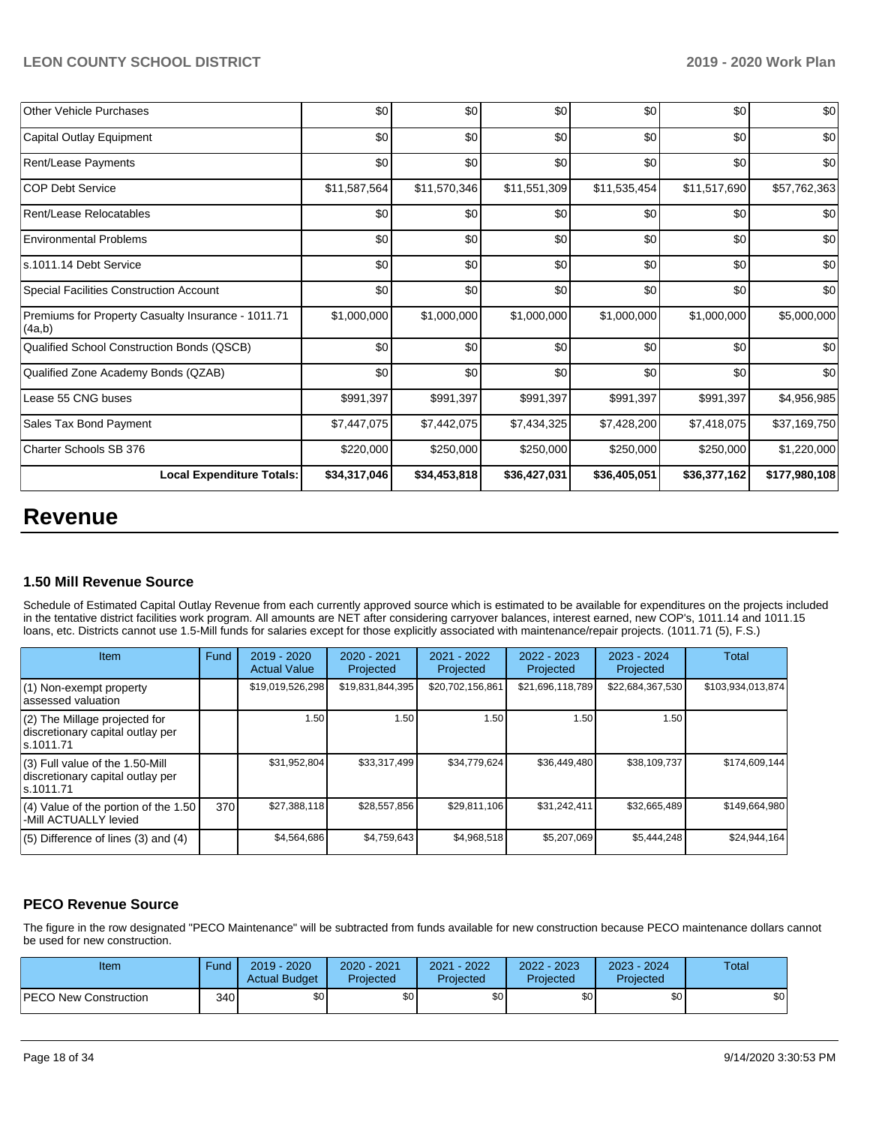| Other Vehicle Purchases                                      | \$0          | \$0          | \$0          | \$0          | \$0          | \$0           |
|--------------------------------------------------------------|--------------|--------------|--------------|--------------|--------------|---------------|
| Capital Outlay Equipment                                     | \$0          | \$0          | \$0          | \$0          | \$0          | \$0           |
| Rent/Lease Payments                                          | \$0          | \$0          | \$0          | \$0          | \$0          | \$0           |
| <b>COP Debt Service</b>                                      | \$11,587,564 | \$11,570,346 | \$11,551,309 | \$11,535,454 | \$11,517,690 | \$57,762,363  |
| Rent/Lease Relocatables                                      | \$0          | \$0          | \$0          | \$0          | \$0          | \$0           |
| <b>Environmental Problems</b>                                | \$0          | \$0          | \$0          | \$0          | \$0          | \$0           |
| s.1011.14 Debt Service                                       | \$0          | \$0          | \$0          | \$0          | \$0          | \$0           |
| <b>Special Facilities Construction Account</b>               | \$0          | \$0          | \$0          | \$0          | \$0          | \$0           |
| Premiums for Property Casualty Insurance - 1011.71<br>(4a,b) | \$1,000,000  | \$1,000,000  | \$1,000,000  | \$1,000,000  | \$1,000,000  | \$5,000,000   |
| Qualified School Construction Bonds (QSCB)                   | \$0          | \$0          | \$0          | \$0          | \$0          | \$0           |
| Qualified Zone Academy Bonds (QZAB)                          | \$0          | \$0          | \$0          | \$0          | \$0          | \$0           |
| Lease 55 CNG buses                                           | \$991,397    | \$991,397    | \$991,397    | \$991,397    | \$991,397    | \$4,956,985   |
| Sales Tax Bond Payment                                       | \$7,447,075  | \$7,442,075  | \$7,434,325  | \$7,428,200  | \$7,418,075  | \$37,169,750  |
| Charter Schools SB 376                                       | \$220,000    | \$250,000    | \$250,000    | \$250,000    | \$250,000    | \$1,220,000   |
| <b>Local Expenditure Totals:</b>                             | \$34,317,046 | \$34,453,818 | \$36,427,031 | \$36,405,051 | \$36,377,162 | \$177,980,108 |

# **Revenue**

## **1.50 Mill Revenue Source**

Schedule of Estimated Capital Outlay Revenue from each currently approved source which is estimated to be available for expenditures on the projects included in the tentative district facilities work program. All amounts are NET after considering carryover balances, interest earned, new COP's, 1011.14 and 1011.15 loans, etc. Districts cannot use 1.5-Mill funds for salaries except for those explicitly associated with maintenance/repair projects. (1011.71 (5), F.S.)

| Item                                                                                | Fund | $2019 - 2020$<br><b>Actual Value</b> | 2020 - 2021<br>Projected | 2021 - 2022<br>Projected | 2022 - 2023<br>Projected | $2023 - 2024$<br>Projected | <b>Total</b>      |
|-------------------------------------------------------------------------------------|------|--------------------------------------|--------------------------|--------------------------|--------------------------|----------------------------|-------------------|
| (1) Non-exempt property<br>lassessed valuation                                      |      | \$19,019,526,298                     | \$19,831,844,395         | \$20,702,156,861         | \$21,696,118,789         | \$22,684,367,530           | \$103,934,013,874 |
| (2) The Millage projected for<br>discretionary capital outlay per<br>ls.1011.71     |      | 1.50                                 | 1.50                     | 1.50                     | 1.50                     | 1.50                       |                   |
| $(3)$ Full value of the 1.50-Mill<br>discretionary capital outlay per<br>ls.1011.71 |      | \$31,952,804                         | \$33,317,499             | \$34,779,624             | \$36,449,480             | \$38,109,737               | \$174,609,144     |
| $(4)$ Value of the portion of the 1.50<br>-Mill ACTUALLY levied                     | 370  | \$27,388,118                         | \$28,557,856             | \$29,811,106             | \$31,242,411             | \$32,665,489               | \$149,664,980     |
| $(5)$ Difference of lines $(3)$ and $(4)$                                           |      | \$4,564,686                          | \$4,759,643              | \$4,968,518              | \$5,207,069              | \$5,444,248                | \$24,944,164      |

## **PECO Revenue Source**

The figure in the row designated "PECO Maintenance" will be subtracted from funds available for new construction because PECO maintenance dollars cannot be used for new construction.

| Item                         | Fund         | $2019 - 2020$<br><b>Actual Budget</b> | 2020 - 2021<br>Projected | 2021 - 2022<br>Projected | 2022 - 2023<br>Projected | 2023 - 2024<br>Projected | Total |
|------------------------------|--------------|---------------------------------------|--------------------------|--------------------------|--------------------------|--------------------------|-------|
| <b>PECO New Construction</b> | 340 <b>I</b> | \$0 <sub>1</sub>                      | \$0                      | \$0                      | \$0                      | \$0 <sub>1</sub>         | \$0   |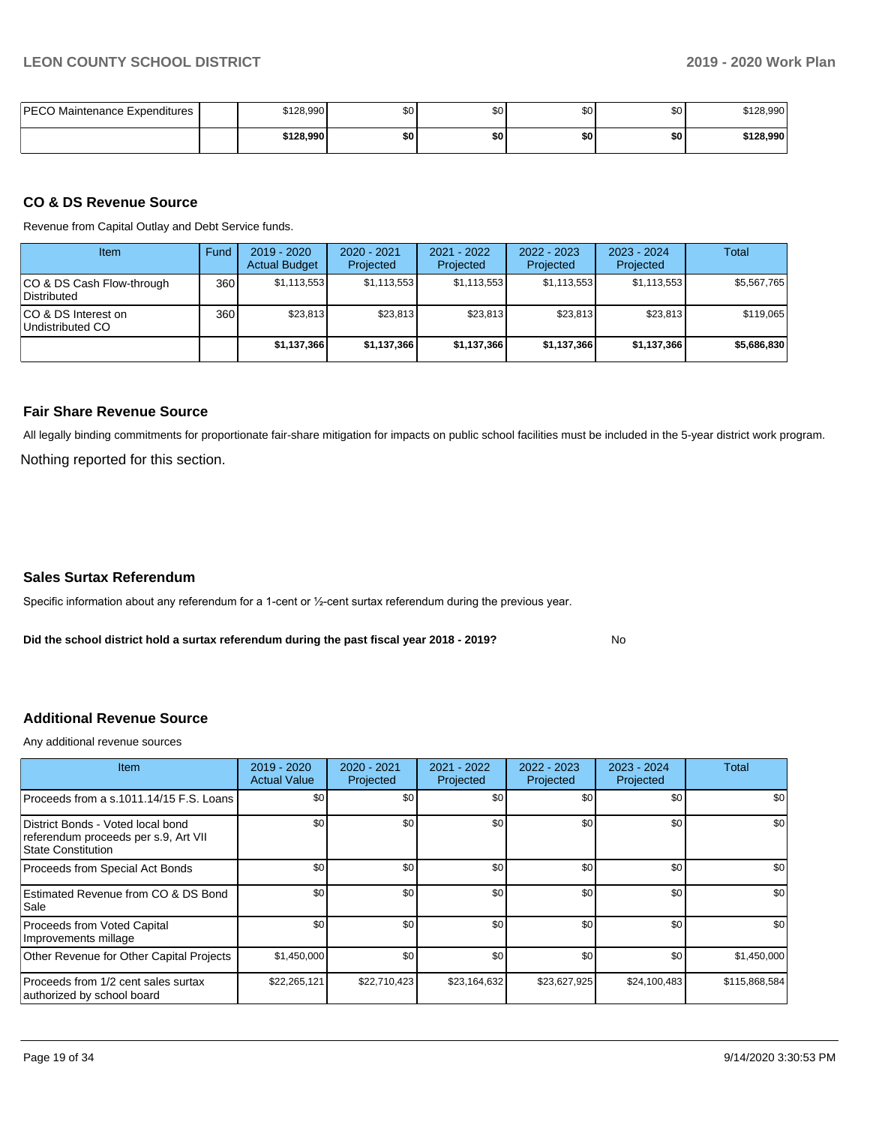| <b>PECO Maintenance Expenditures</b> | \$128,990 | \$0 <sub>1</sub> | \$C | \$0 | \$0 | \$128,990 |
|--------------------------------------|-----------|------------------|-----|-----|-----|-----------|
|                                      | \$128,990 | \$0              | \$0 | \$0 | \$0 | \$128,990 |

#### **CO & DS Revenue Source**

Revenue from Capital Outlay and Debt Service funds.

| <b>Item</b>                               | Fund | $2019 - 2020$<br><b>Actual Budget</b> | $2020 - 2021$<br>Projected | $2021 - 2022$<br>Projected | $2022 - 2023$<br>Projected | $2023 - 2024$<br>Projected | Total       |
|-------------------------------------------|------|---------------------------------------|----------------------------|----------------------------|----------------------------|----------------------------|-------------|
| ICO & DS Cash Flow-through<br>Distributed | 360  | \$1,113,553                           | \$1,113,553                | \$1.113.553                | \$1,113,553                | \$1,113,553                | \$5,567,765 |
| ICO & DS Interest on<br>Undistributed CO  | 360  | \$23.813                              | \$23.813                   | \$23,813                   | \$23,813                   | \$23.813                   | \$119,065   |
|                                           |      | \$1,137,366                           | \$1,137,366                | \$1,137,366                | \$1,137,366                | \$1,137,366                | \$5,686,830 |

#### **Fair Share Revenue Source**

Nothing reported for this section. All legally binding commitments for proportionate fair-share mitigation for impacts on public school facilities must be included in the 5-year district work program.

#### **Sales Surtax Referendum**

Specific information about any referendum for a 1-cent or ½-cent surtax referendum during the previous year.

**Did the school district hold a surtax referendum during the past fiscal year 2018 - 2019?**

No

#### **Additional Revenue Source**

Any additional revenue sources

| <b>Item</b>                                                                                     | 2019 - 2020<br><b>Actual Value</b> | $2020 - 2021$<br>Projected | 2021 - 2022<br>Projected | $2022 - 2023$<br>Projected | $2023 - 2024$<br>Projected | Total         |
|-------------------------------------------------------------------------------------------------|------------------------------------|----------------------------|--------------------------|----------------------------|----------------------------|---------------|
| Proceeds from a s.1011.14/15 F.S. Loans                                                         | \$0                                | \$0                        | \$0                      | \$0                        | \$0                        | \$0           |
| District Bonds - Voted local bond<br>referendum proceeds per s.9, Art VII<br>State Constitution | \$0                                | \$0                        | \$0                      | \$0                        | \$0                        | \$0           |
| Proceeds from Special Act Bonds                                                                 | \$0                                | \$0                        | \$0                      | \$0                        | \$0                        | \$0           |
| Estimated Revenue from CO & DS Bond<br>Sale                                                     | \$0                                | \$0                        | \$0                      | \$0                        | \$0                        | \$0           |
| Proceeds from Voted Capital<br>Improvements millage                                             | \$0                                | \$0                        | \$0                      | \$0                        | \$0                        | \$0           |
| Other Revenue for Other Capital Projects                                                        | \$1,450,000                        | \$0                        | \$0                      | \$0                        | \$0                        | \$1,450,000   |
| Proceeds from 1/2 cent sales surtax<br>authorized by school board                               | \$22,265,121                       | \$22,710,423               | \$23,164,632             | \$23,627,925               | \$24,100,483               | \$115,868,584 |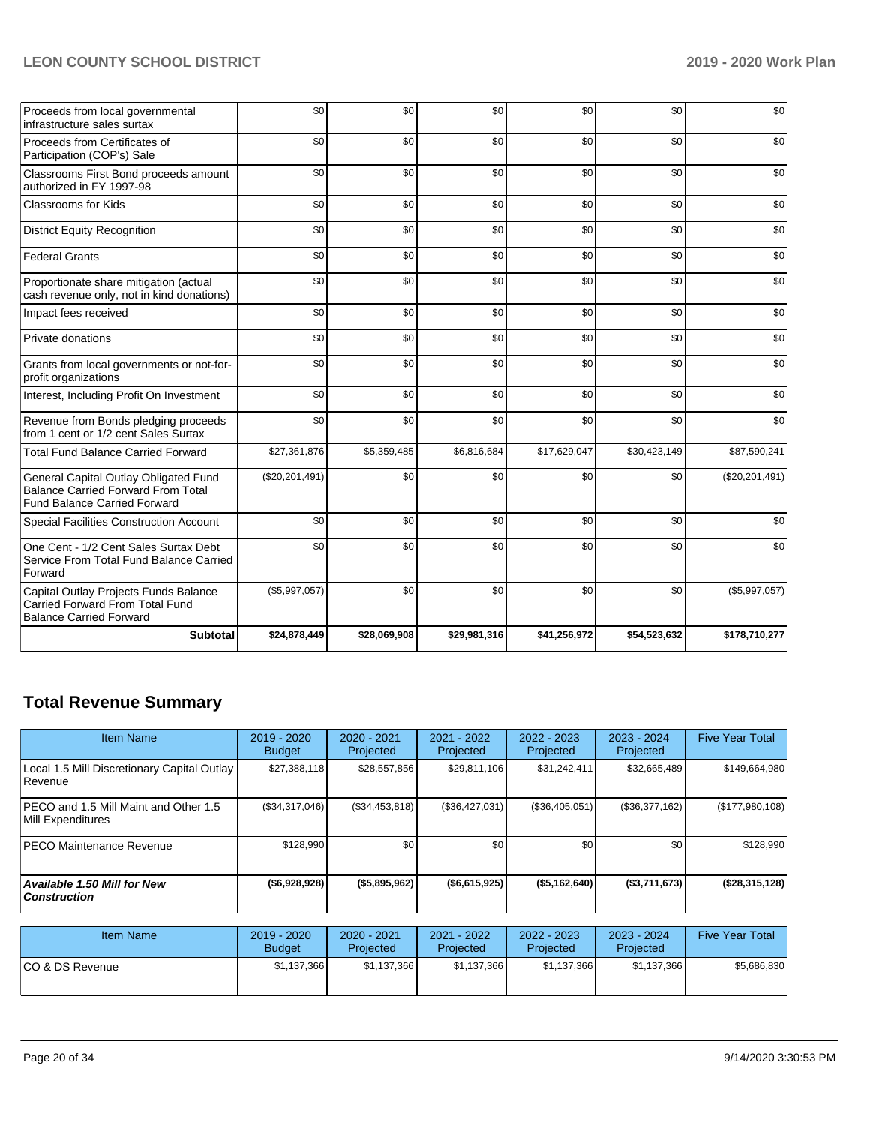| Proceeds from local governmental<br>infrastructure sales surtax                                                           | \$0              | \$0          | \$0          | \$0          | \$0          | \$0              |
|---------------------------------------------------------------------------------------------------------------------------|------------------|--------------|--------------|--------------|--------------|------------------|
| Proceeds from Certificates of<br>Participation (COP's) Sale                                                               | \$0              | \$0          | \$0          | \$0          | \$0          | \$0              |
| Classrooms First Bond proceeds amount<br>authorized in FY 1997-98                                                         | \$0              | \$0          | \$0          | \$0          | \$0          | \$0              |
| <b>Classrooms for Kids</b>                                                                                                | \$0              | \$0          | \$0          | \$0          | \$0          | \$0              |
| <b>District Equity Recognition</b>                                                                                        | \$0              | \$0          | \$0          | \$0          | \$0          | \$0              |
| <b>Federal Grants</b>                                                                                                     | \$0              | \$0          | \$0          | \$0          | \$0          | \$0              |
| Proportionate share mitigation (actual<br>cash revenue only, not in kind donations)                                       | \$0              | \$0          | \$0          | \$0          | \$0          | \$0              |
| Impact fees received                                                                                                      | \$0              | \$0          | \$0          | \$0          | \$0          | \$0              |
| Private donations                                                                                                         | \$0              | \$0          | \$0          | \$0          | \$0          | \$0              |
| Grants from local governments or not-for-<br>profit organizations                                                         | \$0              | \$0          | \$0          | \$0          | \$0          | \$0              |
| Interest, Including Profit On Investment                                                                                  | \$0              | \$0          | \$0          | \$0          | \$0          | \$0              |
| Revenue from Bonds pledging proceeds<br>from 1 cent or 1/2 cent Sales Surtax                                              | \$0              | \$0          | \$0          | \$0          | \$0          | \$0              |
| <b>Total Fund Balance Carried Forward</b>                                                                                 | \$27,361,876     | \$5,359,485  | \$6,816,684  | \$17,629,047 | \$30,423,149 | \$87,590,241     |
| General Capital Outlay Obligated Fund<br><b>Balance Carried Forward From Total</b><br><b>Fund Balance Carried Forward</b> | (\$20, 201, 491) | \$0          | \$0          | \$0          | \$0          | (\$20, 201, 491) |
| <b>Special Facilities Construction Account</b>                                                                            | \$0              | \$0          | \$0          | \$0          | \$0          | \$0              |
| One Cent - 1/2 Cent Sales Surtax Debt<br>Service From Total Fund Balance Carried<br>Forward                               | \$0              | \$0          | \$0          | \$0          | \$0          | \$0              |
| Capital Outlay Projects Funds Balance<br>Carried Forward From Total Fund<br><b>Balance Carried Forward</b>                | (\$5,997,057)    | \$0          | \$0          | \$0          | \$0          | (\$5,997,057)    |
| <b>Subtotal</b>                                                                                                           | \$24,878,449     | \$28,069,908 | \$29,981,316 | \$41,256,972 | \$54,523,632 | \$178,710,277    |

# **Total Revenue Summary**

| <b>Item Name</b>                                                   | 2019 - 2020<br><b>Budget</b> | $2020 - 2021$<br>Projected | 2021 - 2022<br>Projected | $2022 - 2023$<br>Projected | $2023 - 2024$<br>Projected | <b>Five Year Total</b> |
|--------------------------------------------------------------------|------------------------------|----------------------------|--------------------------|----------------------------|----------------------------|------------------------|
| Local 1.5 Mill Discretionary Capital Outlay<br><b>Revenue</b>      | \$27,388,118                 | \$28,557,856               | \$29,811,106             | \$31,242,411               | \$32,665,489               | \$149,664,980          |
| <b>IPECO and 1.5 Mill Maint and Other 1.5</b><br>Mill Expenditures | (\$34,317,046)               | (\$34,453,818)             | (\$36,427,031)           | (\$36,405,051)             | (\$36,377,162)             | (\$177,980,108)        |
| <b>PECO Maintenance Revenue</b>                                    | \$128,990                    | \$0                        | \$0                      | \$0                        | \$0                        | \$128,990              |
| <b>Available 1.50 Mill for New</b><br><b>Construction</b>          | (\$6,928,928)                | (\$5,895,962)              | ( \$6,615,925)           | ( \$5,162,640)             | (\$3,711,673)              | (\$28,315,128)         |
| <b>Item Name</b>                                                   | $2019 - 2020$                | $2020 - 2021$              | 2021 - 2022              | $2022 - 2023$              | $2023 - 2024$              | <b>Five Year Total</b> |

| <b>Item Name</b> | 2019 - 2020<br><b>Budget</b> | $2020 - 2021$<br>Projected | 2021 - 2022<br>Projected | 2022 - 2023<br>Projected | $2023 - 2024$<br>Projected | <b>Five Year Total</b> |
|------------------|------------------------------|----------------------------|--------------------------|--------------------------|----------------------------|------------------------|
| ICO & DS Revenue | \$1,137,366                  | \$1,137,366                | \$1,137,366              | \$1.137.366              | \$1.137.366                | \$5.686.830            |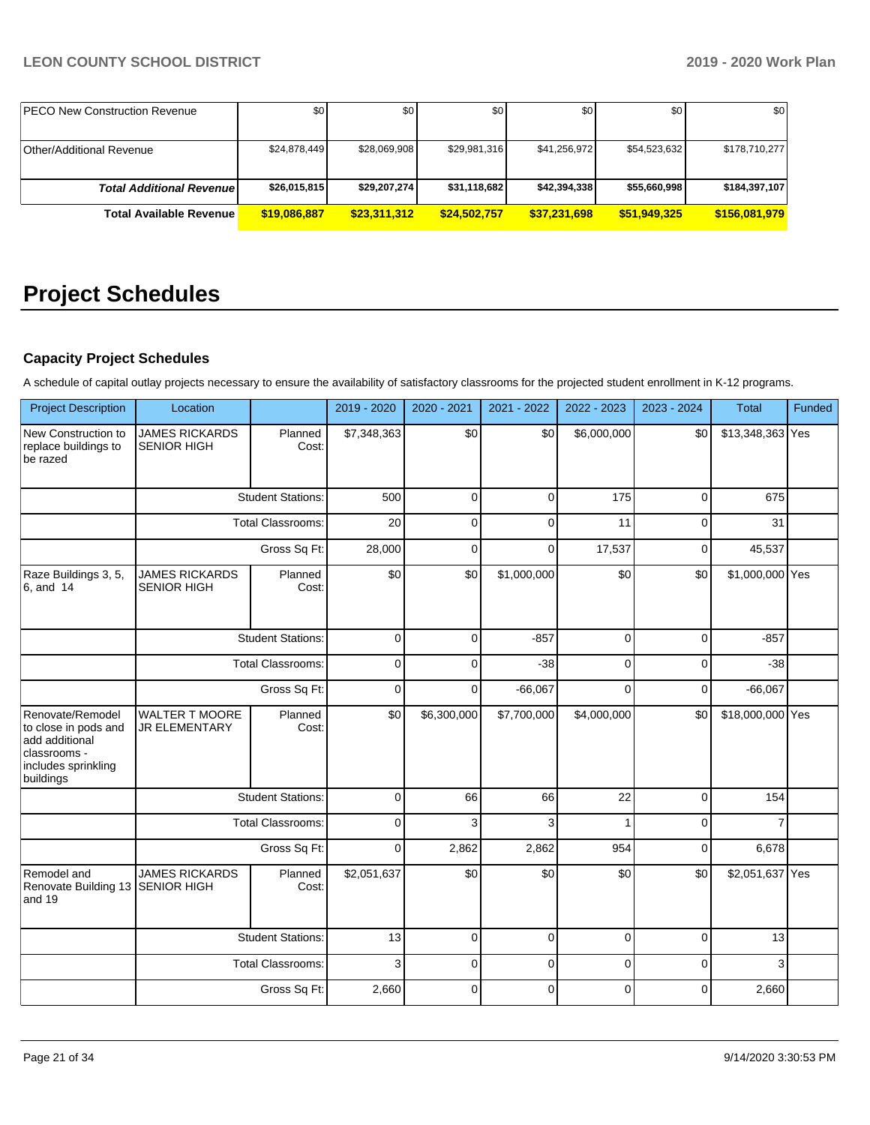| <b>IPECO New Construction Revenue</b> | \$0          | \$0          | \$0          | \$0 <sub>1</sub> | \$0          | \$0           |
|---------------------------------------|--------------|--------------|--------------|------------------|--------------|---------------|
|                                       |              |              |              |                  |              |               |
| Other/Additional Revenue              | \$24,878,449 | \$28,069,908 | \$29,981,316 | \$41.256.972     | \$54,523,632 | \$178.710.277 |
|                                       |              |              |              |                  |              |               |
| <b>Total Additional Revenuel</b>      | \$26,015,815 | \$29,207,274 | \$31,118,682 | \$42,394,338     | \$55,660,998 | \$184,397,107 |
| <b>Total Available Revenue</b>        | \$19,086,887 | \$23,311,312 | \$24,502,757 | \$37,231,698     | \$51,949,325 | \$156,081,979 |

# **Project Schedules**

#### **Capacity Project Schedules**

A schedule of capital outlay projects necessary to ensure the availability of satisfactory classrooms for the projected student enrollment in K-12 programs.

| <b>Project Description</b>                                                                                     | Location                                      |                          | 2019 - 2020 | 2020 - 2021 | 2021 - 2022  | 2022 - 2023 | 2023 - 2024 | Total            | Funded |
|----------------------------------------------------------------------------------------------------------------|-----------------------------------------------|--------------------------|-------------|-------------|--------------|-------------|-------------|------------------|--------|
| New Construction to<br>replace buildings to<br>be razed                                                        | <b>JAMES RICKARDS</b><br><b>SENIOR HIGH</b>   | Planned<br>Cost:         | \$7,348,363 | \$0         | \$0          | \$6,000,000 | \$0         | \$13,348,363 Yes |        |
|                                                                                                                |                                               | <b>Student Stations:</b> | 500         | $\Omega$    | $\Omega$     | 175         | 0           | 675              |        |
|                                                                                                                |                                               | <b>Total Classrooms:</b> | 20          | 0           | 0            | 11          | 0           | 31               |        |
|                                                                                                                | Gross Sq Ft:                                  |                          | 28,000      | $\Omega$    | $\Omega$     | 17,537      | $\mathbf 0$ | 45,537           |        |
| Raze Buildings 3, 5,<br>6, and 14                                                                              | <b>JAMES RICKARDS</b><br><b>SENIOR HIGH</b>   | Planned<br>Cost:         | \$0         | \$0         | \$1,000,000  | \$0         | \$0         | \$1,000,000 Yes  |        |
|                                                                                                                |                                               | <b>Student Stations:</b> | $\mathbf 0$ | 0           | $-857$       | 0           | $\mathbf 0$ | $-857$           |        |
|                                                                                                                | <b>Total Classrooms:</b><br>Gross Sq Ft:      |                          | $\mathbf 0$ | $\Omega$    | $-38$        | 0           | 0           | $-38$            |        |
|                                                                                                                |                                               |                          | $\mathbf 0$ | 0           | $-66,067$    | 0           | $\pmb{0}$   | $-66,067$        |        |
| Renovate/Remodel<br>to close in pods and<br>add additional<br>classrooms -<br>includes sprinkling<br>buildings | <b>WALTER T MOORE</b><br><b>JR ELEMENTARY</b> | Planned<br>Cost:         | \$0         | \$6,300,000 | \$7,700,000  | \$4,000,000 | \$0         | \$18,000,000 Yes |        |
|                                                                                                                |                                               | <b>Student Stations:</b> | $\mathbf 0$ | 66          | 66           | 22          | 0           | 154              |        |
|                                                                                                                |                                               | <b>Total Classrooms:</b> | $\mathbf 0$ | 3           | 3            | 1           | $\mathbf 0$ |                  |        |
|                                                                                                                |                                               | Gross Sq Ft:             | $\mathbf 0$ | 2,862       | 2,862        | 954         | $\mathbf 0$ | 6,678            |        |
| Remodel and<br>Renovate Building 13<br>and 19                                                                  | <b>JAMES RICKARDS</b><br><b>SENIOR HIGH</b>   | Planned<br>Cost:         | \$2,051,637 | \$0         | \$0          | \$0         | \$0         | \$2,051,637 Yes  |        |
|                                                                                                                |                                               | <b>Student Stations:</b> | 13          | $\Omega$    | 0            | $\mathbf 0$ | $\mathbf 0$ | 13               |        |
|                                                                                                                |                                               | <b>Total Classrooms:</b> | 3           | 0           | 0            | 0           | $\mathbf 0$ | 3                |        |
|                                                                                                                |                                               | Gross Sq Ft:             | 2,660       | $\Omega$    | $\mathbf{0}$ | 0           | 0           | 2,660            |        |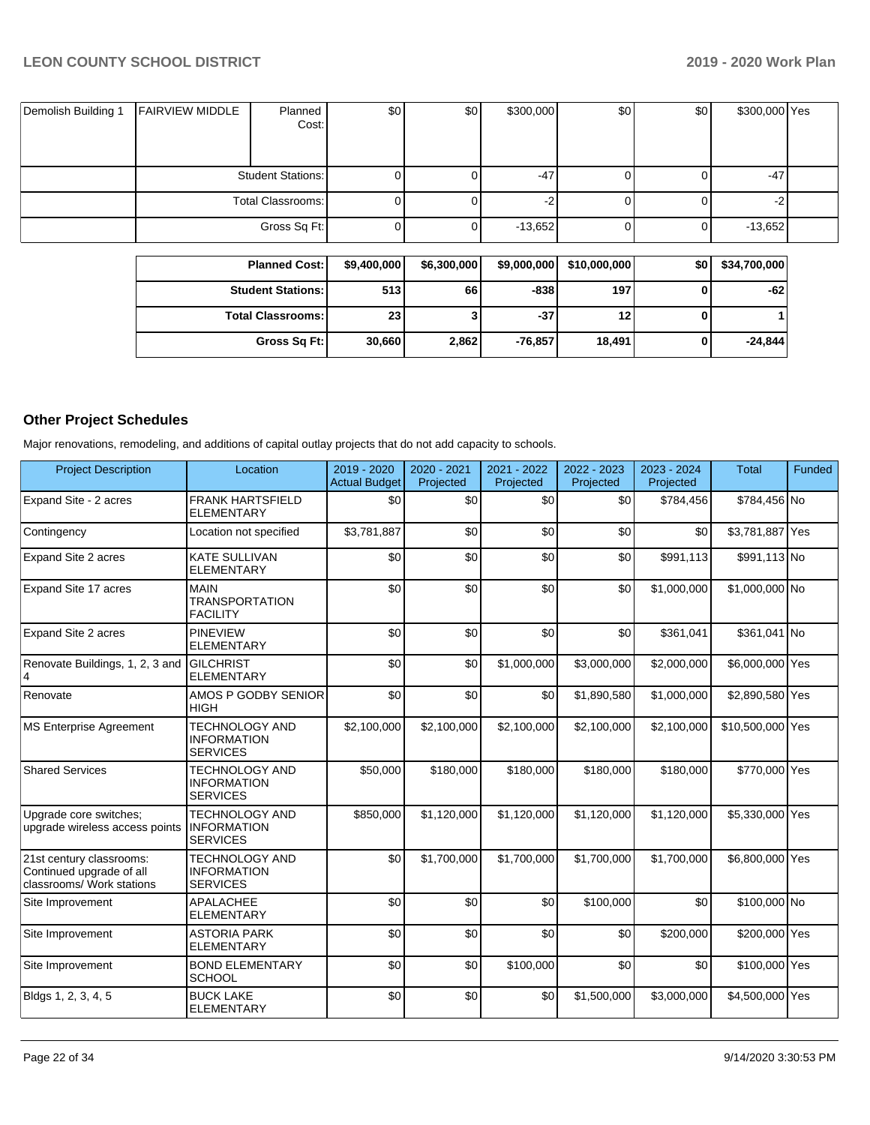| Demolish Building 1 | <b>FAIRVIEW MIDDLE</b> | Planned<br>Cost:         | \$0 | \$0 <sub>1</sub> | \$300,000 | \$0 | \$0 | \$300,000 Yes |  |
|---------------------|------------------------|--------------------------|-----|------------------|-----------|-----|-----|---------------|--|
|                     |                        | <b>Student Stations:</b> |     |                  | -47       |     |     | $-47$         |  |
|                     |                        | Total Classrooms:        |     |                  | -2        |     |     |               |  |
|                     |                        | Gross Sq Ft:             |     |                  | $-13,652$ |     | 0   | $-13,652$     |  |

| <b>Planned Cost:</b>       | \$9,400,000 | \$6,300,000 | \$9,000,000 | \$10,000,000 | \$0 | \$34,700,000 |
|----------------------------|-------------|-------------|-------------|--------------|-----|--------------|
| <b>Student Stations:</b>   | 513         | 66          | $-838$      | 197          |     | $-62$        |
| <b>Total Classrooms: I</b> | 23          | J           | $-37$       | 12           |     |              |
| Gross Sq Ft:               | 30,660      | 2,862       | $-76,857$   | 18,491       |     | $-24,844$    |

# **Other Project Schedules**

Major renovations, remodeling, and additions of capital outlay projects that do not add capacity to schools.

| <b>Project Description</b>                                                        | Location                                                       | 2019 - 2020<br><b>Actual Budget</b> | $2020 - 2021$<br>Projected | $2021 - 2022$<br>Projected | 2022 - 2023<br>Projected | $2023 - 2024$<br>Projected | <b>Total</b>     | Funded |
|-----------------------------------------------------------------------------------|----------------------------------------------------------------|-------------------------------------|----------------------------|----------------------------|--------------------------|----------------------------|------------------|--------|
| Expand Site - 2 acres                                                             | <b>FRANK HARTSFIELD</b><br><b>ELEMENTARY</b>                   | \$0                                 | \$0                        | \$0                        | \$0                      | \$784,456                  | \$784,456 No     |        |
| Contingency                                                                       | Location not specified                                         | \$3,781,887                         | \$0                        | \$0                        | \$0                      | \$0                        | \$3,781,887 Yes  |        |
| Expand Site 2 acres                                                               | <b>KATE SULLIVAN</b><br><b>ELEMENTARY</b>                      | \$0                                 | \$0                        | \$0                        | \$0                      | \$991,113                  | \$991,113 No     |        |
| Expand Site 17 acres                                                              | <b>MAIN</b><br><b>TRANSPORTATION</b><br><b>FACILITY</b>        | \$0                                 | \$0                        | \$0                        | \$0                      | \$1,000,000                | \$1,000,000 No   |        |
| Expand Site 2 acres                                                               | <b>PINEVIEW</b><br><b>ELEMENTARY</b>                           | \$0                                 | \$0                        | \$0                        | \$0                      | \$361,041                  | \$361,041 No     |        |
| Renovate Buildings, 1, 2, 3 and                                                   | <b>GILCHRIST</b><br><b>ELEMENTARY</b>                          | \$0                                 | \$0                        | \$1,000,000                | \$3,000,000              | \$2,000,000                | \$6,000,000 Yes  |        |
| Renovate                                                                          | AMOS P GODBY SENIOR<br><b>HIGH</b>                             | \$0                                 | \$0                        | \$0                        | \$1,890,580              | \$1,000,000                | \$2,890,580 Yes  |        |
| <b>MS Enterprise Agreement</b>                                                    | <b>TECHNOLOGY AND</b><br><b>INFORMATION</b><br><b>SERVICES</b> | \$2,100,000                         | \$2,100,000                | \$2,100,000                | \$2,100,000              | \$2,100,000                | \$10,500,000 Yes |        |
| <b>Shared Services</b>                                                            | <b>TECHNOLOGY AND</b><br><b>INFORMATION</b><br><b>SERVICES</b> | \$50,000                            | \$180,000                  | \$180,000                  | \$180,000                | \$180,000                  | \$770,000 Yes    |        |
| Upgrade core switches:<br>upgrade wireless access points                          | <b>TECHNOLOGY AND</b><br><b>INFORMATION</b><br><b>SERVICES</b> | \$850,000                           | \$1,120,000                | \$1,120,000                | \$1,120,000              | \$1,120,000                | \$5,330,000 Yes  |        |
| 21st century classrooms:<br>Continued upgrade of all<br>classrooms/ Work stations | <b>TECHNOLOGY AND</b><br><b>INFORMATION</b><br><b>SERVICES</b> | \$0                                 | \$1,700,000                | \$1,700,000                | \$1,700,000              | \$1,700,000                | \$6,800,000 Yes  |        |
| Site Improvement                                                                  | <b>APALACHEE</b><br><b>ELEMENTARY</b>                          | \$0                                 | \$0                        | \$0                        | \$100,000                | \$0                        | \$100,000 No     |        |
| Site Improvement                                                                  | <b>ASTORIA PARK</b><br><b>ELEMENTARY</b>                       | \$0                                 | \$0                        | \$0                        | \$0                      | \$200,000                  | \$200,000 Yes    |        |
| Site Improvement                                                                  | <b>BOND ELEMENTARY</b><br><b>SCHOOL</b>                        | \$0                                 | \$0                        | \$100,000                  | \$0                      | \$0                        | \$100,000 Yes    |        |
| Bldgs 1, 2, 3, 4, 5                                                               | <b>BUCK LAKE</b><br><b>ELEMENTARY</b>                          | \$0                                 | \$0                        | \$0                        | \$1,500,000              | \$3,000,000                | \$4,500,000 Yes  |        |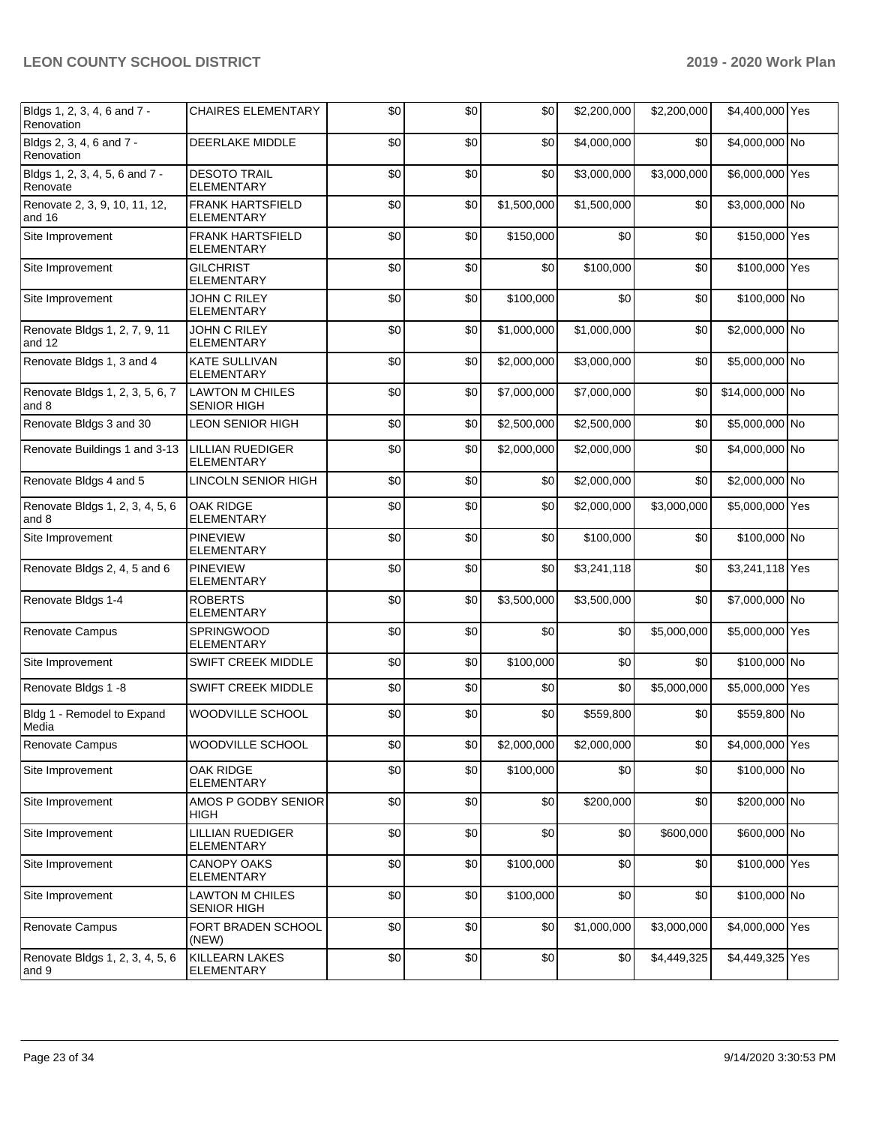| Bldgs 1, 2, 3, 4, 6 and 7 -<br>Renovation  | <b>CHAIRES ELEMENTARY</b>                    | \$0 | \$0 | \$0         | \$2,200,000 | \$2,200,000 | \$4,400,000 Yes |  |
|--------------------------------------------|----------------------------------------------|-----|-----|-------------|-------------|-------------|-----------------|--|
| Bldgs 2, 3, 4, 6 and 7 -<br>Renovation     | DEERLAKE MIDDLE                              | \$0 | \$0 | \$0         | \$4,000,000 | \$0         | \$4,000,000 No  |  |
| Bldgs 1, 2, 3, 4, 5, 6 and 7 -<br>Renovate | <b>DESOTO TRAIL</b><br><b>ELEMENTARY</b>     | \$0 | \$0 | \$0         | \$3,000,000 | \$3,000,000 | \$6,000,000 Yes |  |
| Renovate 2, 3, 9, 10, 11, 12,<br>and 16    | <b>FRANK HARTSFIELD</b><br><b>ELEMENTARY</b> | \$0 | \$0 | \$1,500,000 | \$1,500,000 | \$0         | \$3,000,000 No  |  |
| Site Improvement                           | <b>FRANK HARTSFIELD</b><br><b>ELEMENTARY</b> | \$0 | \$0 | \$150,000   | \$0         | \$0         | \$150,000 Yes   |  |
| Site Improvement                           | <b>GILCHRIST</b><br><b>ELEMENTARY</b>        | \$0 | \$0 | \$0         | \$100,000   | \$0         | \$100,000 Yes   |  |
| Site Improvement                           | JOHN C RILEY<br><b>ELEMENTARY</b>            | \$0 | \$0 | \$100,000   | \$0         | \$0         | \$100,000 No    |  |
| Renovate Bldgs 1, 2, 7, 9, 11<br>and 12    | JOHN C RILEY<br><b>ELEMENTARY</b>            | \$0 | \$0 | \$1,000,000 | \$1,000,000 | \$0         | \$2,000,000 No  |  |
| Renovate Bldgs 1, 3 and 4                  | <b>KATE SULLIVAN</b><br><b>ELEMENTARY</b>    | \$0 | \$0 | \$2,000,000 | \$3,000,000 | \$0         | \$5,000,000 No  |  |
| Renovate Bldgs 1, 2, 3, 5, 6, 7<br>and 8   | <b>LAWTON M CHILES</b><br><b>SENIOR HIGH</b> | \$0 | \$0 | \$7,000,000 | \$7,000,000 | \$0         | \$14,000,000 No |  |
| Renovate Bldgs 3 and 30                    | <b>LEON SENIOR HIGH</b>                      | \$0 | \$0 | \$2,500,000 | \$2,500,000 | \$0         | \$5,000,000 No  |  |
| Renovate Buildings 1 and 3-13              | <b>LILLIAN RUEDIGER</b><br><b>ELEMENTARY</b> | \$0 | \$0 | \$2,000,000 | \$2,000,000 | \$0         | \$4,000,000 No  |  |
| Renovate Bldgs 4 and 5                     | LINCOLN SENIOR HIGH                          | \$0 | \$0 | \$0         | \$2,000,000 | \$0         | \$2,000,000 No  |  |
| Renovate Bldgs 1, 2, 3, 4, 5, 6<br>and 8   | OAK RIDGE<br><b>ELEMENTARY</b>               | \$0 | \$0 | \$0         | \$2,000,000 | \$3,000,000 | \$5,000,000 Yes |  |
| Site Improvement                           | <b>PINEVIEW</b><br><b>ELEMENTARY</b>         | \$0 | \$0 | \$0         | \$100,000   | \$0         | \$100,000 No    |  |
| Renovate Bldgs 2, 4, 5 and 6               | <b>PINEVIEW</b><br><b>ELEMENTARY</b>         | \$0 | \$0 | \$0         | \$3,241,118 | \$0         | \$3,241,118 Yes |  |
| Renovate Bldgs 1-4                         | <b>ROBERTS</b><br><b>ELEMENTARY</b>          | \$0 | \$0 | \$3,500,000 | \$3,500,000 | \$0         | \$7,000,000 No  |  |
| Renovate Campus                            | SPRINGWOOD<br><b>ELEMENTARY</b>              | \$0 | \$0 | \$0         | \$0         | \$5,000,000 | \$5,000,000 Yes |  |
| Site Improvement                           | <b>SWIFT CREEK MIDDLE</b>                    | \$0 | \$0 | \$100,000   | \$0         | \$0         | \$100,000 No    |  |
| Renovate Bldgs 1 -8                        | SWIFT CREEK MIDDLE                           | \$0 | \$0 | \$0         | \$0         | \$5,000,000 | \$5,000,000 Yes |  |
| Bldg 1 - Remodel to Expand<br>Media        | WOODVILLE SCHOOL                             | \$0 | \$0 | \$0         | \$559,800   | \$0         | \$559,800 No    |  |
| Renovate Campus                            | <b>WOODVILLE SCHOOL</b>                      | \$0 | \$0 | \$2,000,000 | \$2,000,000 | \$0         | \$4,000,000 Yes |  |
| Site Improvement                           | OAK RIDGE<br>ELEMENTARY                      | \$0 | \$0 | \$100,000   | \$0         | \$0         | \$100,000 No    |  |
| Site Improvement                           | AMOS P GODBY SENIOR<br>HIGH                  | \$0 | \$0 | \$0         | \$200,000   | \$0         | \$200,000 No    |  |
| Site Improvement                           | LILLIAN RUEDIGER<br><b>ELEMENTARY</b>        | \$0 | \$0 | \$0         | \$0         | \$600,000   | \$600,000 No    |  |
| Site Improvement                           | <b>CANOPY OAKS</b><br><b>ELEMENTARY</b>      | \$0 | \$0 | \$100,000   | \$0         | \$0         | \$100,000 Yes   |  |
| Site Improvement                           | <b>LAWTON M CHILES</b><br><b>SENIOR HIGH</b> | \$0 | \$0 | \$100,000   | \$0         | \$0         | \$100,000 No    |  |
| Renovate Campus                            | FORT BRADEN SCHOOL<br>(NEW)                  | \$0 | \$0 | \$0         | \$1,000,000 | \$3,000,000 | \$4,000,000 Yes |  |
| Renovate Bldgs 1, 2, 3, 4, 5, 6<br>and 9   | <b>KILLEARN LAKES</b><br><b>ELEMENTARY</b>   | \$0 | \$0 | \$0         | \$0         | \$4,449,325 | \$4,449,325 Yes |  |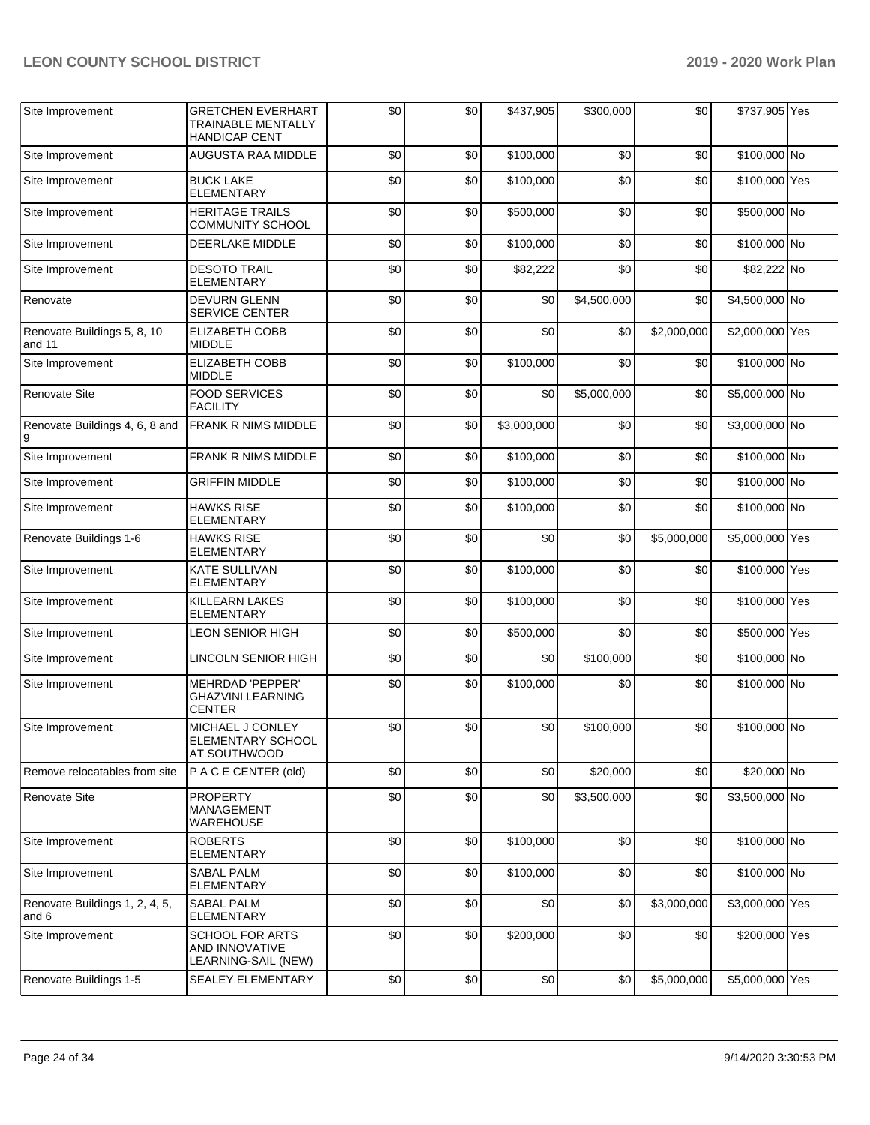| Site Improvement                        | <b>GRETCHEN EVERHART</b><br><b>TRAINABLE MENTALLY</b><br><b>HANDICAP CENT</b> | \$0 | \$0 | \$437,905   | \$300,000   | \$0         | \$737,905 Yes   |  |
|-----------------------------------------|-------------------------------------------------------------------------------|-----|-----|-------------|-------------|-------------|-----------------|--|
| Site Improvement                        | AUGUSTA RAA MIDDLE                                                            | \$0 | \$0 | \$100,000   | \$0         | \$0         | \$100,000 No    |  |
| Site Improvement                        | <b>BUCK LAKE</b><br><b>ELEMENTARY</b>                                         | \$0 | \$0 | \$100,000   | \$0         | \$0         | \$100,000 Yes   |  |
| Site Improvement                        | <b>HERITAGE TRAILS</b><br><b>COMMUNITY SCHOOL</b>                             | \$0 | \$0 | \$500,000   | \$0         | \$0         | \$500,000 No    |  |
| Site Improvement                        | DEERLAKE MIDDLE                                                               | \$0 | \$0 | \$100,000   | \$0         | \$0         | \$100,000 No    |  |
| Site Improvement                        | <b>DESOTO TRAIL</b><br><b>ELEMENTARY</b>                                      | \$0 | \$0 | \$82,222    | \$0         | \$0         | \$82,222 No     |  |
| Renovate                                | <b>DEVURN GLENN</b><br><b>SERVICE CENTER</b>                                  | \$0 | \$0 | \$0         | \$4,500,000 | \$0         | \$4,500,000 No  |  |
| Renovate Buildings 5, 8, 10<br>and 11   | <b>ELIZABETH COBB</b><br><b>MIDDLE</b>                                        | \$0 | \$0 | \$0         | \$0         | \$2,000,000 | \$2,000,000 Yes |  |
| Site Improvement                        | ELIZABETH COBB<br><b>MIDDLE</b>                                               | \$0 | \$0 | \$100,000   | \$0         | \$0         | \$100,000 No    |  |
| <b>Renovate Site</b>                    | <b>FOOD SERVICES</b><br><b>FACILITY</b>                                       | \$0 | \$0 | \$0         | \$5,000,000 | \$0         | \$5,000,000 No  |  |
| Renovate Buildings 4, 6, 8 and<br>9     | FRANK R NIMS MIDDLE                                                           | \$0 | \$0 | \$3,000,000 | \$0         | \$0         | \$3,000,000 No  |  |
| Site Improvement                        | <b>FRANK R NIMS MIDDLE</b>                                                    | \$0 | \$0 | \$100,000   | \$0         | \$0         | \$100,000 No    |  |
| Site Improvement                        | <b>GRIFFIN MIDDLE</b>                                                         | \$0 | \$0 | \$100,000   | \$0         | \$0         | \$100,000 No    |  |
| Site Improvement                        | <b>HAWKS RISE</b><br>ELEMENTARY                                               | \$0 | \$0 | \$100,000   | \$0         | \$0         | \$100,000 No    |  |
| Renovate Buildings 1-6                  | <b>HAWKS RISE</b><br><b>ELEMENTARY</b>                                        | \$0 | \$0 | \$0         | \$0         | \$5,000,000 | \$5,000,000 Yes |  |
| Site Improvement                        | <b>KATE SULLIVAN</b><br><b>ELEMENTARY</b>                                     | \$0 | \$0 | \$100,000   | \$0         | \$0         | \$100,000 Yes   |  |
| Site Improvement                        | <b>KILLEARN LAKES</b><br><b>ELEMENTARY</b>                                    | \$0 | \$0 | \$100,000   | \$0         | \$0         | \$100,000 Yes   |  |
| Site Improvement                        | <b>LEON SENIOR HIGH</b>                                                       | \$0 | \$0 | \$500,000   | \$0         | \$0         | \$500,000 Yes   |  |
| Site Improvement                        | <b>LINCOLN SENIOR HIGH</b>                                                    | \$0 | \$0 | \$0         | \$100,000   | \$0         | \$100,000 No    |  |
| Site Improvement                        | <b>MEHRDAD 'PEPPER'</b><br><b>GHAZVINI LEARNING</b><br>CENTER                 | \$0 | \$0 | \$100,000   | \$0         | \$0         | \$100,000 No    |  |
| Site Improvement                        | MICHAEL J CONLEY<br>ELEMENTARY SCHOOL<br><b>AT SOUTHWOOD</b>                  | \$0 | \$0 | \$0         | \$100,000   | \$0         | \$100,000 No    |  |
| Remove relocatables from site           | P A C E CENTER (old)                                                          | \$0 | \$0 | \$0         | \$20,000    | \$0         | \$20,000 No     |  |
| <b>Renovate Site</b>                    | <b>PROPERTY</b><br>MANAGEMENT<br><b>WAREHOUSE</b>                             | \$0 | \$0 | \$0         | \$3,500,000 | \$0         | \$3,500,000 No  |  |
| Site Improvement                        | <b>ROBERTS</b><br><b>ELEMENTARY</b>                                           | \$0 | \$0 | \$100,000   | \$0         | \$0         | \$100,000 No    |  |
| Site Improvement                        | SABAL PALM<br><b>ELEMENTARY</b>                                               | \$0 | \$0 | \$100,000   | \$0         | \$0         | \$100,000 No    |  |
| Renovate Buildings 1, 2, 4, 5,<br>and 6 | <b>SABAL PALM</b><br><b>ELEMENTARY</b>                                        | \$0 | \$0 | \$0         | \$0         | \$3,000,000 | \$3,000,000 Yes |  |
| Site Improvement                        | <b>SCHOOL FOR ARTS</b><br>AND INNOVATIVE<br>LEARNING-SAIL (NEW)               | \$0 | \$0 | \$200,000   | \$0         | \$0         | \$200,000 Yes   |  |
| Renovate Buildings 1-5                  | <b>SEALEY ELEMENTARY</b>                                                      | \$0 | \$0 | \$0         | \$0         | \$5,000,000 | \$5,000,000 Yes |  |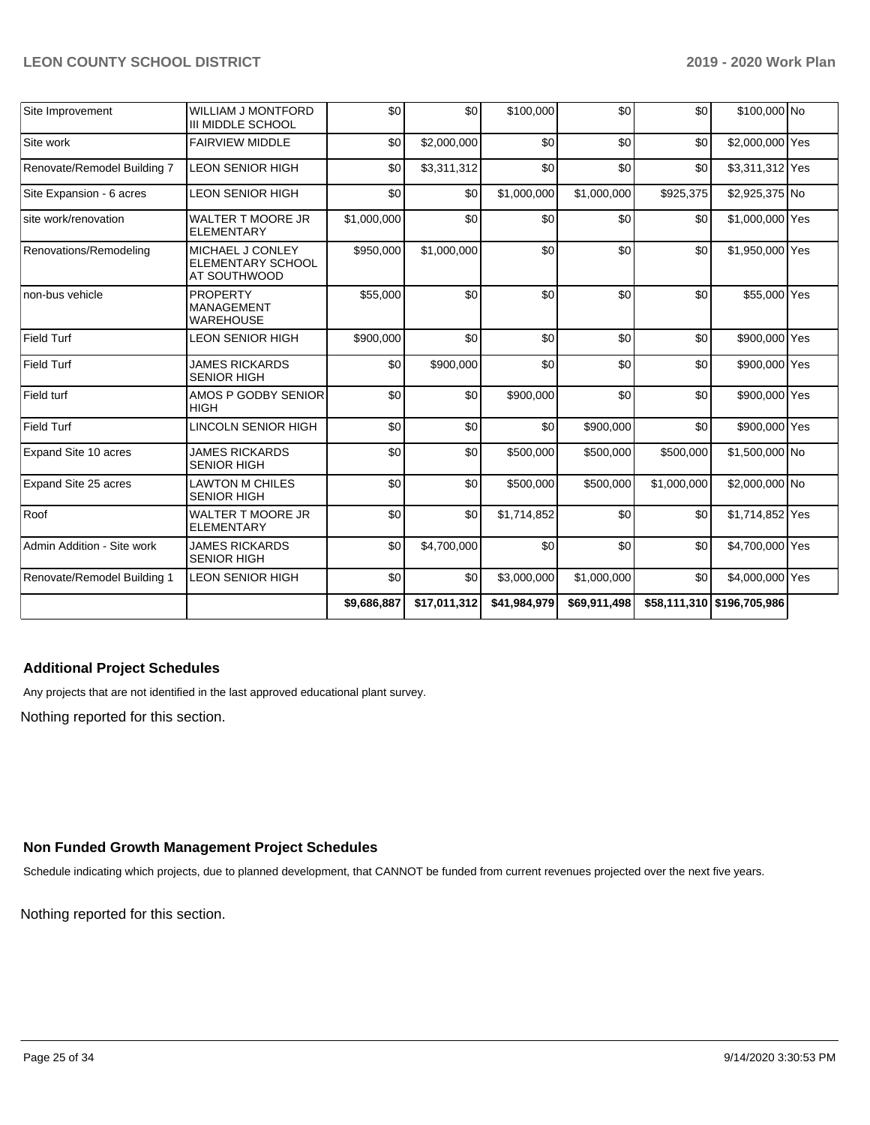| Site Improvement            | <b>WILLIAM J MONTFORD</b><br><b>III MIDDLE SCHOOL</b>        | \$0         | \$0          | \$100,000    | \$0          | \$0              | \$100,000 No               |  |
|-----------------------------|--------------------------------------------------------------|-------------|--------------|--------------|--------------|------------------|----------------------------|--|
| Site work                   | <b>FAIRVIEW MIDDLE</b>                                       | \$0         | \$2,000,000  | \$0          | \$0          | \$0 <sub>1</sub> | \$2,000,000 Yes            |  |
| Renovate/Remodel Building 7 | <b>LEON SENIOR HIGH</b>                                      | \$0         | \$3,311,312  | \$0          | \$0          | \$0              | \$3,311,312 Yes            |  |
| Site Expansion - 6 acres    | LEON SENIOR HIGH                                             | \$0         | \$0          | \$1,000,000  | \$1,000,000  | \$925,375        | \$2,925,375 No             |  |
| site work/renovation        | <b>WALTER T MOORE JR</b><br><b>ELEMENTARY</b>                | \$1,000,000 | \$0          | \$0          | \$0          | \$0              | \$1,000,000 Yes            |  |
| Renovations/Remodeling      | MICHAEL J CONLEY<br><b>ELEMENTARY SCHOOL</b><br>AT SOUTHWOOD | \$950,000   | \$1,000,000  | \$0          | \$0          | \$0              | \$1,950,000 Yes            |  |
| non-bus vehicle             | <b>PROPERTY</b><br><b>MANAGEMENT</b><br><b>WAREHOUSE</b>     | \$55,000    | \$0          | \$0          | \$0          | \$0              | \$55,000 Yes               |  |
| <b>Field Turf</b>           | LEON SENIOR HIGH                                             | \$900,000   | \$0          | \$0          | \$0          | \$0              | \$900,000 Yes              |  |
| <b>Field Turf</b>           | <b>JAMES RICKARDS</b><br><b>SENIOR HIGH</b>                  | \$0         | \$900,000    | \$0          | \$0          | \$0              | \$900,000 Yes              |  |
| Field turf                  | AMOS P GODBY SENIOR<br><b>HIGH</b>                           | \$0         | \$0          | \$900,000    | \$0          | \$0              | \$900,000 Yes              |  |
| <b>Field Turf</b>           | LINCOLN SENIOR HIGH                                          | \$0         | \$0          | \$0          | \$900,000    | \$0 <sub>1</sub> | \$900,000 Yes              |  |
| Expand Site 10 acres        | <b>JAMES RICKARDS</b><br><b>SENIOR HIGH</b>                  | \$0         | \$0          | \$500,000    | \$500,000    | \$500,000        | \$1,500,000 No             |  |
| Expand Site 25 acres        | <b>LAWTON M CHILES</b><br><b>SENIOR HIGH</b>                 | \$0         | \$0          | \$500,000    | \$500,000    | \$1,000,000      | \$2,000,000 No             |  |
| Roof                        | WALTER T MOORE JR<br><b>ELEMENTARY</b>                       | \$0         | \$0          | \$1,714,852  | \$0          | \$0              | \$1,714,852 Yes            |  |
| Admin Addition - Site work  | <b>JAMES RICKARDS</b><br><b>SENIOR HIGH</b>                  | \$0         | \$4,700,000  | \$0          | \$0          | \$0              | \$4,700,000 Yes            |  |
| Renovate/Remodel Building 1 | <b>LEON SENIOR HIGH</b>                                      | \$0         | \$0          | \$3,000,000  | \$1,000,000  | \$0              | \$4,000,000 Yes            |  |
|                             |                                                              | \$9,686,887 | \$17,011,312 | \$41,984,979 | \$69,911,498 |                  | \$58,111,310 \$196,705,986 |  |

## **Additional Project Schedules**

Nothing reported for this section. Any projects that are not identified in the last approved educational plant survey.

#### **Non Funded Growth Management Project Schedules**

Schedule indicating which projects, due to planned development, that CANNOT be funded from current revenues projected over the next five years.

Nothing reported for this section.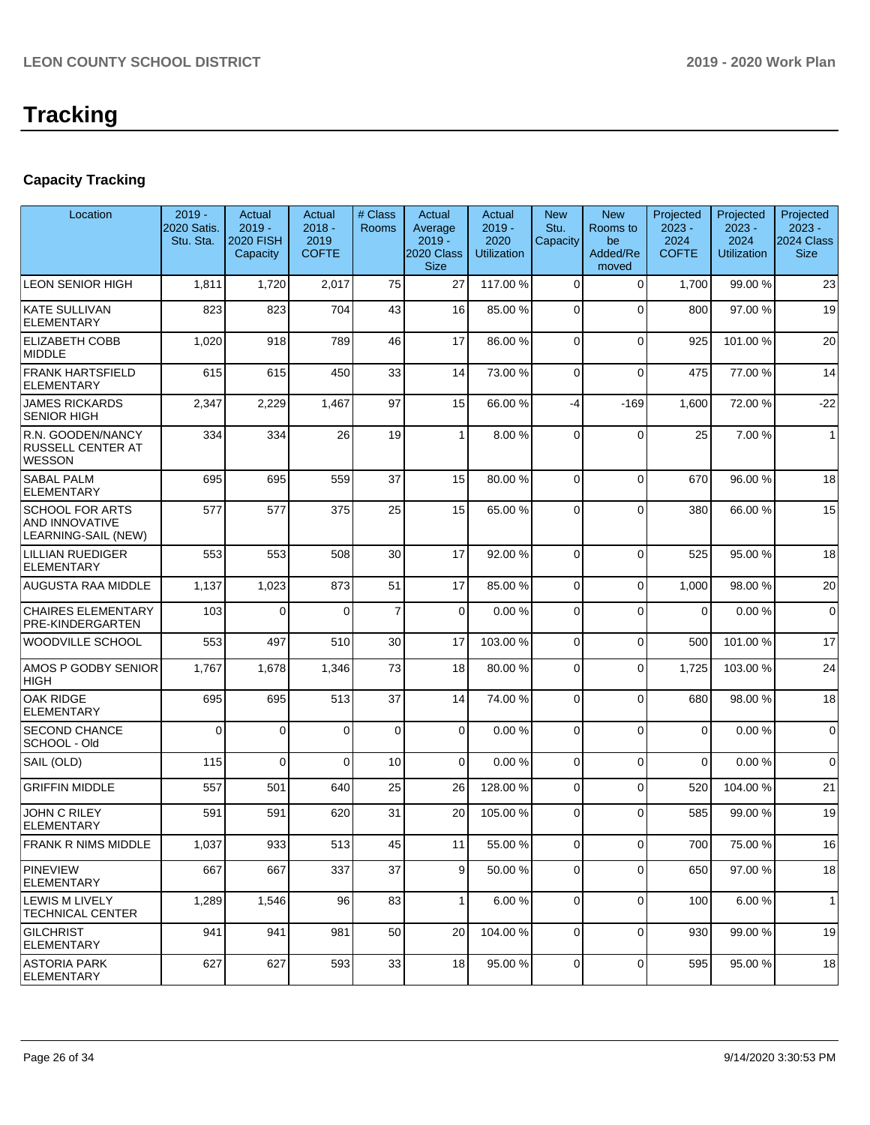# **Tracking**

# **Capacity Tracking**

| Location                                                        | $2019 -$<br>2020 Satis.<br>Stu. Sta. | Actual<br>$2019 -$<br>2020 FISH<br>Capacity | Actual<br>$2018 -$<br>2019<br><b>COFTE</b> | # Class<br>Rooms | Actual<br>Average<br>$2019 -$<br>2020 Class<br><b>Size</b> | Actual<br>$2019 -$<br>2020<br><b>Utilization</b> | <b>New</b><br>Stu.<br>Capacity | <b>New</b><br>Rooms to<br>be<br>Added/Re<br>moved | Projected<br>$2023 -$<br>2024<br><b>COFTE</b> | Projected<br>$2023 -$<br>2024<br><b>Utilization</b> | Projected<br>$2023 -$<br>2024 Class<br><b>Size</b> |
|-----------------------------------------------------------------|--------------------------------------|---------------------------------------------|--------------------------------------------|------------------|------------------------------------------------------------|--------------------------------------------------|--------------------------------|---------------------------------------------------|-----------------------------------------------|-----------------------------------------------------|----------------------------------------------------|
| <b>LEON SENIOR HIGH</b>                                         | 1,811                                | 1,720                                       | 2,017                                      | 75               | 27                                                         | 117.00 %                                         | $\Omega$                       | $\Omega$                                          | 1,700                                         | 99.00 %                                             | 23                                                 |
| <b>KATE SULLIVAN</b><br><b>ELEMENTARY</b>                       | 823                                  | 823                                         | 704                                        | 43               | 16                                                         | 85.00 %                                          | $\Omega$                       | $\Omega$                                          | 800                                           | 97.00 %                                             | 19                                                 |
| <b>ELIZABETH COBB</b><br><b>MIDDLE</b>                          | 1,020                                | 918                                         | 789                                        | 46               | 17                                                         | 86.00 %                                          | $\Omega$                       | $\Omega$                                          | 925                                           | 101.00%                                             | 20                                                 |
| <b>FRANK HARTSFIELD</b><br><b>ELEMENTARY</b>                    | 615                                  | 615                                         | 450                                        | 33               | 14                                                         | 73.00 %                                          | $\mathbf 0$                    | $\Omega$                                          | 475                                           | 77.00 %                                             | 14                                                 |
| <b>JAMES RICKARDS</b><br><b>SENIOR HIGH</b>                     | 2,347                                | 2,229                                       | 1,467                                      | 97               | 15                                                         | 66.00 %                                          | $-4$                           | $-169$                                            | 1,600                                         | 72.00 %                                             | $-22$                                              |
| R.N. GOODEN/NANCY<br>RUSSELL CENTER AT<br><b>WESSON</b>         | 334                                  | 334                                         | 26                                         | 19               | $\mathbf{1}$                                               | 8.00 %                                           | $\Omega$                       | $\Omega$                                          | 25                                            | 7.00 %                                              | $\mathbf{1}$                                       |
| <b>SABAL PALM</b><br><b>ELEMENTARY</b>                          | 695                                  | 695                                         | 559                                        | 37               | 15                                                         | 80.00 %                                          | $\Omega$                       | $\Omega$                                          | 670                                           | 96.00 %                                             | 18                                                 |
| <b>SCHOOL FOR ARTS</b><br>AND INNOVATIVE<br>LEARNING-SAIL (NEW) | 577                                  | 577                                         | 375                                        | 25               | 15                                                         | 65.00%                                           | $\Omega$                       | $\Omega$                                          | 380                                           | 66.00 %                                             | 15                                                 |
| <b>LILLIAN RUEDIGER</b><br><b>ELEMENTARY</b>                    | 553                                  | 553                                         | 508                                        | 30               | 17                                                         | 92.00 %                                          | $\Omega$                       | $\Omega$                                          | 525                                           | 95.00 %                                             | 18                                                 |
| AUGUSTA RAA MIDDLE                                              | 1,137                                | 1,023                                       | 873                                        | 51               | 17                                                         | 85.00 %                                          | $\Omega$                       | $\Omega$                                          | 1,000                                         | 98.00 %                                             | 20                                                 |
| <b>CHAIRES ELEMENTARY</b><br>PRE-KINDERGARTEN                   | 103                                  | $\Omega$                                    | $\Omega$                                   | $\overline{7}$   | 0                                                          | 0.00%                                            | $\mathbf 0$                    | $\Omega$                                          | $\Omega$                                      | 0.00%                                               | $\mathbf 0$                                        |
| WOODVILLE SCHOOL                                                | 553                                  | 497                                         | 510                                        | 30               | 17                                                         | 103.00 %                                         | $\Omega$                       | $\Omega$                                          | 500                                           | 101.00%                                             | 17                                                 |
| AMOS P GODBY SENIOR<br><b>HIGH</b>                              | 1,767                                | 1,678                                       | 1,346                                      | 73               | 18                                                         | 80.00 %                                          | $\Omega$                       | $\Omega$                                          | 1,725                                         | 103.00%                                             | 24                                                 |
| <b>OAK RIDGE</b><br><b>ELEMENTARY</b>                           | 695                                  | 695                                         | 513                                        | 37               | 14                                                         | 74.00 %                                          | $\mathbf 0$                    | $\Omega$                                          | 680                                           | 98.00 %                                             | 18                                                 |
| <b>SECOND CHANCE</b><br>SCHOOL - Old                            | $\Omega$                             | 0                                           | $\Omega$                                   | $\mathbf 0$      | 0                                                          | 0.00%                                            | $\mathbf 0$                    | $\Omega$                                          | $\mathbf 0$                                   | 0.00%                                               | $\mathbf 0$                                        |
| SAIL (OLD)                                                      | 115                                  | 0                                           | $\Omega$                                   | 10               | $\Omega$                                                   | 0.00%                                            | $\Omega$                       | $\Omega$                                          | $\Omega$                                      | 0.00%                                               | $\mathbf 0$                                        |
| <b>GRIFFIN MIDDLE</b>                                           | 557                                  | 501                                         | 640                                        | 25               | 26                                                         | 128.00%                                          | $\overline{0}$                 | $\Omega$                                          | 520                                           | 104.00%                                             | 21                                                 |
| <b>JOHN C RILEY</b><br><b>ELEMENTARY</b>                        | 591                                  | 591                                         | 620                                        | 31               | 20                                                         | 105.00 %                                         | $\Omega$                       | $\Omega$                                          | 585                                           | 99.00 %                                             | 19                                                 |
| FRANK R NIMS MIDDLE                                             | 1,037                                | 933                                         | 513                                        | 45               | 11                                                         | 55.00 %                                          | $\overline{0}$                 | $\mathbf 0$                                       | 700                                           | 75.00 %                                             | 16                                                 |
| <b>PINEVIEW</b><br>ELEMENTARY                                   | 667                                  | 667                                         | 337                                        | 37               | 9                                                          | 50.00 %                                          | $\overline{0}$                 | $\overline{0}$                                    | 650                                           | 97.00 %                                             | 18                                                 |
| ILEWIS M LIVELY<br> TECHNICAL CENTER                            | 1,289                                | 1,546                                       | 96                                         | 83               | 1                                                          | 6.00%                                            | $\mathbf 0$                    | $\mathbf 0$                                       | 100                                           | 6.00%                                               | $\mathbf{1}$                                       |
| <b>GILCHRIST</b><br>ELEMENTARY                                  | 941                                  | 941                                         | 981                                        | 50               | 20                                                         | 104.00 %                                         | $\mathbf 0$                    | $\Omega$                                          | 930                                           | 99.00 %                                             | 19                                                 |
| IASTORIA PARK<br><b>ELEMENTARY</b>                              | 627                                  | 627                                         | 593                                        | 33               | 18                                                         | 95.00 %                                          | 0                              | 0                                                 | 595                                           | 95.00 %                                             | 18                                                 |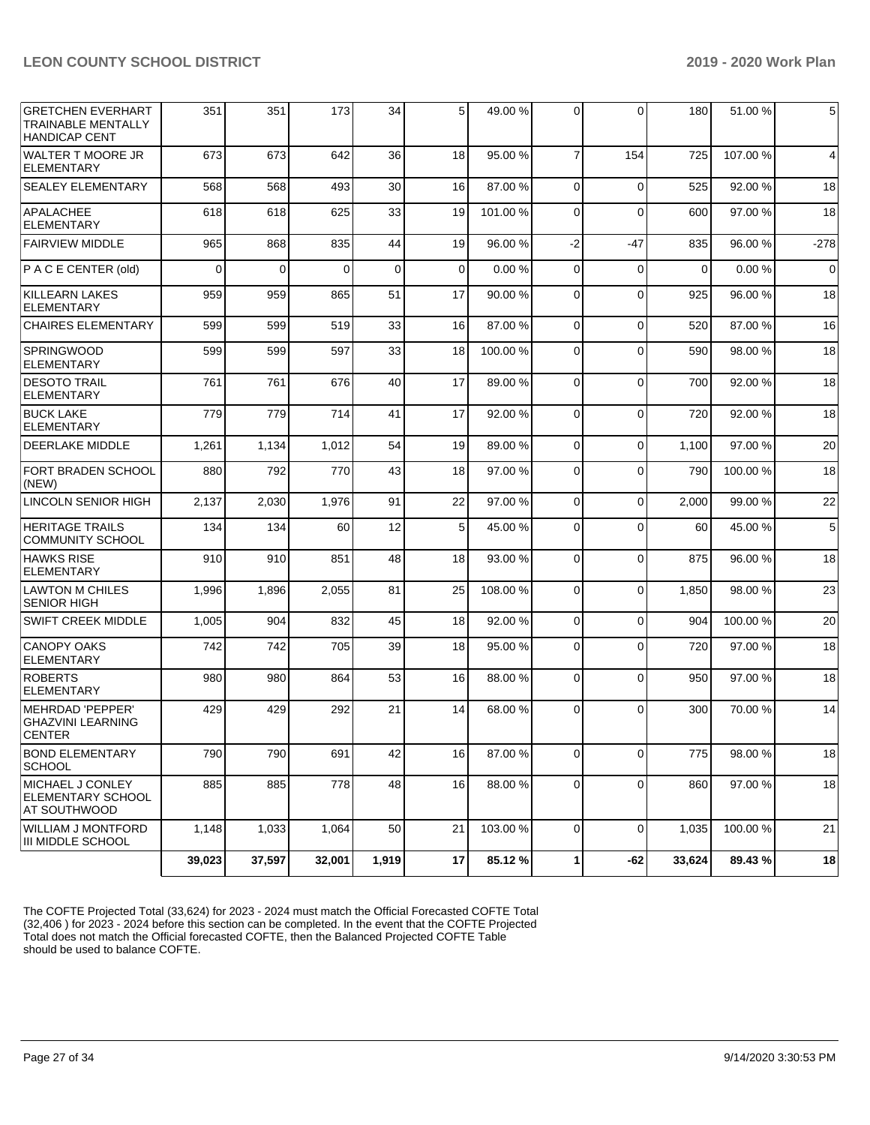| <b>GRETCHEN EVERHART</b><br><b>TRAINABLE MENTALLY</b><br><b>HANDICAP CENT</b> | 351      | 351    | 173      | 34    | 5 <sub>l</sub> | 49.00 %  | $\Omega$       | 0           | 180      | 51.00 %  | 5        |
|-------------------------------------------------------------------------------|----------|--------|----------|-------|----------------|----------|----------------|-------------|----------|----------|----------|
| <b>WALTER T MOORE JR</b><br><b>ELEMENTARY</b>                                 | 673      | 673    | 642      | 36    | 18             | 95.00 %  | $\overline{7}$ | 154         | 725      | 107.00 % | 4        |
| <b>SEALEY ELEMENTARY</b>                                                      | 568      | 568    | 493      | 30    | 16             | 87.00 %  | $\Omega$       | $\Omega$    | 525      | 92.00 %  | 18       |
| <b>APALACHEE</b><br><b>ELEMENTARY</b>                                         | 618      | 618    | 625      | 33    | 19             | 101.00%  | $\Omega$       | $\Omega$    | 600      | 97.00 %  | 18       |
| <b>FAIRVIEW MIDDLE</b>                                                        | 965      | 868    | 835      | 44    | 19             | 96.00 %  | $-2$           | $-47$       | 835      | 96.00 %  | $-278$   |
| P A C E CENTER (old)                                                          | $\Omega$ | 0      | $\Omega$ | 0     | $\Omega$       | 0.00%    | $\Omega$       | $\Omega$    | $\Omega$ | 0.00%    | $\Omega$ |
| <b>KILLEARN LAKES</b><br><b>ELEMENTARY</b>                                    | 959      | 959    | 865      | 51    | 17             | 90.00 %  | $\Omega$       | $\Omega$    | 925      | 96.00 %  | 18       |
| <b>CHAIRES ELEMENTARY</b>                                                     | 599      | 599    | 519      | 33    | 16             | 87.00 %  | $\Omega$       | $\mathbf 0$ | 520      | 87.00 %  | 16       |
| <b>SPRINGWOOD</b><br><b>ELEMENTARY</b>                                        | 599      | 599    | 597      | 33    | 18             | 100.00 % | $\Omega$       | $\Omega$    | 590      | 98.00 %  | 18       |
| <b>DESOTO TRAIL</b><br><b>ELEMENTARY</b>                                      | 761      | 761    | 676      | 40    | 17             | 89.00 %  | $\Omega$       | $\Omega$    | 700      | 92.00 %  | 18       |
| <b>BUCK LAKE</b><br><b>ELEMENTARY</b>                                         | 779      | 779    | 714      | 41    | 17             | 92.00 %  | $\Omega$       | $\Omega$    | 720      | 92.00 %  | 18       |
| <b>DEERLAKE MIDDLE</b>                                                        | 1,261    | 1,134  | 1,012    | 54    | 19             | 89.00 %  | $\Omega$       | $\mathbf 0$ | 1,100    | 97.00 %  | 20       |
| FORT BRADEN SCHOOL<br>(NEW)                                                   | 880      | 792    | 770      | 43    | 18             | 97.00 %  | $\Omega$       | $\Omega$    | 790      | 100.00%  | 18       |
| LINCOLN SENIOR HIGH                                                           | 2,137    | 2,030  | 1,976    | 91    | 22             | 97.00 %  | $\Omega$       | $\Omega$    | 2,000    | 99.00 %  | 22       |
| <b>HERITAGE TRAILS</b><br><b>COMMUNITY SCHOOL</b>                             | 134      | 134    | 60       | 12    | 5              | 45.00 %  | $\Omega$       | $\Omega$    | 60       | 45.00 %  | 5        |
| <b>HAWKS RISE</b><br><b>ELEMENTARY</b>                                        | 910      | 910    | 851      | 48    | 18             | 93.00 %  | $\Omega$       | $\Omega$    | 875      | 96.00 %  | 18       |
| <b>LAWTON M CHILES</b><br><b>SENIOR HIGH</b>                                  | 1,996    | 1,896  | 2,055    | 81    | 25             | 108.00%  | $\Omega$       | $\mathbf 0$ | 1,850    | 98.00 %  | 23       |
| <b>SWIFT CREEK MIDDLE</b>                                                     | 1,005    | 904    | 832      | 45    | 18             | 92.00 %  | $\Omega$       | $\Omega$    | 904      | 100.00%  | 20       |
| <b>CANOPY OAKS</b><br><b>ELEMENTARY</b>                                       | 742      | 742    | 705      | 39    | 18             | 95.00 %  | $\Omega$       | $\Omega$    | 720      | 97.00 %  | 18       |
| <b>ROBERTS</b><br><b>ELEMENTARY</b>                                           | 980      | 980    | 864      | 53    | 16             | 88.00 %  | $\Omega$       | $\Omega$    | 950      | 97.00 %  | 18       |
| MEHRDAD 'PEPPER'<br><b>GHAZVINI LEARNING</b><br><b>CENTER</b>                 | 429      | 429    | 292      | 21    | 14             | 68.00 %  | $\Omega$       | $\Omega$    | 300      | 70.00 %  | 14       |
| <b>BOND ELEMENTARY</b><br><b>SCHOOL</b>                                       | 790      | 790    | 691      | 42    | 16             | 87.00 %  | $\Omega$       | $\mathbf 0$ | 775      | 98.00 %  | 18       |
| <b>MICHAEL J CONLEY</b><br>ELEMENTARY SCHOOL<br>AT SOUTHWOOD                  | 885      | 885    | 778      | 48    | 16             | 88.00 %  | $\overline{0}$ | 0           | 860      | 97.00 %  | 18       |
| <b>WILLIAM J MONTFORD</b><br><b>III MIDDLE SCHOOL</b>                         | 1,148    | 1,033  | 1,064    | 50    | 21             | 103.00 % | $\Omega$       | $\mathbf 0$ | 1,035    | 100.00%  | 21       |
|                                                                               | 39,023   | 37,597 | 32,001   | 1,919 | 17             | 85.12%   | 1              | $-62$       | 33,624   | 89.43%   | 18       |

The COFTE Projected Total (33,624) for 2023 - 2024 must match the Official Forecasted COFTE Total (32,406 ) for 2023 - 2024 before this section can be completed. In the event that the COFTE Projected Total does not match the Official forecasted COFTE, then the Balanced Projected COFTE Table should be used to balance COFTE.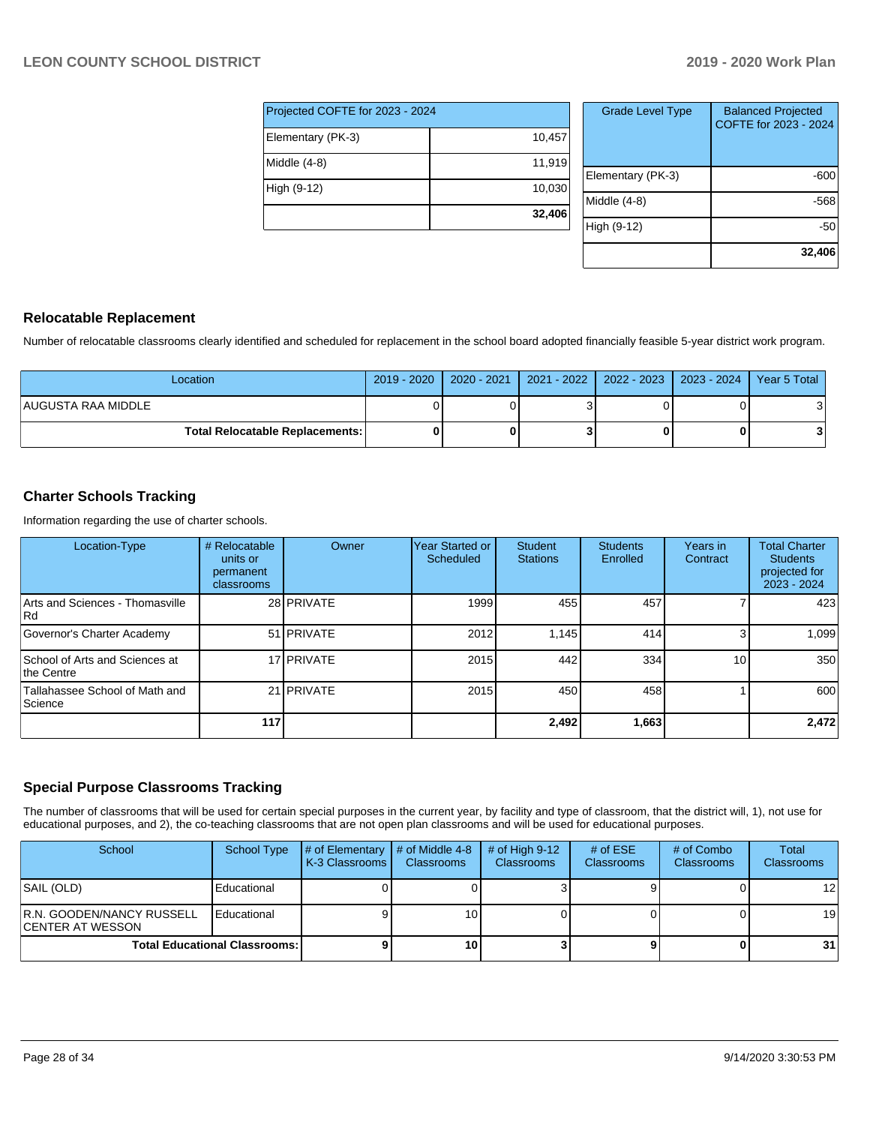| Projected COFTE for 2023 - 2024 |        |  |  |  |  |  |  |
|---------------------------------|--------|--|--|--|--|--|--|
| Elementary (PK-3)               | 10,457 |  |  |  |  |  |  |
| Middle (4-8)                    | 11,919 |  |  |  |  |  |  |
| High (9-12)                     | 10,030 |  |  |  |  |  |  |
|                                 | 32,406 |  |  |  |  |  |  |

| <b>Grade Level Type</b> | <b>Balanced Projected</b><br>COFTE for 2023 - 2024 |
|-------------------------|----------------------------------------------------|
| Elementary (PK-3)       | -600                                               |
| Middle $(4-8)$          | -568                                               |
| High (9-12)             | -50                                                |
|                         | 32,406                                             |

#### **Relocatable Replacement**

Number of relocatable classrooms clearly identified and scheduled for replacement in the school board adopted financially feasible 5-year district work program.

| Location                                 | 2019 - 2020   2020 - 2021   2021 - 2022   2022 - 2023   2023 - 2024   Year 5 Total |  |  |
|------------------------------------------|------------------------------------------------------------------------------------|--|--|
| AUGUSTA RAA MIDDLE                       |                                                                                    |  |  |
| <b>Total Relocatable Replacements: I</b> |                                                                                    |  |  |

## **Charter Schools Tracking**

Information regarding the use of charter schools.

| Location-Type                                | # Relocatable<br>units or<br>permanent<br>classrooms | Owner             | Year Started or<br>Scheduled | Student<br><b>Stations</b> | <b>Students</b><br>Enrolled | Years in<br>Contract | <b>Total Charter</b><br><b>Students</b><br>projected for<br>2023 - 2024 |
|----------------------------------------------|------------------------------------------------------|-------------------|------------------------------|----------------------------|-----------------------------|----------------------|-------------------------------------------------------------------------|
| Arts and Sciences - Thomasville<br> Rd       |                                                      | 28 PRIVATE        | 1999                         | 455                        | 457                         |                      | 423                                                                     |
| Governor's Charter Academy                   |                                                      | 51 <b>PRIVATE</b> | 2012                         | 1.145                      | 414                         | 3                    | 1,099                                                                   |
| School of Arts and Sciences at<br>the Centre |                                                      | 17 PRIVATE        | 2015                         | 442                        | 334                         | 10 <sub>1</sub>      | 350                                                                     |
| Tallahassee School of Math and<br>Science    |                                                      | 21 PRIVATE        | 2015                         | 450                        | 458                         |                      | 600                                                                     |
|                                              | 117                                                  |                   |                              | 2,492                      | 1,663                       |                      | 2.472                                                                   |

## **Special Purpose Classrooms Tracking**

The number of classrooms that will be used for certain special purposes in the current year, by facility and type of classroom, that the district will, 1), not use for educational purposes, and 2), the co-teaching classrooms that are not open plan classrooms and will be used for educational purposes.

| School                                         | School Type | # of Elementary<br><b>K-3 Classrooms</b> | $\parallel$ # of Middle 4-8<br><b>Classrooms</b> | $#$ of High 9-12<br><b>Classrooms</b> | # of $ESE$<br>Classrooms | # of Combo<br><b>Classrooms</b> | <b>Total</b><br><b>Classrooms</b> |
|------------------------------------------------|-------------|------------------------------------------|--------------------------------------------------|---------------------------------------|--------------------------|---------------------------------|-----------------------------------|
| SAIL (OLD)                                     | Educational |                                          |                                                  |                                       |                          |                                 | 12 <sub>l</sub>                   |
| R.N. GOODEN/NANCY RUSSELL<br>ICENTER AT WESSON | Educational |                                          | 10 <sub>1</sub>                                  |                                       |                          |                                 | 19 <sup>1</sup>                   |
| <b>Total Educational Classrooms: I</b>         |             |                                          | 10 <sup>1</sup>                                  |                                       |                          | 0                               | 31                                |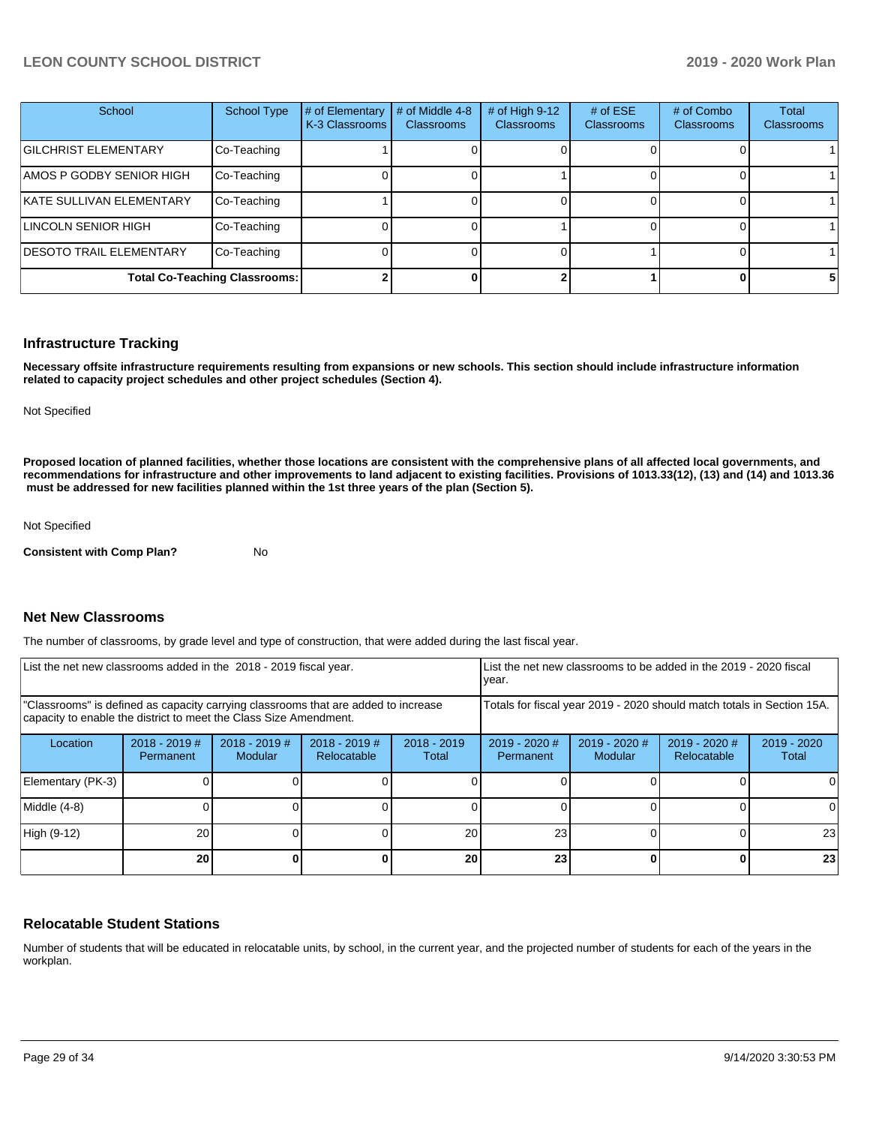| School                               | <b>School Type</b> | # of Elementary<br>K-3 Classrooms | # of Middle 4-8<br><b>Classrooms</b> | # of High 9-12<br>Classrooms | # of $ESE$<br><b>Classrooms</b> | # of Combo<br><b>Classrooms</b> | Total<br><b>Classrooms</b> |
|--------------------------------------|--------------------|-----------------------------------|--------------------------------------|------------------------------|---------------------------------|---------------------------------|----------------------------|
| <b>GILCHRIST ELEMENTARY</b>          | Co-Teaching        |                                   |                                      |                              |                                 |                                 |                            |
| AMOS P GODBY SENIOR HIGH             | Co-Teaching        |                                   |                                      |                              |                                 |                                 |                            |
| KATE SULLIVAN ELEMENTARY             | Co-Teaching        |                                   |                                      |                              |                                 |                                 |                            |
| LINCOLN SENIOR HIGH                  | Co-Teaching        |                                   |                                      |                              |                                 |                                 |                            |
| <b>DESOTO TRAIL ELEMENTARY</b>       | Co-Teaching        |                                   |                                      |                              |                                 |                                 |                            |
| <b>Total Co-Teaching Classrooms:</b> |                    |                                   |                                      |                              |                                 |                                 | 51                         |

#### **Infrastructure Tracking**

**Necessary offsite infrastructure requirements resulting from expansions or new schools. This section should include infrastructure information related to capacity project schedules and other project schedules (Section 4).** 

Not Specified

**Proposed location of planned facilities, whether those locations are consistent with the comprehensive plans of all affected local governments, and recommendations for infrastructure and other improvements to land adjacent to existing facilities. Provisions of 1013.33(12), (13) and (14) and 1013.36 must be addressed for new facilities planned within the 1st three years of the plan (Section 5).** 

Not Specified

**Consistent with Comp Plan?** No

#### **Net New Classrooms**

The number of classrooms, by grade level and type of construction, that were added during the last fiscal year.

| List the net new classrooms added in the 2018 - 2019 fiscal year.                                                                                       | Llist the net new classrooms to be added in the 2019 - 2020 fiscal<br>year. |                            |                                |                        |                                                                        |                                   |                                |                        |  |
|---------------------------------------------------------------------------------------------------------------------------------------------------------|-----------------------------------------------------------------------------|----------------------------|--------------------------------|------------------------|------------------------------------------------------------------------|-----------------------------------|--------------------------------|------------------------|--|
| 'Classrooms" is defined as capacity carrying classrooms that are added to increase<br>capacity to enable the district to meet the Class Size Amendment. |                                                                             |                            |                                |                        | Totals for fiscal year 2019 - 2020 should match totals in Section 15A. |                                   |                                |                        |  |
| Location                                                                                                                                                | $2018 - 2019$ #<br>Permanent                                                | $2018 - 2019$ #<br>Modular | $2018 - 2019$ #<br>Relocatable | $2018 - 2019$<br>Total | $2019 - 2020$ #<br><b>Permanent</b>                                    | $2019 - 2020$ #<br><b>Modular</b> | $2019 - 2020$ #<br>Relocatable | $2019 - 2020$<br>Total |  |
| Elementary (PK-3)                                                                                                                                       |                                                                             |                            |                                |                        |                                                                        |                                   |                                | ΩI                     |  |
| Middle (4-8)                                                                                                                                            |                                                                             |                            |                                |                        |                                                                        |                                   |                                |                        |  |
| High (9-12)                                                                                                                                             | 20                                                                          |                            |                                | 20                     | 23                                                                     |                                   |                                | 23                     |  |
|                                                                                                                                                         | 20                                                                          |                            |                                | 20                     | 23                                                                     |                                   |                                | 23                     |  |

#### **Relocatable Student Stations**

Number of students that will be educated in relocatable units, by school, in the current year, and the projected number of students for each of the years in the workplan.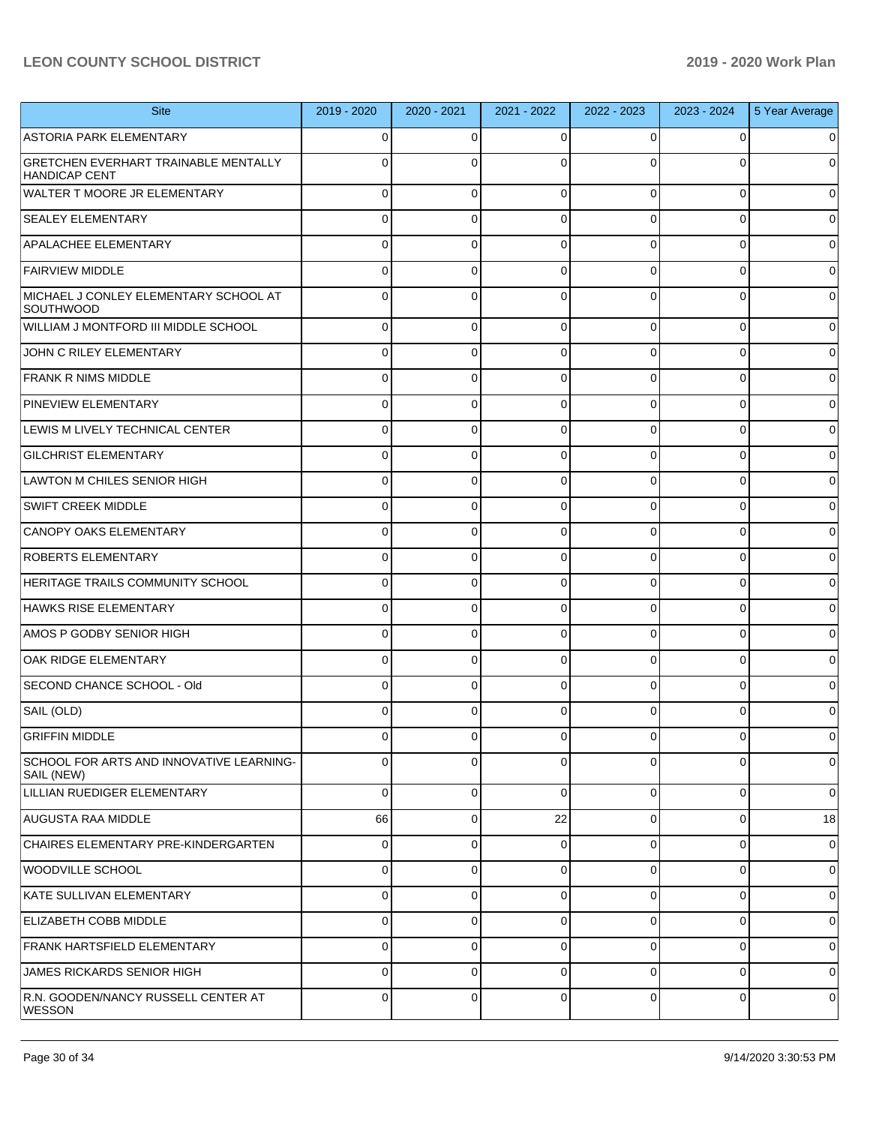| <b>Site</b>                                                         | 2019 - 2020 | 2020 - 2021 | 2021 - 2022 | 2022 - 2023 | 2023 - 2024    | 5 Year Average      |
|---------------------------------------------------------------------|-------------|-------------|-------------|-------------|----------------|---------------------|
| <b>ASTORIA PARK ELEMENTARY</b>                                      | 0           | 0           | $\Omega$    | 0           | $\overline{0}$ | $\overline{0}$      |
| <b>GRETCHEN EVERHART TRAINABLE MENTALLY</b><br><b>HANDICAP CENT</b> | 0           | $\Omega$    | $\Omega$    | 0           | $\Omega$       | $\overline{0}$      |
| <b>WALTER T MOORE JR ELEMENTARY</b>                                 | 0           | 0           | $\Omega$    | $\Omega$    | $\overline{0}$ | $\mathbf 0$         |
| <b>SEALEY ELEMENTARY</b>                                            | 0           | 0           | $\Omega$    | 0           | $\overline{0}$ | $\overline{0}$      |
| <b>APALACHEE ELEMENTARY</b>                                         | 0           | 0           | $\Omega$    | 0           | $\overline{0}$ | $\mathbf 0$         |
| <b>FAIRVIEW MIDDLE</b>                                              | 0           | 0           | $\Omega$    | 0           | $\overline{0}$ | $\overline{0}$      |
| MICHAEL J CONLEY ELEMENTARY SCHOOL AT<br>SOUTHWOOD                  | 0           | 0           | $\Omega$    | 0           | 0              | $\overline{0}$      |
| WILLIAM J MONTFORD III MIDDLE SCHOOL                                | 0           | 0           | 0           | $\Omega$    | 0              | $\overline{0}$      |
| JOHN C RILEY ELEMENTARY                                             | 0           | 0           | $\Omega$    | 0           | 0              | $\mathsf{O}\xspace$ |
| <b>FRANK R NIMS MIDDLE</b>                                          | 0           | 0           | $\Omega$    | $\Omega$    | 0              | $\overline{0}$      |
| <b>PINEVIEW ELEMENTARY</b>                                          | 0           | 0           | $\Omega$    | 0           | 0              | $\overline{0}$      |
| LEWIS M LIVELY TECHNICAL CENTER                                     | 0           | 0           | $\Omega$    | $\Omega$    | 0              | $\overline{0}$      |
| <b>GILCHRIST ELEMENTARY</b>                                         | 0           | 0           | $\Omega$    | $\Omega$    | 0              | $\mathbf 0$         |
| LAWTON M CHILES SENIOR HIGH                                         | 0           | 0           | $\Omega$    | $\Omega$    | 0              | $\overline{0}$      |
| <b>SWIFT CREEK MIDDLE</b>                                           | 0           | 0           | $\Omega$    | 0           | 0              | $\mathsf{O}\xspace$ |
| CANOPY OAKS ELEMENTARY                                              | 0           | 0           | $\Omega$    | $\Omega$    | 0              | $\overline{0}$      |
| <b>ROBERTS ELEMENTARY</b>                                           | 0           | 0           | $\Omega$    | 0           | 0              | $\overline{0}$      |
| HERITAGE TRAILS COMMUNITY SCHOOL                                    | 0           | 0           | $\Omega$    | $\Omega$    | 0              | $\overline{0}$      |
| HAWKS RISE ELEMENTARY                                               | 0           | 0           | $\Omega$    | $\Omega$    | 0              | $\overline{0}$      |
| AMOS P GODBY SENIOR HIGH                                            | 0           | 0           | $\Omega$    | $\Omega$    | 0              | $\overline{0}$      |
| OAK RIDGE ELEMENTARY                                                | 0           | 0           | $\Omega$    | 0           | 0              | $\overline{0}$      |
| SECOND CHANCE SCHOOL - Old                                          | 0           | 0           | $\Omega$    | $\Omega$    | 0              | $\overline{0}$      |
| SAIL (OLD)                                                          | 0           | $\Omega$    | $\Omega$    | 0           | 0              | $\overline{0}$      |
| <b>GRIFFIN MIDDLE</b>                                               | 0           | 0           | $\Omega$    | 0           | $\Omega$       | $\overline{0}$      |
| SCHOOL FOR ARTS AND INNOVATIVE LEARNING-<br>SAIL (NEW)              | 0           | 0           | $\Omega$    | 0           | 0              | $\overline{0}$      |
| LILLIAN RUEDIGER ELEMENTARY                                         | $\Omega$    | 0           | $\Omega$    | $\Omega$    | $\overline{0}$ | $\overline{0}$      |
| AUGUSTA RAA MIDDLE                                                  | 66          | 0           | 22          | $\Omega$    | $\overline{0}$ | 18                  |
| CHAIRES ELEMENTARY PRE-KINDERGARTEN                                 | 0           | 0           | $\Omega$    | $\Omega$    | $\overline{0}$ | $\overline{0}$      |
| WOODVILLE SCHOOL                                                    | 0           | 0           | $\Omega$    | $\Omega$    | $\overline{0}$ | $\overline{0}$      |
| KATE SULLIVAN ELEMENTARY                                            | 0           | 0           | $\Omega$    | $\Omega$    | $\overline{0}$ | $\overline{0}$      |
| <b>ELIZABETH COBB MIDDLE</b>                                        | 0           | $\Omega$    | $\Omega$    | $\Omega$    | $\overline{0}$ | $\overline{0}$      |
| <b>FRANK HARTSFIELD ELEMENTARY</b>                                  | 0           | 0           | $\Omega$    | $\Omega$    | $\overline{0}$ | $\overline{0}$      |
| JAMES RICKARDS SENIOR HIGH                                          | 0           | $\Omega$    | $\Omega$    | $\Omega$    | $\overline{0}$ | $\overline{0}$      |
| R.N. GOODEN/NANCY RUSSELL CENTER AT<br><b>WESSON</b>                | 0           | $\Omega$    | $\Omega$    | $\Omega$    | $\overline{0}$ | $\overline{0}$      |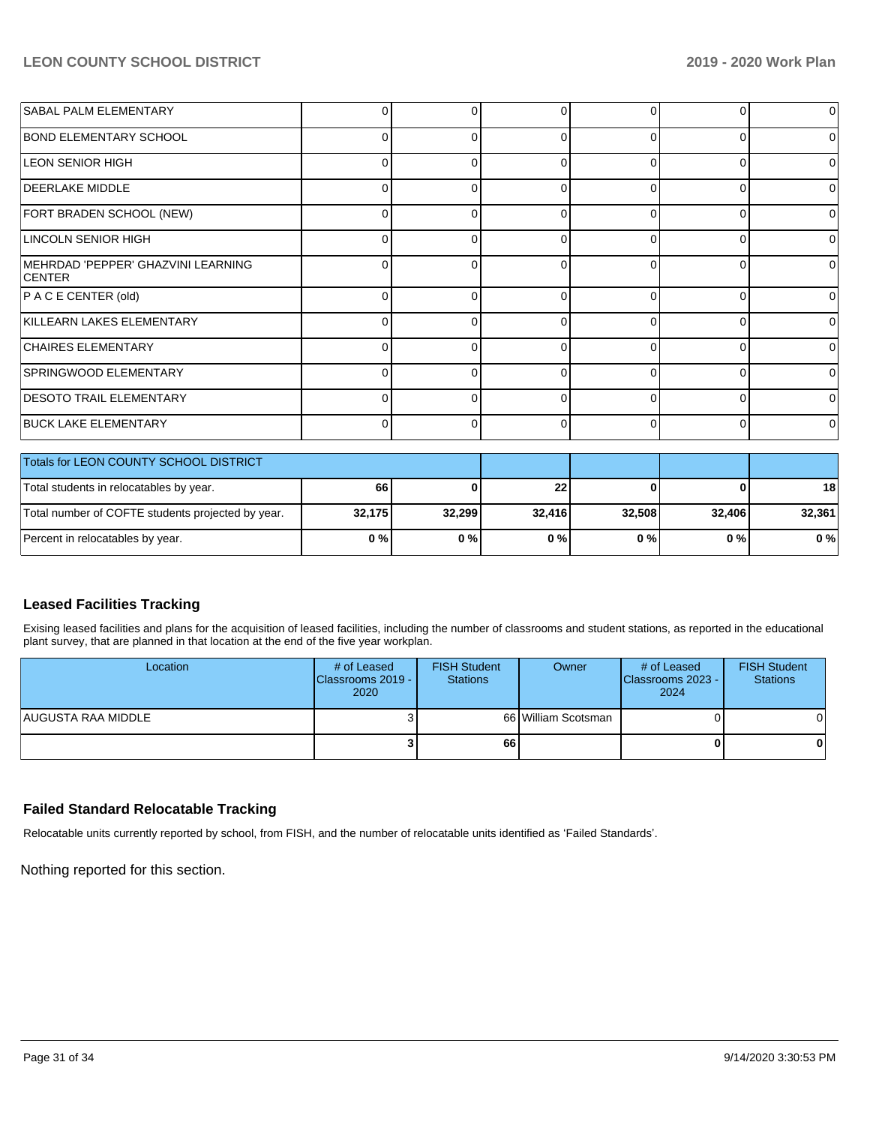| SABAL PALM ELEMENTARY                               | 0            | ი | 0            | 0        |          | $\overline{0}$ |
|-----------------------------------------------------|--------------|---|--------------|----------|----------|----------------|
| <b>BOND ELEMENTARY SCHOOL</b>                       | 0            |   | ∩            | $\Omega$ |          | 0              |
| <b>LEON SENIOR HIGH</b>                             | $\Omega$     | U | 0            | $\Omega$ |          | 0              |
| <b>DEERLAKE MIDDLE</b>                              | 0            | O | <sup>0</sup> | 0        |          | 0              |
| FORT BRADEN SCHOOL (NEW)                            | $\Omega$     | n | 0            | $\Omega$ | 0        | 0              |
| LINCOLN SENIOR HIGH                                 | 0            | 0 | 0            | $\Omega$ | 0        | $\overline{0}$ |
| MEHRDAD 'PEPPER' GHAZVINI LEARNING<br><b>CENTER</b> | 0            | n | $\Omega$     | $\Omega$ | $\Omega$ | $\Omega$       |
| P A C E CENTER (old)                                | U            | n | ∩            | $\Omega$ | n        | 0              |
| KILLEARN LAKES ELEMENTARY                           | $\Omega$     | 0 | 0            | $\Omega$ | 0        | $\Omega$       |
| <b>CHAIRES ELEMENTARY</b>                           | <sup>0</sup> |   | n            | O        |          | 0              |
| SPRINGWOOD ELEMENTARY                               | $\Omega$     | 0 | $\Omega$     | $\Omega$ | U        | 0              |
| <b>DESOTO TRAIL ELEMENTARY</b>                      | $\Omega$     | ∩ | 0            | $\Omega$ |          | 0              |
| <b>BUCK LAKE ELEMENTARY</b>                         | $\Omega$     | 0 | $\Omega$     | $\Omega$ | $\Omega$ | 0              |
| Totals for LEON COUNTY SCHOOL DISTRICT              |              |   |              |          |          |                |

| <b>TO BIS TOP LEUN COUNTY SCHOOL DISTRICT</b>     |        |        |        |        |        |        |
|---------------------------------------------------|--------|--------|--------|--------|--------|--------|
| Total students in relocatables by year.           | 66     |        | 22     |        |        | 18     |
| Total number of COFTE students projected by year. | 32.175 | 32.299 | 32.416 | 32.508 | 32,406 | 32.361 |
| Percent in relocatables by year.                  | 0%     | 0%     | 0%     | 0%     | 0 % I  | $0\%$  |

# **Leased Facilities Tracking**

Exising leased facilities and plans for the acquisition of leased facilities, including the number of classrooms and student stations, as reported in the educational plant survey, that are planned in that location at the end of the five year workplan.

| Location           | # of Leased<br>Classrooms 2019 -<br>2020 | <b>FISH Student</b><br><b>Stations</b> | Owner               | # of Leased<br>Classrooms 2023 -<br>2024 | <b>FISH Student</b><br><b>Stations</b> |
|--------------------|------------------------------------------|----------------------------------------|---------------------|------------------------------------------|----------------------------------------|
| AUGUSTA RAA MIDDLE |                                          |                                        | 66 William Scotsman |                                          |                                        |
|                    |                                          | 66                                     |                     | 0                                        | 0                                      |

## **Failed Standard Relocatable Tracking**

Relocatable units currently reported by school, from FISH, and the number of relocatable units identified as 'Failed Standards'.

Nothing reported for this section.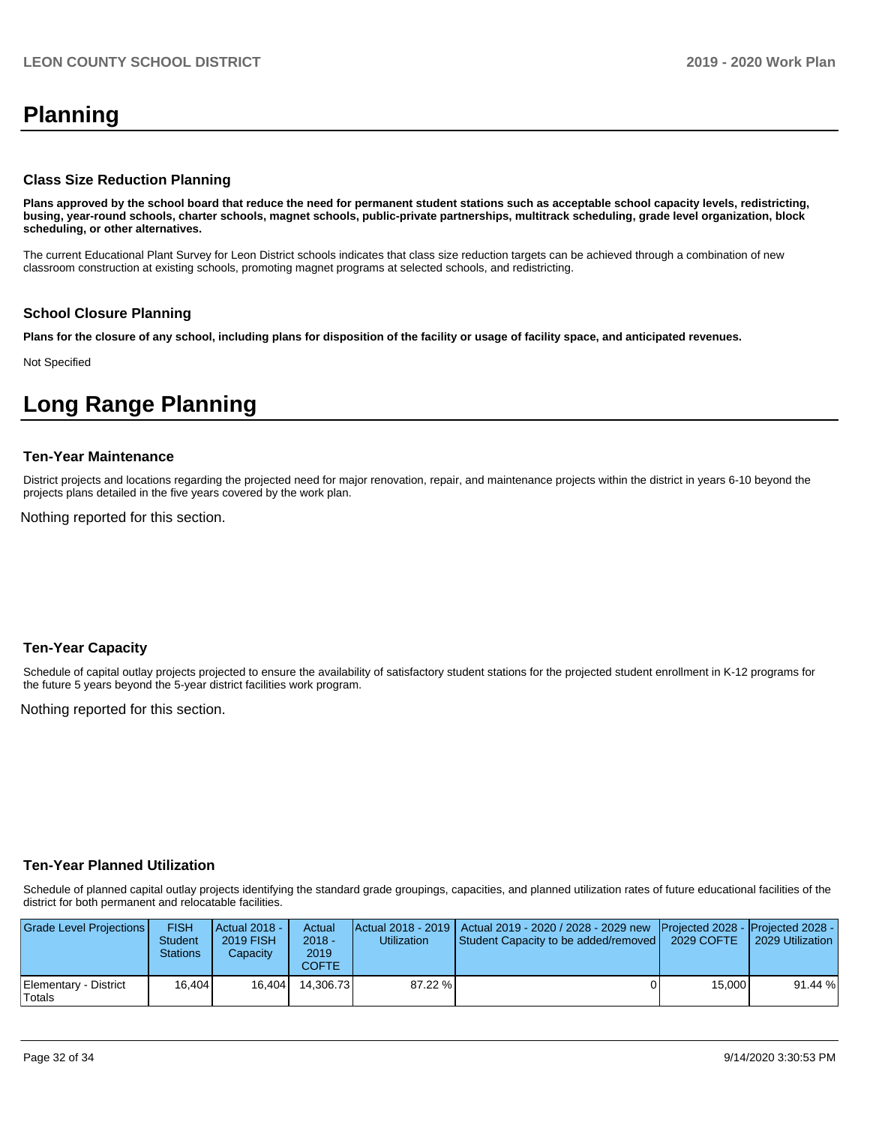# **Planning**

#### **Class Size Reduction Planning**

**Plans approved by the school board that reduce the need for permanent student stations such as acceptable school capacity levels, redistricting, busing, year-round schools, charter schools, magnet schools, public-private partnerships, multitrack scheduling, grade level organization, block scheduling, or other alternatives.**

The current Educational Plant Survey for Leon District schools indicates that class size reduction targets can be achieved through a combination of new classroom construction at existing schools, promoting magnet programs at selected schools, and redistricting.

#### **School Closure Planning**

**Plans for the closure of any school, including plans for disposition of the facility or usage of facility space, and anticipated revenues.** 

Not Specified

# **Long Range Planning**

#### **Ten-Year Maintenance**

District projects and locations regarding the projected need for major renovation, repair, and maintenance projects within the district in years 6-10 beyond the projects plans detailed in the five years covered by the work plan.

Nothing reported for this section.

#### **Ten-Year Capacity**

Schedule of capital outlay projects projected to ensure the availability of satisfactory student stations for the projected student enrollment in K-12 programs for the future 5 years beyond the 5-year district facilities work program.

Nothing reported for this section.

#### **Ten-Year Planned Utilization**

Schedule of planned capital outlay projects identifying the standard grade groupings, capacities, and planned utilization rates of future educational facilities of the district for both permanent and relocatable facilities.

| Grade Level Projections         | FISH<br>Student<br>Stations | Actual 2018 -<br><b>2019 FISH</b><br>Capacity | Actual<br>$2018 -$<br>2019<br>COFTE | Utilization | Actual 2018 - 2019   Actual 2019 - 2020 / 2028 - 2029 new Projected 2028 - Projected 2028 -<br>Student Capacity to be added/removed | 2029 COFTE | 2029 Utilization |
|---------------------------------|-----------------------------|-----------------------------------------------|-------------------------------------|-------------|-------------------------------------------------------------------------------------------------------------------------------------|------------|------------------|
| Elementary - District<br>Totals | 16.404                      | 16.404                                        | 14.306.73                           | $87.22 \%$  |                                                                                                                                     | 15,000     | 91.44 %          |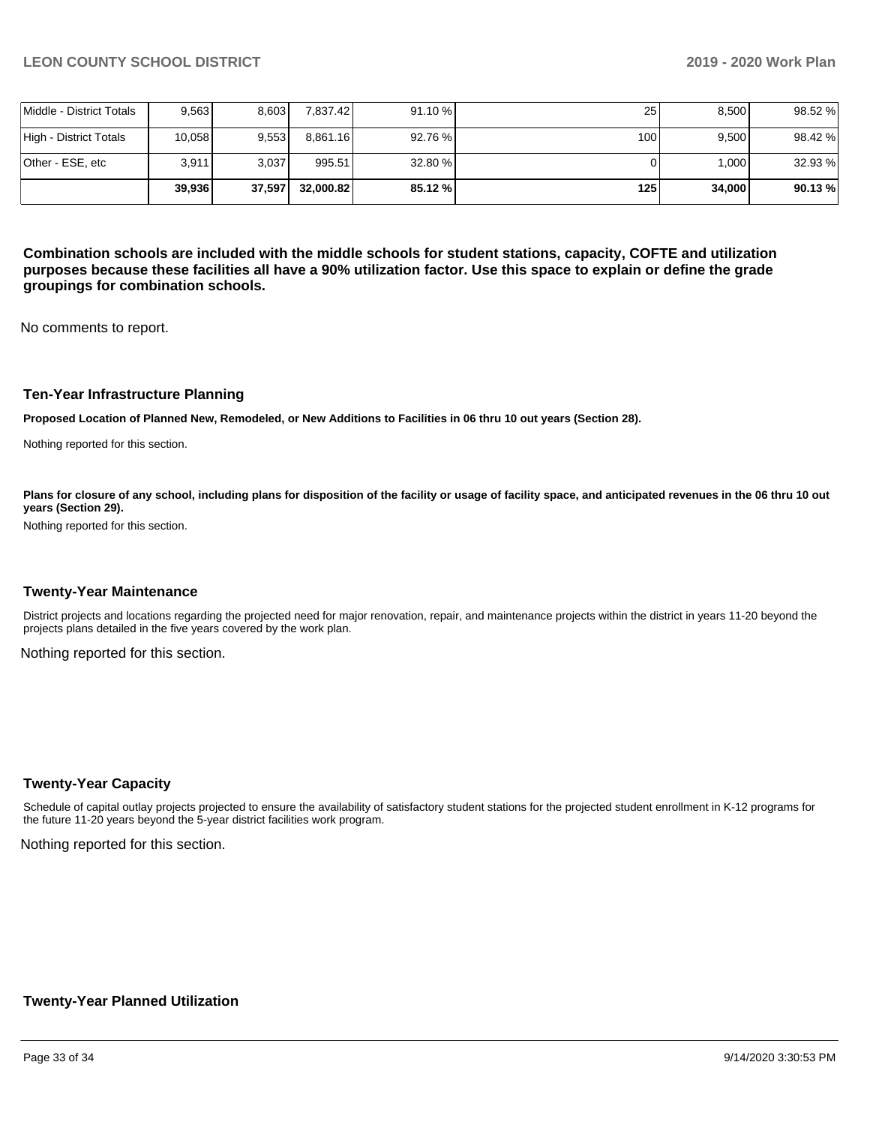|                          | 39.936 | 37,597 | 32.000.82 | 85.12 % | 125 I            | 34,000 | 90.13%  |
|--------------------------|--------|--------|-----------|---------|------------------|--------|---------|
| lOther - ESE. etc        | 3.911  | 3.037  | 995.51    | 32.80 % |                  | 000.   | 32.93 % |
| High - District Totals   | 10,058 | 9.553  | 8.861.16  | 92.76 % | 100 <sub>l</sub> | 9.500  | 98.42 % |
| Middle - District Totals | 9,563  | 8.603  | 7.837.42  | 91.10%  | 25 <sub>1</sub>  | 8,500  | 98.52 % |

**Combination schools are included with the middle schools for student stations, capacity, COFTE and utilization purposes because these facilities all have a 90% utilization factor. Use this space to explain or define the grade groupings for combination schools.** 

No comments to report.

#### **Ten-Year Infrastructure Planning**

**Proposed Location of Planned New, Remodeled, or New Additions to Facilities in 06 thru 10 out years (Section 28).**

Nothing reported for this section.

Plans for closure of any school, including plans for disposition of the facility or usage of facility space, and anticipated revenues in the 06 thru 10 out **years (Section 29).**

Nothing reported for this section.

#### **Twenty-Year Maintenance**

District projects and locations regarding the projected need for major renovation, repair, and maintenance projects within the district in years 11-20 beyond the projects plans detailed in the five years covered by the work plan.

Nothing reported for this section.

#### **Twenty-Year Capacity**

Schedule of capital outlay projects projected to ensure the availability of satisfactory student stations for the projected student enrollment in K-12 programs for the future 11-20 years beyond the 5-year district facilities work program.

Nothing reported for this section.

#### **Twenty-Year Planned Utilization**